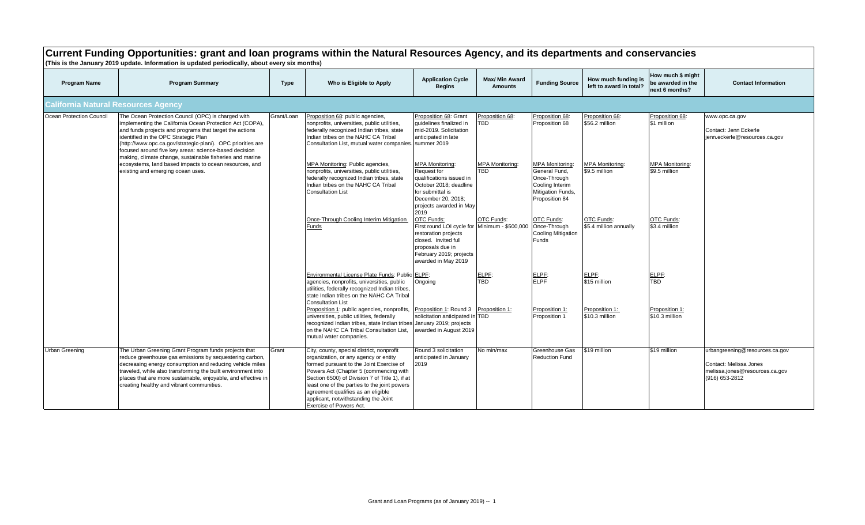|                                            | Current Funding Opportunities: grant and Ioan programs within the Natural Resources Agency, and its departments and conservancies<br>(This is the January 2019 update. Information is updated periodically, about every six months)                                                                                                                                                                                                                                                                  |             |                                                                                                                                                                                                                                                                                                                                                                                                                                                                     |                                                                                                                                                                                                                                            |                                                                 |                                                                                                                                                        |                                                                              |                                                                           |                                                                                                              |  |
|--------------------------------------------|------------------------------------------------------------------------------------------------------------------------------------------------------------------------------------------------------------------------------------------------------------------------------------------------------------------------------------------------------------------------------------------------------------------------------------------------------------------------------------------------------|-------------|---------------------------------------------------------------------------------------------------------------------------------------------------------------------------------------------------------------------------------------------------------------------------------------------------------------------------------------------------------------------------------------------------------------------------------------------------------------------|--------------------------------------------------------------------------------------------------------------------------------------------------------------------------------------------------------------------------------------------|-----------------------------------------------------------------|--------------------------------------------------------------------------------------------------------------------------------------------------------|------------------------------------------------------------------------------|---------------------------------------------------------------------------|--------------------------------------------------------------------------------------------------------------|--|
| <b>Program Name</b>                        | <b>Program Summary</b>                                                                                                                                                                                                                                                                                                                                                                                                                                                                               | <b>Type</b> | Who is Eligible to Apply                                                                                                                                                                                                                                                                                                                                                                                                                                            | <b>Application Cycle</b><br><b>Begins</b>                                                                                                                                                                                                  | <b>Max/ Min Award</b><br><b>Amounts</b>                         | <b>Funding Source</b>                                                                                                                                  | How much funding is<br>left to award in total?                               | How much \$ might<br>be awarded in the<br>next 6 months?                  | <b>Contact Information</b>                                                                                   |  |
| <b>California Natural Resources Agency</b> |                                                                                                                                                                                                                                                                                                                                                                                                                                                                                                      |             |                                                                                                                                                                                                                                                                                                                                                                                                                                                                     |                                                                                                                                                                                                                                            |                                                                 |                                                                                                                                                        |                                                                              |                                                                           |                                                                                                              |  |
| Ocean Protection Council                   | The Ocean Protection Council (OPC) is charged with<br>implementing the California Ocean Protection Act (COPA),<br>and funds projects and programs that target the actions<br>identified in the OPC Strategic Plan<br>(http://www.opc.ca.gov/strategic-plan/). OPC priorities are<br>focused around five key areas: science-based decision<br>making, climate change, sustainable fisheries and marine<br>ecosystems, land based impacts to ocean resources, and<br>existing and emerging ocean uses. | Grant/Loan  | Proposition 68: public agencies,<br>nonprofits, universities, public utilities,<br>federally recognized Indian tribes, state<br>Indian tribes on the NAHC CA Tribal<br>Consultation List, mutual water companies. summer 2019<br>MPA Monitoring: Public agencies,<br>nonprofits, universities, public utilities,<br>federally recognized Indian tribes, state<br>Indian tribes on the NAHC CA Tribal<br><b>Consultation List</b>                                    | Proposition 68: Grant<br>quidelines finalized in<br>mid-2019. Solicitation<br>anticipated in late<br><b>MPA Monitoring:</b><br>Request for<br>qualifications issued in<br>October 2018; deadline<br>for submittal is<br>December 20, 2018; | Proposition 68:<br>TBD.<br><b>MPA Monitoring:</b><br><b>TBD</b> | Proposition 68:<br>Proposition 68<br><b>MPA Monitoring:</b><br>General Fund.<br>Once-Through<br>Cooling Interim<br>Mitigation Funds,<br>Proposition 84 | Proposition 68:<br>\$56.2 million<br><b>MPA Monitoring:</b><br>\$9.5 million | Proposition 68:<br>\$1 million<br><b>MPA Monitoring:</b><br>\$9.5 million | www.opc.ca.gov<br>Contact: Jenn Eckerle<br>jenn.eckerle@resources.ca.gov                                     |  |
|                                            |                                                                                                                                                                                                                                                                                                                                                                                                                                                                                                      |             | Once-Through Cooling Interim Mitigation<br>Funds                                                                                                                                                                                                                                                                                                                                                                                                                    | projects awarded in May<br>2019<br>OTC Funds:<br>First round LOI cycle for Minimum - \$500,000<br>restoration projects<br>closed. Invited full<br>proposals due in<br>February 2019; projects<br>awarded in May 2019                       | OTC Funds:                                                      | OTC Funds:<br>Once-Through<br><b>Cooling Mitigation</b><br>Funds                                                                                       | <b>OTC Funds:</b><br>\$5.4 million annually                                  | OTC Funds:<br>\$3.4 million                                               |                                                                                                              |  |
|                                            |                                                                                                                                                                                                                                                                                                                                                                                                                                                                                                      |             | Environmental License Plate Funds: Public ELPF:<br>agencies, nonprofits, universities, public<br>utilities, federally recognized Indian tribes,<br>state Indian tribes on the NAHC CA Tribal<br><b>Consultation List</b><br>Proposition 1: public agencies, nonprofits,<br>universities, public utilities, federally<br>recognized Indian tribes, state Indian tribes January 2019; projects<br>on the NAHC CA Tribal Consultation List,<br>mutual water companies. | Ongoing<br>Proposition 1: Round 3<br>solicitation anticipated in TBD<br>awarded in August 2019                                                                                                                                             | ELPF:<br>TBD<br>Proposition 1:                                  | ELPF:<br><b>ELPF</b><br>Proposition 1:<br>Proposition 1                                                                                                | ELPF:<br>\$15 million<br>Proposition 1:<br>\$10.3 million                    | ELPE:<br>TBD<br>Proposition 1:<br>\$10.3 million                          |                                                                                                              |  |
| Urban Greening                             | The Urban Greening Grant Program funds projects that<br>reduce greenhouse gas emissions by sequestering carbon,<br>decreasing energy consumption and reducing vehicle miles<br>traveled, while also transforming the built environment into<br>places that are more sustainable, enjoyable, and effective in<br>creating healthy and vibrant communities.                                                                                                                                            | Grant       | City, county, special district, nonprofit<br>organization, or any agency or entity<br>formed pursuant to the Joint Exercise of<br>Powers Act (Chapter 5 (commencing with<br>Section 6500) of Division 7 of Title 1), if at<br>least one of the parties to the joint powers<br>agreement qualifies as an eligible<br>applicant, notwithstanding the Joint<br>Exercise of Powers Act.                                                                                 | Round 3 solicitation<br>anticipated in January<br>2019                                                                                                                                                                                     | No min/max                                                      | Greenhouse Gas<br><b>Reduction Fund</b>                                                                                                                | \$19 million                                                                 | \$19 million                                                              | urbangreening@resources.ca.gov<br>Contact: Melissa Jones<br>melissa.jones@resources.ca.gov<br>(916) 653-2812 |  |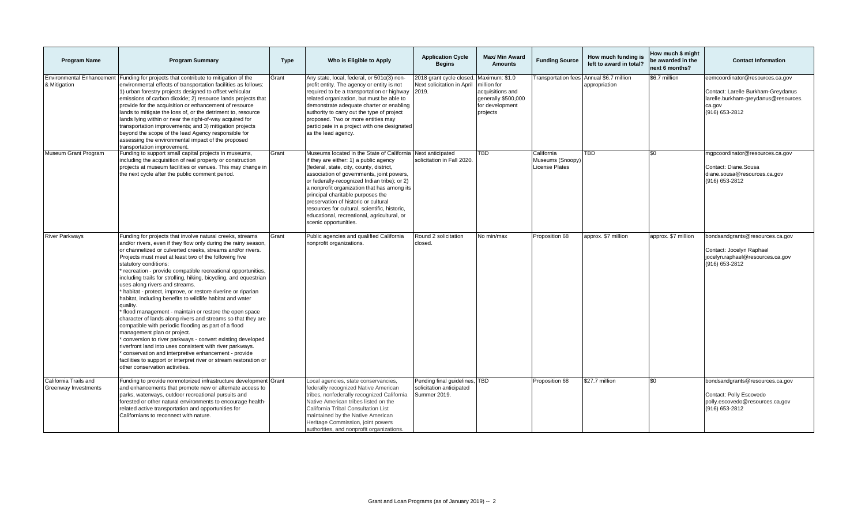| <b>Program Name</b>                              | <b>Program Summary</b>                                                                                                                                                                                                                                                                                                                                                                                                                                                                                                                                                                                                                                                                                                                                                                                                                                                                                                                                                                                                                                                                            | <b>Type</b> | Who is Eligible to Apply                                                                                                                                                                                                                                                                                                                                                                                                                                                                            | <b>Application Cycle</b><br><b>Begins</b>                                 | Max/ Min Award<br><b>Amounts</b>                                                                        | <b>Funding Source</b>                                   | How much funding is<br>left to award in total? | How much \$ might<br>be awarded in the<br>next 6 months? | <b>Contact Information</b>                                                                                                                |
|--------------------------------------------------|---------------------------------------------------------------------------------------------------------------------------------------------------------------------------------------------------------------------------------------------------------------------------------------------------------------------------------------------------------------------------------------------------------------------------------------------------------------------------------------------------------------------------------------------------------------------------------------------------------------------------------------------------------------------------------------------------------------------------------------------------------------------------------------------------------------------------------------------------------------------------------------------------------------------------------------------------------------------------------------------------------------------------------------------------------------------------------------------------|-------------|-----------------------------------------------------------------------------------------------------------------------------------------------------------------------------------------------------------------------------------------------------------------------------------------------------------------------------------------------------------------------------------------------------------------------------------------------------------------------------------------------------|---------------------------------------------------------------------------|---------------------------------------------------------------------------------------------------------|---------------------------------------------------------|------------------------------------------------|----------------------------------------------------------|-------------------------------------------------------------------------------------------------------------------------------------------|
| <b>Environmental Enhancement</b><br>& Mitigation | Funding for projects that contribute to mitigation of the<br>environmental effects of transportation facilities as follows:<br>1) urban forestry projects designed to offset vehicular<br>emissions of carbon dioxide; 2) resource lands projects that<br>provide for the acquisition or enhancement of resource<br>lands to mitigate the loss of, or the detriment to, resource<br>lands lying within or near the right-of-way acquired for<br>transportation improvements; and 3) mitigation projects<br>beyond the scope of the lead Agency responsible for<br>assessing the environmental impact of the proposed<br>transportation improvement.                                                                                                                                                                                                                                                                                                                                                                                                                                               | Grant       | Any state, local, federal, or 501c(3) non-<br>profit entity. The agency or entity is not<br>required to be a transportation or highway 2019.<br>related organization, but must be able to<br>demonstrate adequate charter or enabling<br>authority to carry out the type of project<br>proposed. Two or more entities may<br>participate in a project with one designated<br>as the lead agency.                                                                                                    | 2018 grant cycle closed.<br>Next solicitation in April                    | Maximum: \$1.0<br>million for<br>acquisitions and<br>generally \$500,000<br>for development<br>projects | <b>Transportation fees</b>                              | Annual \$6.7 million<br>appropriation          | \$6.7 million                                            | eemcoordinator@resources.ca.gov<br>Contact: Larelle Burkham-Greydanus<br>larelle.burkham-greydanus@resources.<br>ca.gov<br>(916) 653-2812 |
| Museum Grant Program                             | Funding to support small capital projects in museums,<br>including the acquisition of real property or construction<br>projects at museum facilities or venues. This may change in<br>the next cycle after the public comment period.                                                                                                                                                                                                                                                                                                                                                                                                                                                                                                                                                                                                                                                                                                                                                                                                                                                             | Grant       | Museums located in the State of California Next anticipated<br>if they are either: 1) a public agency<br>(federal, state, city, county, district,<br>association of governments, joint powers,<br>or federally-recognized Indian tribe); or 2)<br>a nonprofit organization that has among its<br>principal charitable purposes the<br>preservation of historic or cultural<br>resources for cultural, scientific, historic,<br>educational, recreational, agricultural, or<br>scenic opportunities. | solicitation in Fall 2020                                                 | TBD                                                                                                     | California<br>Museums (Snoopy)<br><b>License Plates</b> | <b>TBD</b>                                     | \$0                                                      | mgpcoordinator@resources.ca.gov<br>Contact: Diane.Sousa<br>diane.sousa@resources.ca.gov<br>(916) 653-2812                                 |
| <b>River Parkways</b>                            | Funding for projects that involve natural creeks, streams<br>and/or rivers, even if they flow only during the rainy season,<br>or channelized or culverted creeks, streams and/or rivers.<br>Projects must meet at least two of the following five<br>statutory conditions:<br>recreation - provide compatible recreational opportunities,<br>including trails for strolling, hiking, bicycling, and equestrian<br>uses along rivers and streams.<br>habitat - protect, improve, or restore riverine or riparian<br>habitat, including benefits to wildlife habitat and water<br>quality.<br>flood management - maintain or restore the open space<br>character of lands along rivers and streams so that they are<br>compatible with periodic flooding as part of a flood<br>management plan or project.<br>conversion to river parkways - convert existing developed<br>riverfront land into uses consistent with river parkways.<br>conservation and interpretive enhancement - provide<br>facilities to support or interpret river or stream restoration or<br>other conservation activities. | Grant       | Public agencies and qualified California<br>nonprofit organizations.                                                                                                                                                                                                                                                                                                                                                                                                                                | Round 2 solicitation<br>closed.                                           | No min/max                                                                                              | Proposition 68                                          | approx. \$7 million                            | approx. \$7 million                                      | bondsandgrants@resources.ca.gov<br>Contact: Jocelyn Raphael<br>jocelyn.raphael@resources.ca.gov<br>(916) 653-2812                         |
| California Trails and<br>Greenway Investments    | Funding to provide nonmotorized infrastructure development Grant<br>and enhancements that promote new or alternate access to<br>parks, waterways, outdoor recreational pursuits and<br>forested or other natural environments to encourage health-<br>related active transportation and opportunities for<br>Californians to reconnect with nature.                                                                                                                                                                                                                                                                                                                                                                                                                                                                                                                                                                                                                                                                                                                                               |             | Local agencies, state conservancies,<br>federally recognized Native American<br>tribes, nonfederally recognized California<br>Native American tribes listed on the<br>California Tribal Consultation List<br>maintained by the Native American<br>Heritage Commission, joint powers<br>authorities, and nonprofit organizations.                                                                                                                                                                    | Pending final guidelines, TBD<br>solicitation anticipated<br>Summer 2019. |                                                                                                         | Proposition 68                                          | \$27.7 million                                 | \$0                                                      | bondsandgrants@resources.ca.gov<br>Contact: Polly Escovedo<br>polly.escovedo@resources.ca.gov<br>(916) 653-2812                           |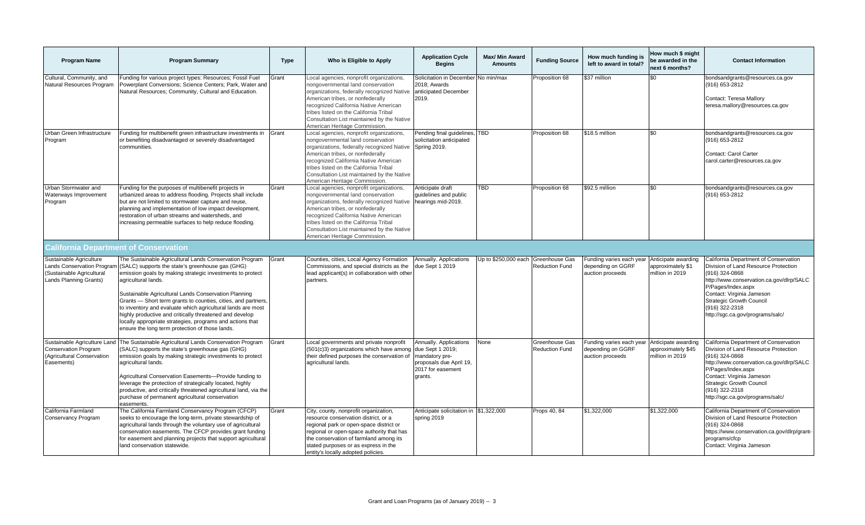| <b>Program Name</b>                                                                                                 | <b>Program Summary</b>                                                                                                                                                                                                                                                                                                                                                                                                                                                                                                                                             | <b>Type</b> | Who is Eligible to Apply                                                                                                                                                                                                                                                                                                          | <b>Application Cycle</b><br><b>Begins</b>                                                                               | <b>Max/ Min Award</b><br><b>Amounts</b> | <b>Funding Source</b>                   | How much funding is<br>left to award in total?                    | How much \$ might<br>be awarded in the<br>next 6 months?     | <b>Contact Information</b>                                                                                                                                                                                                                                                              |
|---------------------------------------------------------------------------------------------------------------------|--------------------------------------------------------------------------------------------------------------------------------------------------------------------------------------------------------------------------------------------------------------------------------------------------------------------------------------------------------------------------------------------------------------------------------------------------------------------------------------------------------------------------------------------------------------------|-------------|-----------------------------------------------------------------------------------------------------------------------------------------------------------------------------------------------------------------------------------------------------------------------------------------------------------------------------------|-------------------------------------------------------------------------------------------------------------------------|-----------------------------------------|-----------------------------------------|-------------------------------------------------------------------|--------------------------------------------------------------|-----------------------------------------------------------------------------------------------------------------------------------------------------------------------------------------------------------------------------------------------------------------------------------------|
| Cultural, Community, and<br>Natural Resources Program                                                               | Funding for various project types: Resources; Fossil Fuel<br>Powerplant Conversions; Science Centers; Park, Water and<br>Natural Resources; Community, Cultural and Education.                                                                                                                                                                                                                                                                                                                                                                                     | Grant       | Local agencies, nonprofit organizations,<br>nongovernmental land conservation<br>organizations, federally recognized Native<br>American tribes, or nonfederally<br>recognized California Native American<br>tribes listed on the California Tribal<br>Consultation List maintained by the Native<br>American Heritage Commission. | Solicitation in December<br>2018: Awards<br>anticipated December<br>2019.                                               | $\overline{\text{No}}$ min/max          | Proposition 68                          | \$37 million                                                      | \$0                                                          | bondsandgrants@resources.ca.gov<br>(916) 653-2812<br>Contact: Teresa Mallory<br>teresa.mallory@resources.ca.gov                                                                                                                                                                         |
| Urban Green Infrastructure<br>Program                                                                               | Funding for multibenefit green infrastructure investments in<br>or benefiting disadvantaged or severely disadvantaged<br>communities.                                                                                                                                                                                                                                                                                                                                                                                                                              | Grant       | Local agencies, nonprofit organizations,<br>nongovernmental land conservation<br>organizations, federally recognized Native<br>American tribes, or nonfederally<br>recognized California Native American<br>tribes listed on the California Tribal<br>Consultation List maintained by the Native<br>American Heritage Commission. | Pending final guidelines, TBD<br>solicitation anticipated<br><b>Spring 2019.</b>                                        |                                         | Proposition 68                          | \$18.5 million                                                    | \$0                                                          | bondsandgrants@resources.ca.gov<br>(916) 653-2812<br>Contact: Carol Carter<br>carol.carter@resources.ca.gov                                                                                                                                                                             |
| Urban Stormwater and<br>Waterways Improvement<br>Program                                                            | Funding for the purposes of multibenefit projects in<br>urbanized areas to address flooding. Projects shall include<br>but are not limited to stormwater capture and reuse,<br>planning and implementation of low impact development,<br>restoration of urban streams and watersheds, and<br>increasing permeable surfaces to help reduce flooding.                                                                                                                                                                                                                | Grant       | Local agencies, nonprofit organizations,<br>nongovernmental land conservation<br>organizations, federally recognized Native<br>American tribes, or nonfederally<br>recognized California Native American<br>tribes listed on the California Tribal<br>Consultation List maintained by the Native<br>American Heritage Commission. | Anticipate draft<br>guidelines and public<br>hearings mid-2019.                                                         | $\overline{TBD}$                        | Proposition 68                          | \$92.5 million                                                    | \$0                                                          | bondsandgrants@resources.ca.gov<br>(916) 653-2812                                                                                                                                                                                                                                       |
|                                                                                                                     | <b>California Department of Conservation</b>                                                                                                                                                                                                                                                                                                                                                                                                                                                                                                                       |             |                                                                                                                                                                                                                                                                                                                                   |                                                                                                                         |                                         |                                         |                                                                   |                                                              |                                                                                                                                                                                                                                                                                         |
| Sustainable Agriculture<br><b>Lands Conservation Program</b><br>(Sustainable Agricultural<br>Lands Planning Grants) | The Sustainable Agricultural Lands Conservation Program<br>(SALC) supports the state's greenhouse gas (GHG)<br>emission goals by making strategic investments to protect<br>agricultural lands.<br>Sustainable Agricultural Lands Conservation Planning<br>Grants - Short term grants to counties, cities, and partners,<br>to inventory and evaluate which agricultural lands are most<br>highly productive and critically threatened and develop<br>locally appropriate strategies, programs and actions that<br>ensure the long term protection of those lands. | Grant       | Counties, cities, Local Agency Formation<br>Commissions, and special districts as the<br>lead applicant(s) in collaboration with other<br>partners.                                                                                                                                                                               | Annually. Applications<br>due Sept 1 2019                                                                               | Jp to \$250,000 each                    | Greenhouse Gas<br><b>Reduction Fund</b> | Funding varies each year<br>depending on GGRF<br>auction proceeds | Anticipate awarding<br>approximately \$1<br>million in 2019  | California Department of Conservation<br>Division of Land Resource Protection<br>(916) 324-0868<br>http://www.conservation.ca.gov/dlrp/SALC<br>P/Pages/Index.aspx<br>Contact: Virginia Jameson<br><b>Strategic Growth Council</b><br>(916) 322-2318<br>http://sgc.ca.gov/programs/salc/ |
| Sustainable Agriculture Land<br><b>Conservation Program</b><br>(Agricultural Conservation<br>Easements)             | The Sustainable Agricultural Lands Conservation Program<br>(SALC) supports the state's greenhouse gas (GHG)<br>emission goals by making strategic investments to protect<br>agricultural lands.<br>Agricultural Conservation Easements-Provide funding to<br>leverage the protection of strategically located, highly<br>productive, and critically threatened agricultural land, via the<br>purchase of permanent agricultural conservation<br>easements.                                                                                                         | Grant       | Local governments and private nonprofit<br>(501(c)3) organizations which have among<br>their defined purposes the conservation of<br>agricultural lands.                                                                                                                                                                          | Annually. Applications<br>due Sept 1 2019;<br>mandatory pre-<br>proposals due April 19,<br>2017 for easement<br>arants. | None                                    | Greenhouse Gas<br><b>Reduction Fund</b> | Funding varies each year<br>depending on GGRF<br>auction proceeds | Anticipate awarding<br>approximately \$45<br>million in 2019 | California Department of Conservation<br>Division of Land Resource Protection<br>(916) 324-0868<br>http://www.conservation.ca.gov/dlrp/SALC<br>P/Pages/Index.aspx<br>Contact: Virginia Jameson<br><b>Strategic Growth Council</b><br>(916) 322-2318<br>http://sgc.ca.gov/programs/salc/ |
| California Farmland<br>Conservancy Program                                                                          | The California Farmland Conservancy Program (CFCP)<br>seeks to encourage the long-term, private stewardship of<br>agricultural lands through the voluntary use of agricultural<br>conservation easements. The CFCP provides grant funding<br>for easement and planning projects that support agricultural<br>land conservation statewide.                                                                                                                                                                                                                          | Grant       | City, county, nonprofit organization,<br>resource conservation district, or a<br>regional park or open-space district or<br>regional or open-space authority that has<br>the conservation of farmland among its<br>stated purposes or as express in the<br>entity's locally adopted policies.                                     | Anticipate solicitation in \$1.322.000<br>spring 2019                                                                   |                                         | Props 40, 84                            | \$1.322.000                                                       | \$1.322,000                                                  | California Department of Conservation<br>Division of Land Resource Protection<br>(916) 324-0868<br>https://www.conservation.ca.gov/dlrp/grant-<br>programs/cfcp<br>Contact: Virginia Jameson                                                                                            |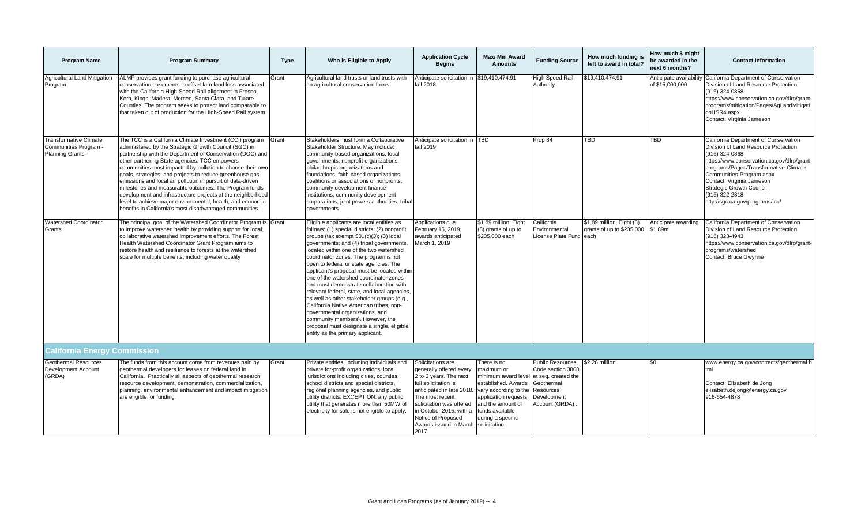| <b>Program Name</b>                                                              | <b>Program Summary</b>                                                                                                                                                                                                                                                                                                                                                                                                                                                                                                                                                                                                                                                     | <b>Type</b> | Who is Eligible to Apply                                                                                                                                                                                                                                                                                                                                                                                                                                                                                                                                                                                                                                                                                                                                 | <b>Application Cycle</b><br><b>Begins</b>                                                                                                                                                                                                                      | <b>Max/ Min Award</b><br><b>Amounts</b>                                                                                                                                                                                    | <b>Funding Source</b>                                                                                    | How much funding is<br>left to award in total?         | How much \$ might<br>be awarded in the<br>next 6 months? | <b>Contact Information</b>                                                                                                                                                                                                                                                                                                                |
|----------------------------------------------------------------------------------|----------------------------------------------------------------------------------------------------------------------------------------------------------------------------------------------------------------------------------------------------------------------------------------------------------------------------------------------------------------------------------------------------------------------------------------------------------------------------------------------------------------------------------------------------------------------------------------------------------------------------------------------------------------------------|-------------|----------------------------------------------------------------------------------------------------------------------------------------------------------------------------------------------------------------------------------------------------------------------------------------------------------------------------------------------------------------------------------------------------------------------------------------------------------------------------------------------------------------------------------------------------------------------------------------------------------------------------------------------------------------------------------------------------------------------------------------------------------|----------------------------------------------------------------------------------------------------------------------------------------------------------------------------------------------------------------------------------------------------------------|----------------------------------------------------------------------------------------------------------------------------------------------------------------------------------------------------------------------------|----------------------------------------------------------------------------------------------------------|--------------------------------------------------------|----------------------------------------------------------|-------------------------------------------------------------------------------------------------------------------------------------------------------------------------------------------------------------------------------------------------------------------------------------------------------------------------------------------|
| <b>Agricultural Land Mitigation</b><br>Program                                   | ALMP provides grant funding to purchase agricultural<br>conservation easements to offset farmland loss associated<br>with the California High-Speed Rail alignment in Fresno,<br>Kern, Kings, Madera, Merced, Santa Clara, and Tulare<br>Counties. The program seeks to protect land comparable to<br>that taken out of production for the High-Speed Rail system.                                                                                                                                                                                                                                                                                                         | Grant       | Agricultural land trusts or land trusts with<br>an agricultural conservation focus.                                                                                                                                                                                                                                                                                                                                                                                                                                                                                                                                                                                                                                                                      | Anticipate solicitation in<br>fall 2018                                                                                                                                                                                                                        | \$19.410.474.91                                                                                                                                                                                                            | High Speed Rail<br>Authority                                                                             | \$19,410,474.91                                        | Anticipate availability<br>of \$15,000,000               | California Department of Conservation<br>Division of Land Resource Protection<br>(916) 324-0868<br>https://www.conservation.ca.gov/dlrp/grant-<br>programs/mitigation/Pages/AgLandMitigati<br>onHSR4.aspx<br>Contact: Virginia Jameson                                                                                                    |
| <b>Transformative Climate</b><br>Communities Program -<br><b>Planning Grants</b> | The TCC is a California Climate Investment (CCI) program<br>administered by the Strategic Growth Council (SGC) in<br>partnership with the Department of Conservation (DOC) and<br>other partnering State agencies. TCC empowers<br>communities most impacted by pollution to choose their own<br>goals, strategies, and projects to reduce greenhouse gas<br>emissions and local air pollution in pursuit of data-driven<br>milestones and measurable outcomes. The Program funds<br>development and infrastructure projects at the neighborhood<br>level to achieve major environmental, health, and economic<br>benefits in California's most disadvantaged communities. | Grant       | Stakeholders must form a Collaborative<br>Stakeholder Structure. May include:<br>community-based organizations, local<br>governments, nonprofit organizations,<br>philanthropic organizations and<br>foundations, faith-based organizations,<br>coalitions or associations of nonprofits,<br>community development finance<br>institutions, community development<br>corporations, joint powers authorities, tribal<br>governments.                                                                                                                                                                                                                                                                                                                      | Anticipate solicitation in TBD<br>fall 2019                                                                                                                                                                                                                    |                                                                                                                                                                                                                            | Prop 84                                                                                                  | TBD                                                    | <b>TBD</b>                                               | California Department of Conservation<br>Division of Land Resource Protection<br>(916) 324-0868<br>https://www.conservation.ca.gov/dlrp/grant-<br>programs/Pages/Transformative-Climate-<br>Communities-Program.aspx<br>Contact: Virginia Jameson<br><b>Strategic Growth Council</b><br>(916) 322-2318<br>http://sgc.ca.gov/programs/tcc/ |
| <b>Watershed Coordinator</b><br>Grants                                           | The principal goal of the Watershed Coordinator Program is Grant<br>to improve watershed health by providing support for local,<br>collaborative watershed improvement efforts. The Forest<br>Health Watershed Coordinator Grant Program aims to<br>restore health and resilience to forests at the watershed<br>scale for multiple benefits, including water quality                                                                                                                                                                                                                                                                                                      |             | Eligible applicants are local entities as<br>follows: (1) special districts; (2) nonprofit<br>groups (tax exempt $501(c)(3)$ ; (3) local<br>governments; and (4) tribal governments,<br>located within one of the two watershed<br>coordinator zones. The program is not<br>open to federal or state agencies. The<br>applicant's proposal must be located within<br>one of the watershed coordinator zones<br>and must demonstrate collaboration with<br>relevant federal, state, and local agencies,<br>as well as other stakeholder groups (e.g.,<br>California Native American tribes, non-<br>governmental organizations, and<br>community members). However, the<br>proposal must designate a single, eligible<br>entity as the primary applicant. | Applications due<br>February 15, 2019;<br>awards anticipated<br>March 1, 2019                                                                                                                                                                                  | \$1.89 million; Eight<br>(8) grants of up to<br>\$235,000 each                                                                                                                                                             | California<br>Environmental<br>License Plate Fund each                                                   | \$1.89 million; Eight (8)<br>grants of up to \$235,000 | Anticipate awarding<br>\$1.89m                           | California Department of Conservation<br>Division of Land Resource Protection<br>(916) 323-4943<br>https://www.conservation.ca.gov/dlrp/grant-<br>programs/watershed<br>Contact: Bruce Gwynne                                                                                                                                             |
| <b>California Energy Commission</b>                                              |                                                                                                                                                                                                                                                                                                                                                                                                                                                                                                                                                                                                                                                                            |             |                                                                                                                                                                                                                                                                                                                                                                                                                                                                                                                                                                                                                                                                                                                                                          |                                                                                                                                                                                                                                                                |                                                                                                                                                                                                                            |                                                                                                          |                                                        |                                                          |                                                                                                                                                                                                                                                                                                                                           |
| <b>Geothermal Resources</b><br><b>Development Account</b><br>(GRDA)              | The funds from this account come from revenues paid by<br>geothermal developers for leases on federal land in<br>California. Practically all aspects of geothermal research,<br>resource development, demonstration, commercialization,<br>planning, environmental enhancement and impact mitigation<br>are eligible for funding.                                                                                                                                                                                                                                                                                                                                          | Grant       | Private entities, including individuals and<br>private for-profit organizations; local<br>jurisdictions including cities, counties,<br>school districts and special districts,<br>regional planning agencies, and public<br>utility districts; EXCEPTION: any public<br>utility that generates more than 50MW of<br>electricity for sale is not eligible to apply.                                                                                                                                                                                                                                                                                                                                                                                       | Solicitations are<br>generally offered every<br>2 to 3 years. The next<br>full solicitation is<br>anticipated in late 2018.<br>The most recent<br>solicitation was offered<br>in October 2016, with a<br>Notice of Proposed<br>Awards issued in March<br>2017. | There is no<br>naximum or<br>minimum award level et seq. created the<br>established. Awards<br>vary according to the<br>application requests<br>and the amount of<br>funds available<br>during a specific<br>solicitation. | <b>Public Resources</b><br>Code section 3800<br>Geothermal<br>Resources<br>Development<br>Account (GRDA) | \$2.28 million                                         | \$0                                                      | www.energy.ca.gov/contracts/geothermal.h<br>tml<br>Contact: Elisabeth de Jong<br>elisabeth.dejong@energy.ca.gov<br>916-654-4878                                                                                                                                                                                                           |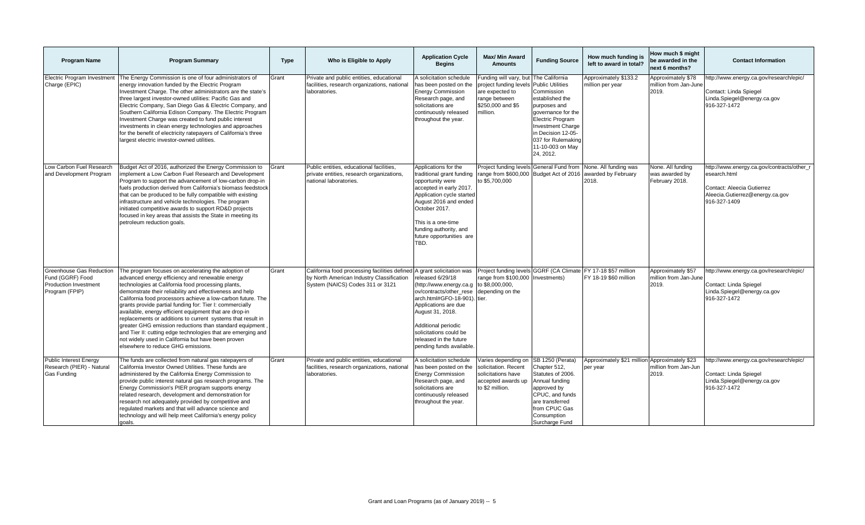| <b>Program Name</b>                                                                                   | <b>Program Summary</b>                                                                                                                                                                                                                                                                                                                                                                                                                                                                                                                                                                                                                                                                              | <b>Type</b> | Who is Eligible to Apply                                                                                                                                | <b>Application Cycle</b><br><b>Begins</b>                                                                                                                                                                                                                                 | <b>Max/ Min Award</b><br><b>Amounts</b>                                                                                            | <b>Funding Source</b>                                                                                                                                                                                                       | How much funding is<br>left to award in total?            | How much \$ might<br>be awarded in the<br>next 6 months? | <b>Contact Information</b>                                                                                                                  |
|-------------------------------------------------------------------------------------------------------|-----------------------------------------------------------------------------------------------------------------------------------------------------------------------------------------------------------------------------------------------------------------------------------------------------------------------------------------------------------------------------------------------------------------------------------------------------------------------------------------------------------------------------------------------------------------------------------------------------------------------------------------------------------------------------------------------------|-------------|---------------------------------------------------------------------------------------------------------------------------------------------------------|---------------------------------------------------------------------------------------------------------------------------------------------------------------------------------------------------------------------------------------------------------------------------|------------------------------------------------------------------------------------------------------------------------------------|-----------------------------------------------------------------------------------------------------------------------------------------------------------------------------------------------------------------------------|-----------------------------------------------------------|----------------------------------------------------------|---------------------------------------------------------------------------------------------------------------------------------------------|
| <b>Electric Program Investment</b><br>Charge (EPIC)                                                   | The Energy Commission is one of four administrators of<br>energy innovation funded by the Electric Program<br>Investment Charge. The other administrators are the state's<br>three largest investor-owned utilities: Pacific Gas and<br>Electric Company, San Diego Gas & Electric Company, and<br>Southern California Edison Company. The Electric Program<br>Investment Charge was created to fund public interest<br>investments in clean energy technologies and approaches<br>for the benefit of electricity ratepayers of California's three<br>largest electric investor-owned utilities.                                                                                                    | Grant       | Private and public entities, educational<br>facilities, research organizations, national<br>laboratories.                                               | A solicitation schedule<br>has been posted on the<br><b>Energy Commission</b><br>Research page, and<br>solicitations are<br>continuously released<br>throughout the year.                                                                                                 | unding will vary, but The California<br>project funding levels<br>are expected to<br>ange between<br>\$250,000 and \$5<br>nillion. | <b>Public Utilities</b><br>Commission<br>established the<br>purposes and<br>governance for the<br>Electric Program<br><b>Investment Charge</b><br>in Decision 12-05-<br>037 for Rulemaking<br>11-10-003 on May<br>24, 2012. | Approximately \$133.2<br>million per year                 | Approximately \$78<br>million from Jan-June<br>2019.     | http://www.energy.ca.gov/research/epic/<br>Contact: Linda Spiegel<br>Linda.Spiegel@energy.ca.gov<br>916-327-1472                            |
| Low Carbon Fuel Research<br>and Development Program                                                   | Budget Act of 2016, authorized the Energy Commission to<br>implement a Low Carbon Fuel Research and Development<br>Program to support the advancement of low-carbon drop-in<br>fuels production derived from California's biomass feedstock<br>that can be produced to be fully compatible with existing<br>infrastructure and vehicle technologies. The program<br>initiated competitive awards to support RD&D projects<br>focused in key areas that assists the State in meeting its<br>petroleum reduction goals.                                                                                                                                                                               | Grant       | Public entities, educational facilities,<br>private entities, research organizations,<br>national laboratories.                                         | Applications for the<br>traditional grant funding<br>opportunity were<br>accepted in early 2017.<br>Application cycle started<br>August 2016 and ended<br>October 2017.<br>This is a one-time<br>funding authority, and<br>future opportunities are<br>TBD.               | Project funding levels General Fund from<br>range from \$600,000 Budget Act of 2016<br>to \$5,700,000                              |                                                                                                                                                                                                                             | None. All funding was<br>awarded by February<br>2018.     | None. All funding<br>was awarded by<br>February 2018.    | nttp://www.energy.ca.gov/contracts/other_r<br>esearch.html<br>Contact: Aleecia Gutierrez<br>Aleecia.Gutierrez@energy.ca.gov<br>916-327-1409 |
| <b>Greenhouse Gas Reduction</b><br>Fund (GGRF) Food<br><b>Production Investment</b><br>Program (FPIP) | The program focuses on accelerating the adoption of<br>advanced energy efficiency and renewable energy<br>technologies at California food processing plants,<br>demonstrate their reliability and effectiveness and help<br>California food processors achieve a low-carbon future. The<br>grants provide partial funding for: Tier I: commercially<br>available, energy efficient equipment that are drop-in<br>replacements or additions to current systems that result in<br>greater GHG emission reductions than standard equipment<br>and Tier II: cutting edge technologies that are emerging and<br>not widely used in California but have been proven<br>elsewhere to reduce GHG emissions. | Grant       | California food processing facilities defined A grant solicitation was<br>by North American Industry Classification<br>System (NAICS) Codes 311 or 3121 | released 6/29/18<br>(http://www.energy.ca.g to \$8,000,000,<br>ov/contracts/other rese<br>arch.html#GFO-18-901). tier.<br>Applications are due<br>August 31, 2018.<br>Additional periodic<br>solicitations could be<br>released in the future<br>pending funds available. | Project funding levels GGRF (CA Climate<br>range from \$100,000 Investments)<br>depending on the                                   |                                                                                                                                                                                                                             | FY 17-18 \$57 million<br>FY 18-19 \$60 million            | Approximately \$57<br>million from Jan-June<br>2019.     | http://www.energy.ca.gov/research/epic/<br>Contact: Linda Spiegel<br>Linda.Spiegel@energy.ca.gov<br>916-327-1472                            |
| <b>Public Interest Energy</b><br>Research (PIER) - Natural<br>Gas Funding                             | The funds are collected from natural gas ratepayers of<br>California Investor Owned Utilities. These funds are<br>administered by the California Energy Commission to<br>provide public interest natural gas research programs. The<br>Energy Commission's PIER program supports energy<br>related research, development and demonstration for<br>research not adequately provided by competitive and<br>regulated markets and that will advance science and<br>technology and will help meet California's energy policy<br>goals.                                                                                                                                                                  | Grant       | Private and public entities, educational<br>facilities, research organizations, national<br>laboratories.                                               | A solicitation schedule<br>has been posted on the<br><b>Energy Commission</b><br>Research page, and<br>solicitations are<br>continuously released<br>throughout the year.                                                                                                 | Varies depending on SB 1250 (Perata)<br>solicitation. Recent<br>solicitations have<br>accepted awards up<br>to \$2 million.        | Chapter 512,<br>Statutes of 2006.<br>Annual funding<br>approved by<br>CPUC, and funds<br>are transferred<br>from CPUC Gas<br>Consumption<br>Surcharge Fund                                                                  | Approximately \$21 million Approximately \$23<br>per year | million from Jan-Jun<br>2019.                            | http://www.energy.ca.gov/research/epic/<br>Contact: Linda Spiegel<br>Linda.Spiegel@energy.ca.gov<br>916-327-1472                            |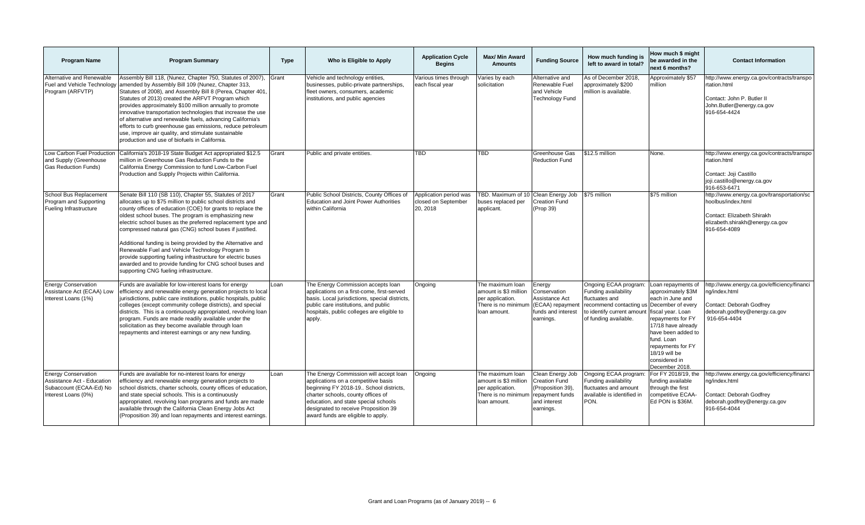| <b>Program Name</b>                                                                                        | <b>Program Summary</b>                                                                                                                                                                                                                                                                                                                                                                                                                                                                                                                                                                                                                                        | <b>Type</b> | Who is Eligible to Apply                                                                                                                                                                                                                                                            | <b>Application Cycle</b><br><b>Begins</b>                 | Max/ Min Award<br><b>Amounts</b>                                                                     | <b>Funding Source</b>                                                                                         | How much funding is<br>left to award in total?                                                                                                                      | How much \$ might<br>be awarded in the<br>next 6 months?                                                                                                                                                                                  | <b>Contact Information</b>                                                                                                                        |
|------------------------------------------------------------------------------------------------------------|---------------------------------------------------------------------------------------------------------------------------------------------------------------------------------------------------------------------------------------------------------------------------------------------------------------------------------------------------------------------------------------------------------------------------------------------------------------------------------------------------------------------------------------------------------------------------------------------------------------------------------------------------------------|-------------|-------------------------------------------------------------------------------------------------------------------------------------------------------------------------------------------------------------------------------------------------------------------------------------|-----------------------------------------------------------|------------------------------------------------------------------------------------------------------|---------------------------------------------------------------------------------------------------------------|---------------------------------------------------------------------------------------------------------------------------------------------------------------------|-------------------------------------------------------------------------------------------------------------------------------------------------------------------------------------------------------------------------------------------|---------------------------------------------------------------------------------------------------------------------------------------------------|
| Alternative and Renewable<br>Fuel and Vehicle Technology<br>Program (ARFVTP)                               | Assembly Bill 118, (Nunez, Chapter 750, Statutes of 2007),<br>amended by Assembly Bill 109 (Nunez, Chapter 313,<br>Statutes of 2008), and Assembly Bill 8 (Perea, Chapter 401<br>Statutes of 2013) created the ARFVT Program which<br>provides approximately \$100 million annually to promote<br>innovative transportation technologies that increase the use<br>of alternative and renewable fuels, advancing California's<br>efforts to curb greenhouse gas emissions, reduce petroleum<br>use, improve air quality, and stimulate sustainable<br>production and use of biofuels in California.                                                            | Grant       | Vehicle and technology entities,<br>businesses, public-private partnerships,<br>fleet owners, consumers, academic<br>institutions, and public agencies                                                                                                                              | Various times through<br>each fiscal year                 | Varies by each<br>solicitation                                                                       | Alternative and<br>Renewable Fuel<br>and Vehicle<br><b>Technology Fund</b>                                    | As of December 2018.<br>approximately \$200<br>million is available.                                                                                                | Approximately \$57<br>million                                                                                                                                                                                                             | http://www.energy.ca.gov/contracts/transpo<br>rtation.html<br>Contact: John P. Butler II<br>John.Butler@energy.ca.gov<br>916-654-4424             |
| Low Carbon Fuel Production<br>and Supply (Greenhouse<br><b>Gas Reduction Funds)</b>                        | California's 2018-19 State Budget Act appropriated \$12.5<br>million in Greenhouse Gas Reduction Funds to the<br>California Energy Commission to fund Low-Carbon Fuel<br>Production and Supply Projects within California.                                                                                                                                                                                                                                                                                                                                                                                                                                    | Grant       | Public and private entities.                                                                                                                                                                                                                                                        | <b>TBD</b>                                                | <b>TBD</b>                                                                                           | Greenhouse Gas<br><b>Reduction Fund</b>                                                                       | \$12.5 million                                                                                                                                                      | None.                                                                                                                                                                                                                                     | http://www.energy.ca.gov/contracts/transpo<br>rtation.html<br>Contact: Joji Castillo<br>joji.castillo@energy.ca.gov<br>916-653-6471               |
| School Bus Replacement<br>Program and Supporting<br>Fueling Infrastructure                                 | Senate Bill 110 (SB 110), Chapter 55, Statutes of 2017<br>allocates up to \$75 million to public school districts and<br>county offices of education (COE) for grants to replace the<br>oldest school buses. The program is emphasizing new<br>electric school buses as the preferred replacement type and<br>compressed natural gas (CNG) school buses if justified.<br>Additional funding is being provided by the Alternative and<br>Renewable Fuel and Vehicle Technology Program to<br>provide supporting fueling infrastructure for electric buses<br>awarded and to provide funding for CNG school buses and<br>supporting CNG fueling infrastructure. | Grant       | Public School Districts, County Offices of<br><b>Education and Joint Power Authorities</b><br>within California                                                                                                                                                                     | Application period was<br>closed on September<br>20, 2018 | TBD. Maximum of 10 Clean Energy Job<br>buses replaced per<br>applicant.                              | <b>Creation Fund</b><br>(Prop 39)                                                                             | \$75 million                                                                                                                                                        | \$75 million                                                                                                                                                                                                                              | http://www.energy.ca.gov/transportation/sc<br>hoolbus/index.html<br>Contact: Elizabeth Shirakh<br>elizabeth.shirakh@energy.ca.gov<br>916-654-4089 |
| <b>Energy Conservation</b><br>Assistance Act (ECAA) Low<br>Interest Loans (1%)                             | Funds are available for low-interest loans for energy<br>efficiency and renewable energy generation projects to local<br>jurisdictions, public care institutions, public hospitals, public<br>colleges (except community college districts), and special<br>districts. This is a continuously appropriated, revolving loan<br>program. Funds are made readily available under the<br>solicitation as they become available through loan<br>repayments and interest earnings or any new funding.                                                                                                                                                               | Loan        | The Energy Commission accepts loan<br>applications on a first-come, first-served<br>basis. Local jurisdictions, special districts,<br>public care institutions, and public<br>hospitals, public colleges are eligible to<br>apply.                                                  | Ongoing                                                   | The maximum loan<br>amount is \$3 million<br>per application.<br>There is no minimum<br>loan amount. | Energy<br>Conservation<br>Assistance Act<br>(ECAA) repayment<br>funds and interest<br>earnings.               | Ongoing ECAA program:<br>Funding availability<br>fluctuates and<br>recommend contacting us<br>to identify current amount fiscal year. Loan<br>of funding available. | Loan repayments of<br>approximately \$3M<br>each in June and<br>December of every<br>repayments for FY<br>17/18 have already<br>have been added to<br>fund. Loan<br>repayments for FY<br>18/19 will be<br>considered in<br>December 2018. | http://www.energy.ca.gov/efficiency/financi<br>na/index.html<br>Contact: Deborah Godfrey<br>deborah.godfrey@energy.ca.gov<br>916-654-4404         |
| <b>Energy Conservation</b><br>Assistance Act - Education<br>Subaccount (ECAA-Ed) No<br>Interest Loans (0%) | Funds are available for no-interest loans for energy<br>efficiency and renewable energy generation projects to<br>school districts, charter schools, county offices of education,<br>and state special schools. This is a continuously<br>appropriated, revolving loan programs and funds are made<br>available through the California Clean Energy Jobs Act<br>(Proposition 39) and loan repayments and interest earnings.                                                                                                                                                                                                                                   | Loan        | The Energy Commission will accept loan<br>applications on a competitive basis<br>beginning FY 2018-19 School districts,<br>charter schools, county offices of<br>education, and state special schools<br>designated to receive Proposition 39<br>award funds are eligible to apply. | Ongoing                                                   | The maximum loan<br>amount is \$3 million<br>per application.<br>There is no minimum<br>loan amount. | Clean Energy Job<br><b>Creation Fund</b><br>(Proposition 39),<br>repayment funds<br>and interest<br>earnings. | Ongoing ECAA program:<br>Funding availability<br>fluctuates and amount<br>available is identified in<br>PON.                                                        | For FY 2018/19, the<br>funding available<br>through the first<br>competitive ECAA-<br>Ed PON is \$36M.                                                                                                                                    | http://www.energy.ca.gov/efficiency/financi<br>ng/index.html<br>Contact: Deborah Godfrey<br>deborah.godfrey@energy.ca.gov<br>916-654-4044         |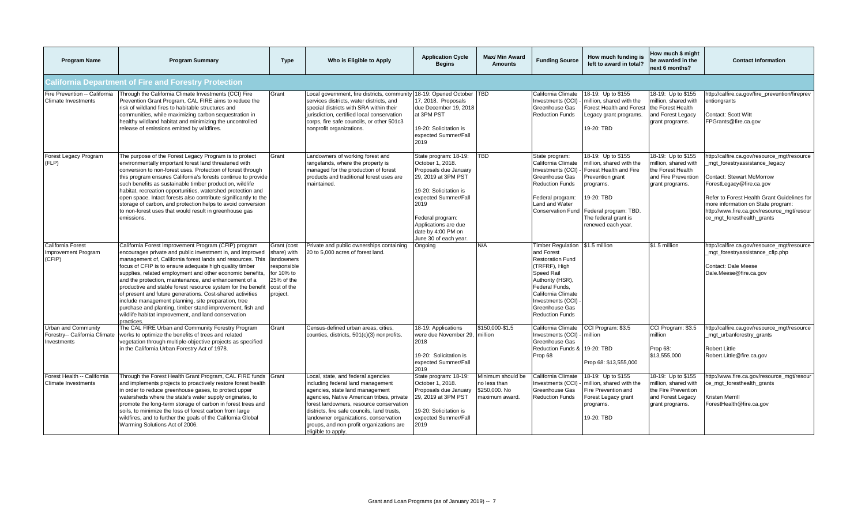| <b>Program Name</b>                                                        | <b>Program Summary</b>                                                                                                                                                                                                                                                                                                                                                                                                                                                                                                                                                                                                                                                                 | <b>Type</b>                                                                                                    | Who is Eligible to Apply                                                                                                                                                                                                                                                                                                                                      | <b>Application Cycle</b><br><b>Begins</b>                                                                                                                                                                                                      | Max/ Min Award<br><b>Amounts</b>                                     | <b>Funding Source</b>                                                                                                                                                                                                         | How much funding is<br>left to award in total?                                                                                                                                                | How much \$ might<br>be awarded in the<br>next 6 months?                                                  | <b>Contact Information</b>                                                                                                                                                                                                                                                                             |
|----------------------------------------------------------------------------|----------------------------------------------------------------------------------------------------------------------------------------------------------------------------------------------------------------------------------------------------------------------------------------------------------------------------------------------------------------------------------------------------------------------------------------------------------------------------------------------------------------------------------------------------------------------------------------------------------------------------------------------------------------------------------------|----------------------------------------------------------------------------------------------------------------|---------------------------------------------------------------------------------------------------------------------------------------------------------------------------------------------------------------------------------------------------------------------------------------------------------------------------------------------------------------|------------------------------------------------------------------------------------------------------------------------------------------------------------------------------------------------------------------------------------------------|----------------------------------------------------------------------|-------------------------------------------------------------------------------------------------------------------------------------------------------------------------------------------------------------------------------|-----------------------------------------------------------------------------------------------------------------------------------------------------------------------------------------------|-----------------------------------------------------------------------------------------------------------|--------------------------------------------------------------------------------------------------------------------------------------------------------------------------------------------------------------------------------------------------------------------------------------------------------|
|                                                                            | <b>California Department of Fire and Forestry Protection</b>                                                                                                                                                                                                                                                                                                                                                                                                                                                                                                                                                                                                                           |                                                                                                                |                                                                                                                                                                                                                                                                                                                                                               |                                                                                                                                                                                                                                                |                                                                      |                                                                                                                                                                                                                               |                                                                                                                                                                                               |                                                                                                           |                                                                                                                                                                                                                                                                                                        |
| Fire Prevention -- California<br><b>Climate Investments</b>                | Through the California Climate Investments (CCI) Fire<br>Prevention Grant Program, CAL FIRE aims to reduce the<br>risk of wildland fires to habitable structures and<br>communities, while maximizing carbon sequestration in<br>healthy wildland habitat and minimizing the uncontrolled<br>release of emissions emitted by wildfires.                                                                                                                                                                                                                                                                                                                                                | Grant                                                                                                          | Local government, fire districts, community 18-19: Opened October   TBD<br>services districts, water districts, and<br>special districts with SRA within their<br>jurisdiction, certified local conservation<br>corps, fire safe councils, or other 501c3<br>nonprofit organizations.                                                                         | 17, 2018. Proposals<br>due December 19, 2018<br>at 3PM PST<br>19-20: Solicitation is<br>expected Summer/Fall<br>2019                                                                                                                           |                                                                      | California Climate<br>Investments (CCI)<br>Greenhouse Gas<br><b>Reduction Funds</b>                                                                                                                                           | 18-19: Up to \$155<br>million, shared with the<br>Forest Health and Forest<br>Legacy grant programs.<br>19-20: TBD                                                                            | 18-19: Up to \$155<br>million, shared with<br>the Forest Health<br>and Forest Legacy<br>grant programs.   | nttp://calfire.ca.gov/fire_prevention/fireprev<br>entiongrants<br>Contact: Scott Witt<br>FPGrants@fire.ca.gov                                                                                                                                                                                          |
| Forest Legacy Program<br>(FLP)                                             | The purpose of the Forest Legacy Program is to protect<br>environmentally important forest land threatened with<br>conversion to non-forest uses. Protection of forest through<br>this program ensures California's forests continue to provide<br>such benefits as sustainable timber production, wildlife<br>habitat, recreation opportunities, watershed protection and<br>open space. Intact forests also contribute significantly to the<br>storage of carbon, and protection helps to avoid conversion<br>to non-forest uses that would result in greenhouse gas<br>emissions.                                                                                                   | Grant                                                                                                          | Landowners of working forest and<br>rangelands, where the property is<br>managed for the production of forest<br>products and traditional forest uses are<br>maintained.                                                                                                                                                                                      | State program: 18-19:<br>October 1, 2018.<br>Proposals due January<br>29, 2019 at 3PM PST<br>19-20: Solicitation is<br>expected Summer/Fall<br>2019<br>Federal program:<br>Applications are due<br>date by 4:00 PM on<br>June 30 of each year. | <b>TBD</b>                                                           | State program:<br>California Climate<br>Investments (CCI)<br>Greenhouse Gas<br><b>Reduction Funds</b><br>Federal program:<br>Land and Water<br><b>Conservation Fund</b>                                                       | 18-19: Up to \$155<br>million, shared with the<br>Forest Health and Fire<br>Prevention grant<br>programs.<br>19-20: TBD<br>Federal program: TBD<br>The federal grant is<br>renewed each year. | 18-19: Up to \$155<br>million, shared with<br>the Forest Health<br>and Fire Prevention<br>grant programs. | nttp://calfire.ca.gov/resource_mgt/resource<br>mgt_forestryassistance_legacy<br>Contact: Stewart McMorrow<br>ForestLegacy@fire.ca.gov<br>Refer to Forest Health Grant Guidelines for<br>more information on State program:<br>http://www.fire.ca.gov/resource_mgt/resour<br>ce mgt foresthealth grants |
| California Forest<br>Improvement Program<br>(CFIP)                         | California Forest Improvement Program (CFIP) program<br>encourages private and public investment in, and improved<br>management of, California forest lands and resources. This<br>focus of CFIP is to ensure adequate high quality timber<br>supplies, related employment and other economic benefits,<br>and the protection, maintenance, and enhancement of a<br>productive and stable forest resource system for the benefit<br>of present and future generations. Cost-shared activities<br>include management planning, site preparation, tree<br>purchase and planting, timber stand improvement, fish and<br>wildlife habitat improvement, and land conservation<br>oractices. | Grant (cost<br>share) with<br>landowners<br>responsible<br>for 10% to<br>25% of the<br>cost of the<br>project. | Private and public ownerships containing<br>20 to 5,000 acres of forest land.                                                                                                                                                                                                                                                                                 | Ongoing                                                                                                                                                                                                                                        | N/A                                                                  | <b>Timber Regulation</b><br>and Forest<br><b>Restoration Fund</b><br>(TRFRF), High<br>Speed Rail<br>Authority (HSR),<br>Federal Funds.<br>California Climate<br>Investments (CCI)<br>Greenhouse Gas<br><b>Reduction Funds</b> | \$1.5 million                                                                                                                                                                                 | \$1.5 million                                                                                             | http://calfire.ca.gov/resource_mgt/resource<br>_mgt_forestryassistance_cfip.php<br>Contact: Dale Meese<br>Dale.Meese@fire.ca.gov                                                                                                                                                                       |
| <b>Urban and Community</b><br>Forestry-- California Climate<br>Investments | The CAL FIRE Urban and Community Forestry Program<br>works to optimize the benefits of trees and related<br>vegetation through multiple-objective projects as specified<br>in the California Urban Forestry Act of 1978.                                                                                                                                                                                                                                                                                                                                                                                                                                                               | Grant                                                                                                          | Census-defined urban areas, cities,<br>counties, districts, 501(c)(3) nonprofits.                                                                                                                                                                                                                                                                             | 18-19: Applications<br>were due November 29,<br>2018<br>19-20: Solicitation is<br>expected Summer/Fall<br>2019                                                                                                                                 | \$150,000-\$1.5<br>million                                           | California Climate<br>Investments (CCI) -<br>Greenhouse Gas<br>Reduction Funds &<br>Prop 68                                                                                                                                   | CCI Program: \$3.5<br>million<br>19-20: TBD<br>Prop 68: \$13,555,000                                                                                                                          | CCI Program: \$3.5<br>million<br>Prop 68:<br>\$13,555,000                                                 | http://calfire.ca.gov/resource_mgt/resource<br>_mgt_urbanforestry_grants<br>Robert Little<br>Robert.Little@fire.ca.gov                                                                                                                                                                                 |
| Forest Health -- California<br><b>Climate Investments</b>                  | Through the Forest Health Grant Program, CAL FIRE funds Grant<br>and implements projects to proactively restore forest health<br>in order to reduce greenhouse gases, to protect upper<br>watersheds where the state's water supply originates, to<br>promote the long-term storage of carbon in forest trees and<br>soils, to minimize the loss of forest carbon from large<br>wildfires, and to further the goals of the California Global<br>Warming Solutions Act of 2006.                                                                                                                                                                                                         |                                                                                                                | Local, state, and federal agencies<br>including federal land management<br>agencies, state land management<br>agencies, Native American tribes, private<br>forest landowners, resource conservation<br>districts, fire safe councils, land trusts,<br>landowner organizations, conservation<br>groups, and non-profit organizations are<br>eligible to apply. | State program: 18-19:<br>October 1, 2018.<br>Proposals due January<br>29, 2019 at 3PM PST<br>19-20: Solicitation is<br>expected Summer/Fall<br>2019                                                                                            | Minimum should be<br>no less than<br>\$250,000, No<br>maximum award. | California Climate<br>Investments (CCI)<br>Greenhouse Gas<br><b>Reduction Funds</b>                                                                                                                                           | 18-19: Up to \$155<br>million, shared with the<br>Fire Prevention and<br>Forest Legacy grant<br>programs.<br>19-20: TBD                                                                       | 18-19: Up to \$155<br>million, shared with<br>the Fire Prevention<br>and Forest Legacy<br>grant programs. | http://www.fire.ca.gov/resource_mgt/resour<br>ce_mgt_foresthealth_grants<br>Kristen Merrill<br>ForestHealth@fire.ca.gov                                                                                                                                                                                |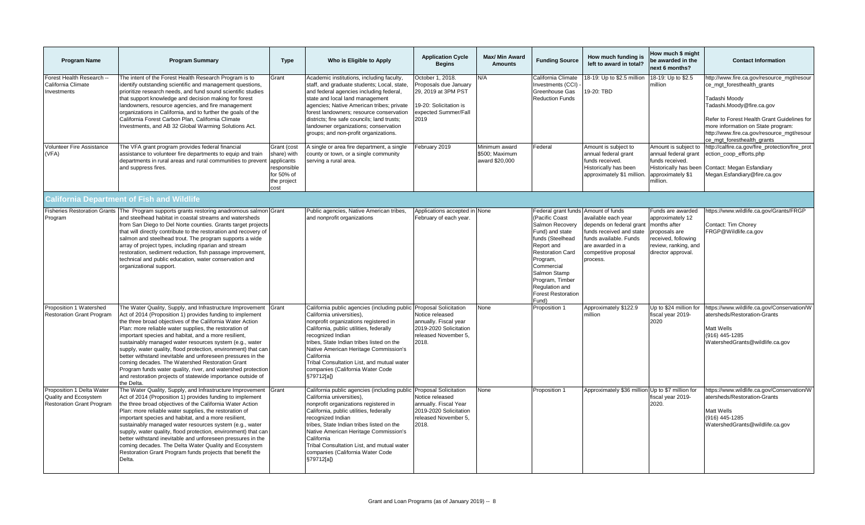| <b>Program Name</b>                                                                    | <b>Program Summary</b>                                                                                                                                                                                                                                                                                                                                                                                                                                                                                                                                                                                                                                                                            | <b>Type</b>                                                                                  | Who is Eligible to Apply                                                                                                                                                                                                                                                                                                                                                                                     | <b>Application Cycle</b><br><b>Begins</b>                                                                                  | <b>Max/ Min Award</b><br><b>Amounts</b>           | <b>Funding Source</b>                                                                                                                                                                                                                                                         | How much funding is<br>left to award in total?                                                                                                                | How much \$ might<br>be awarded in the<br>next 6 months?                                                                                    | <b>Contact Information</b>                                                                                                                                                                                                                                                              |
|----------------------------------------------------------------------------------------|---------------------------------------------------------------------------------------------------------------------------------------------------------------------------------------------------------------------------------------------------------------------------------------------------------------------------------------------------------------------------------------------------------------------------------------------------------------------------------------------------------------------------------------------------------------------------------------------------------------------------------------------------------------------------------------------------|----------------------------------------------------------------------------------------------|--------------------------------------------------------------------------------------------------------------------------------------------------------------------------------------------------------------------------------------------------------------------------------------------------------------------------------------------------------------------------------------------------------------|----------------------------------------------------------------------------------------------------------------------------|---------------------------------------------------|-------------------------------------------------------------------------------------------------------------------------------------------------------------------------------------------------------------------------------------------------------------------------------|---------------------------------------------------------------------------------------------------------------------------------------------------------------|---------------------------------------------------------------------------------------------------------------------------------------------|-----------------------------------------------------------------------------------------------------------------------------------------------------------------------------------------------------------------------------------------------------------------------------------------|
| Forest Health Research --<br>California Climate<br>Investments                         | The intent of the Forest Health Research Program is to<br>identify outstanding scientific and management questions,<br>prioritize research needs, and fund sound scientific studies<br>that support knowledge and decision making for forest<br>landowners, resource agencies, and fire management<br>organizations in California, and to further the goals of the<br>California Forest Carbon Plan, California Climate<br>Investments, and AB 32 Global Warming Solutions Act.                                                                                                                                                                                                                   | Grant                                                                                        | Academic institutions, including faculty,<br>staff, and graduate students; Local, state,<br>and federal agencies including federal,<br>state and local land management<br>agencies; Native American tribes; private<br>forest landowners; resource conservation<br>districts; fire safe councils; land trusts;<br>landowner organizations; conservation<br>groups; and non-profit organizations.             | October 1, 2018.<br>Proposals due January<br>29. 2019 at 3PM PST<br>19-20: Solicitation is<br>expected Summer/Fall<br>2019 | N/A                                               | California Climate<br>Investments (CCI)<br>Greenhouse Gas<br><b>Reduction Funds</b>                                                                                                                                                                                           | 18-19: Up to \$2.5 million<br>9-20: TBD                                                                                                                       | 18-19: Up to \$2.5<br>million                                                                                                               | http://www.fire.ca.gov/resource_mgt/resour<br>ce mgt foresthealth grants<br>Tadashi Moody<br>Tadashi.Moody@fire.ca.gov<br>Refer to Forest Health Grant Guidelines for<br>more information on State program:<br>http://www.fire.ca.gov/resource_mgt/resour<br>ce mgt foresthealth grants |
| <b>Volunteer Fire Assistance</b><br>(VFA)                                              | The VFA grant program provides federal financial<br>assistance to volunteer fire departments to equip and train<br>departments in rural areas and rural communities to prevent<br>and suppress fires.                                                                                                                                                                                                                                                                                                                                                                                                                                                                                             | Grant (cost<br>share) with<br>applicants<br>responsible<br>for 50% of<br>the project<br>cost | A single or area fire department, a single<br>county or town, or a single community<br>serving a rural area.                                                                                                                                                                                                                                                                                                 | February 2019                                                                                                              | Minimum award<br>\$500; Maximum<br>award \$20,000 | Federal                                                                                                                                                                                                                                                                       | Amount is subject to<br>annual federal grant<br>funds received.<br>Historically has been<br>approximately \$1 million.                                        | Amount is subject to<br>annual federal grant<br>funds received.<br>Historically has been<br>approximately \$1<br>million.                   | http://calfire.ca.gov/fire_protection/fire_prot<br>ection_coop_efforts.php<br>Contact: Megan Esfandiary<br>Megan.Esfandiary@fire.ca.gov                                                                                                                                                 |
|                                                                                        | <b>California Department of Fish and Wildlife</b>                                                                                                                                                                                                                                                                                                                                                                                                                                                                                                                                                                                                                                                 |                                                                                              |                                                                                                                                                                                                                                                                                                                                                                                                              |                                                                                                                            |                                                   |                                                                                                                                                                                                                                                                               |                                                                                                                                                               |                                                                                                                                             |                                                                                                                                                                                                                                                                                         |
| Program                                                                                | Fisheries Restoration Grants The Program supports grants restoring anadromous salmon Grant<br>and steelhead habitat in coastal streams and watersheds<br>from San Diego to Del Norte counties. Grants target projects<br>that will directly contribute to the restoration and recovery of<br>salmon and steelhead trout. The program supports a wide<br>array of project types, including riparian and stream<br>restoration, sediment reduction, fish passage improvement,<br>technical and public education, water conservation and<br>organizational support.                                                                                                                                  |                                                                                              | Public agencies, Native American tribes,<br>and nonprofit organizations                                                                                                                                                                                                                                                                                                                                      | Applications accepted in None<br>February of each year.                                                                    |                                                   | Federal grant funds Amount of funds<br>(Pacific Coast<br>Salmon Recovery<br>Fund) and state<br>funds (Steelhead<br>Report and<br><b>Restoration Card</b><br>Program,<br>Commercial<br>Salmon Stamp<br>Program, Timber<br>Regulation and<br><b>Forest Restoration</b><br>Fund) | available each year<br>depends on federal grant<br>funds received and state<br>funds available. Funds<br>are awarded in a<br>competitive proposal<br>process. | Funds are awarded<br>approximately 12<br>months after<br>proposals are<br>received, following<br>review, ranking, and<br>director approval. | https://www.wildlife.ca.gov/Grants/FRGP<br>Contact: Tim Chorey<br>FRGP@Wildlife.ca.gov                                                                                                                                                                                                  |
| Proposition 1 Watershed<br><b>Restoration Grant Program</b>                            | The Water Quality, Supply, and Infrastructure Improvement<br>Act of 2014 (Proposition 1) provides funding to implement<br>the three broad objectives of the California Water Action<br>Plan: more reliable water supplies, the restoration of<br>important species and habitat, and a more resilient,<br>sustainably managed water resources system (e.g., water<br>supply, water quality, flood protection, environment) that car<br>better withstand inevitable and unforeseen pressures in the<br>coming decades. The Watershed Restoration Grant<br>Program funds water quality, river, and watershed protectior<br>and restoration projects of statewide importance outside of<br>the Delta. | Grant                                                                                        | California public agencies (including public Proposal Solicitation<br>California universities),<br>nonprofit organizations registered in<br>California, public utilities, federally<br>recognized Indian<br>tribes. State Indian tribes listed on the<br>Native American Heritage Commission's<br>California<br>Tribal Consultation List, and mutual water<br>companies (California Water Code<br>§79712[a]) | Notice released<br>annually. Fiscal year<br>2019-2020 Solicitation<br>released November 5.<br>2018.                        | None                                              | Proposition 1                                                                                                                                                                                                                                                                 | Approximately \$122.9<br>million                                                                                                                              | Up to \$24 million for<br>fiscal year 2019-<br>2020                                                                                         | https://www.wildlife.ca.gov/Conservation/W<br>atersheds/Restoration-Grants<br>Matt Wells<br>(916) 445-1285<br>WatershedGrants@wildlife.ca.gov                                                                                                                                           |
| Proposition 1 Delta Water<br>Quality and Ecosystem<br><b>Restoration Grant Program</b> | The Water Quality, Supply, and Infrastructure Improvement<br>Act of 2014 (Proposition 1) provides funding to implement<br>the three broad objectives of the California Water Action<br>Plan: more reliable water supplies, the restoration of<br>important species and habitat, and a more resilient,<br>sustainably managed water resources system (e.g., water<br>supply, water quality, flood protection, environment) that car<br>better withstand inevitable and unforeseen pressures in the<br>coming decades. The Delta Water Quality and Ecosystem<br>Restoration Grant Program funds projects that benefit the<br>Delta.                                                                 | Grant                                                                                        | California public agencies (including public Proposal Solicitation<br>California universities),<br>nonprofit organizations registered in<br>California, public utilities, federally<br>recognized Indian<br>tribes, State Indian tribes listed on the<br>Native American Heritage Commission's<br>California<br>Tribal Consultation List, and mutual water<br>companies (California Water Code<br>§79712[a]) | Notice released<br>annually. Fiscal Year<br>2019-2020 Solicitation<br>released November 5,<br>2018.                        | None                                              | Proposition 1                                                                                                                                                                                                                                                                 | Approximately \$36 million Up to \$7 million for                                                                                                              | fiscal year 2019-<br>2020.                                                                                                                  | https://www.wildlife.ca.gov/Conservation/W<br>atersheds/Restoration-Grants<br>Matt Wells<br>(916) 445-1285<br>WatershedGrants@wildlife.ca.gov                                                                                                                                           |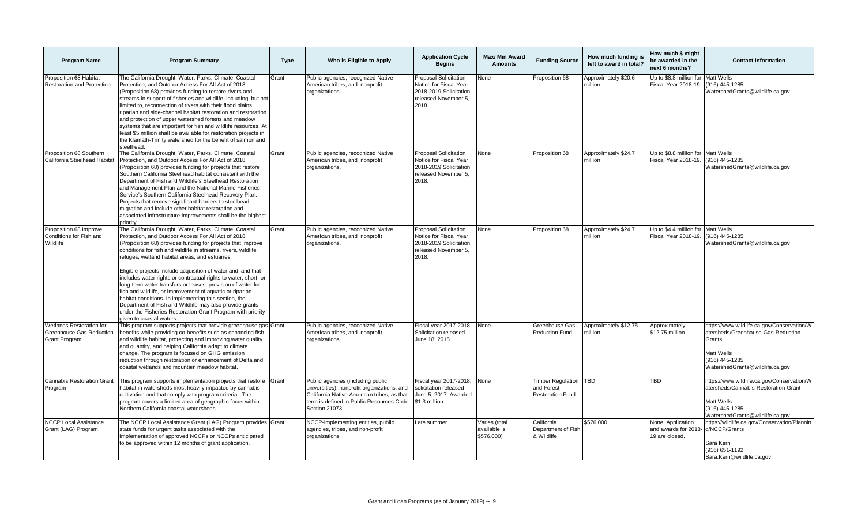| <b>Program Name</b>                                                                 | <b>Program Summary</b>                                                                                                                                                                                                                                                                                                                                                                                                                                                                                                                                                                                                                                                                                                                                                      | <b>Type</b> | Who is Eligible to Apply                                                                                                                                                                     | <b>Application Cycle</b><br><b>Begins</b>                                                                         | Max/ Min Award<br><b>Amounts</b>            | <b>Funding Source</b>                                             | How much funding is<br>left to award in total? | How much \$ might<br>be awarded in the<br>next 6 months?    | <b>Contact Information</b>                                                                                                                                     |
|-------------------------------------------------------------------------------------|-----------------------------------------------------------------------------------------------------------------------------------------------------------------------------------------------------------------------------------------------------------------------------------------------------------------------------------------------------------------------------------------------------------------------------------------------------------------------------------------------------------------------------------------------------------------------------------------------------------------------------------------------------------------------------------------------------------------------------------------------------------------------------|-------------|----------------------------------------------------------------------------------------------------------------------------------------------------------------------------------------------|-------------------------------------------------------------------------------------------------------------------|---------------------------------------------|-------------------------------------------------------------------|------------------------------------------------|-------------------------------------------------------------|----------------------------------------------------------------------------------------------------------------------------------------------------------------|
| Proposition 68 Habitat<br>Restoration and Protection                                | The California Drought, Water, Parks, Climate, Coastal<br>Protection, and Outdoor Access For All Act of 2018<br>(Proposition 68) provides funding to restore rivers and<br>streams in support of fisheries and wildlife, including, but not<br>limited to, reconnection of rivers with their flood plains,<br>riparian and side-channel habitat restoration and restoration<br>and protection of upper watershed forests and meadow<br>systems that are important for fish and wildlife resources. At<br>least \$5 million shall be available for restoration projects in<br>the Klamath-Trinity watershed for the benefit of salmon and<br>steelhead.                                                                                                                      | Grant       | Public agencies, recognized Native<br>American tribes, and nonprofit<br>organizations.                                                                                                       | Proposal Solicitation<br>Notice for Fiscal Year<br>2018-2019 Solicitation<br>released November 5.<br>2018.        | None                                        | Proposition 68                                                    | Approximately \$20.6<br>million                | Up to \$8.8 million for<br>Fiscal Year 2018-19.             | Matt Wells<br>(916) 445-1285<br>WatershedGrants@wildlife.ca.gov                                                                                                |
| Proposition 68 Southern<br>California Steelhead Habitat                             | The California Drought, Water, Parks, Climate, Coastal<br>Protection, and Outdoor Access For All Act of 2018<br>(Proposition 68) provides funding for projects that restore<br>Southern California Steelhead habitat consistent with the<br>Department of Fish and Wildlife's Steelhead Restoration<br>and Management Plan and the National Marine Fisheries<br>Service's Southern California Steelhead Recovery Plan.<br>Projects that remove significant barriers to steelhead<br>migration and include other habitat restoration and<br>associated infrastructure improvements shall be the highest<br>priority.                                                                                                                                                         | Grant       | Public agencies, recognized Native<br>American tribes, and nonprofit<br>organizations.                                                                                                       | Proposal Solicitation<br>Notice for Fiscal Year<br>2018-2019 Solicitation<br>released November 5,<br>2018.        | None                                        | Proposition 68                                                    | Approximately \$24.7<br>million                | Up to \$8.8 million for<br>Fiscal Year 2018-19.             | Matt Wells<br>(916) 445-1285<br>WatershedGrants@wildlife.ca.gov                                                                                                |
| Proposition 68 Improve<br>Conditions for Fish and<br>Wildlife                       | The California Drought, Water, Parks, Climate, Coastal<br>Protection, and Outdoor Access For All Act of 2018<br>(Proposition 68) provides funding for projects that improve<br>conditions for fish and wildlife in streams, rivers, wildlife<br>refuges, wetland habitat areas, and estuaries.<br>Eligible projects include acquisition of water and land that<br>includes water rights or contractual rights to water, short- or<br>long-term water transfers or leases, provision of water for<br>fish and wildlife, or improvement of aquatic or riparian<br>habitat conditions. In implementing this section, the<br>Department of Fish and Wildlife may also provide grants<br>under the Fisheries Restoration Grant Program with priority<br>given to coastal waters. | Grant       | Public agencies, recognized Native<br>American tribes, and nonprofit<br>organizations.                                                                                                       | <b>Proposal Solicitation</b><br>Notice for Fiscal Year<br>2018-2019 Solicitation<br>released November 5,<br>2018. | None                                        | Proposition 68                                                    | Approximately \$24.7<br>million                | Up to \$4.4 million for Matt Wells<br>Fiscal Year 2018-19.  | (916) 445-1285<br>WatershedGrants@wildlife.ca.gov                                                                                                              |
| Wetlands Restoration for<br><b>Greenhouse Gas Reduction</b><br><b>Grant Program</b> | This program supports projects that provide greenhouse gas Grant<br>benefits while providing co-benefits such as enhancing fish<br>and wildlife habitat, protecting and improving water quality<br>and quantity, and helping California adapt to climate<br>change. The program is focused on GHG emission<br>reduction through restoration or enhancement of Delta and<br>coastal wetlands and mountain meadow habitat.                                                                                                                                                                                                                                                                                                                                                    |             | Public agencies, recognized Native<br>American tribes, and nonprofit<br>organizations.                                                                                                       | Fiscal year 2017-2018<br>Solicitation released<br>June 18, 2018.                                                  | None                                        | Greenhouse Gas<br><b>Reduction Fund</b>                           | Approximately \$12.75<br>million               | Approximately<br>\$12.75 million                            | https://www.wildlife.ca.gov/Conservation/W<br>atersheds/Greenhouse-Gas-Reduction-<br>Grants<br>Matt Wells<br>(916) 445-1285<br>WatershedGrants@wildlife.ca.gov |
| <b>Cannabis Restoration Grant</b><br>Program                                        | This program supports implementation projects that restore<br>habitat in watersheds most heavily impacted by cannabis<br>cultivation and that comply with program criteria. The<br>program covers a limited area of geographic focus within<br>Northern California coastal watersheds.                                                                                                                                                                                                                                                                                                                                                                                                                                                                                      | Grant       | Public agencies (including public<br>universities); nonprofit organizations; and<br>California Native American tribes, as that<br>term is defined in Public Resources Code<br>Section 21073. | Fiscal year 2017-2018,<br>solicitation released<br>June 5, 2017. Awarded<br>\$1.3 million                         | None                                        | <b>Timber Requlation</b><br>and Forest<br><b>Restoration Fund</b> | TBD                                            | TBD                                                         | https://www.wildlife.ca.gov/Conservation/W<br>atersheds/Cannabis-Restoration-Grant<br>Matt Wells<br>(916) 445-1285<br>WatershedGrants@wildlife.ca.gov          |
| <b>NCCP Local Assistance</b><br>Grant (LAG) Program                                 | The NCCP Local Assistance Grant (LAG) Program provides Grant<br>state funds for urgent tasks associated with the<br>implementation of approved NCCPs or NCCPs anticipated<br>to be approved within 12 months of grant application.                                                                                                                                                                                                                                                                                                                                                                                                                                                                                                                                          |             | NCCP-implementing entities, public<br>agencies, tribes, and non-profit<br>organizations                                                                                                      | Late summer                                                                                                       | Varies (total<br>available is<br>\$576,000) | California<br>Department of Fish<br>& Wildlife                    | \$576,000                                      | None. Application<br>and awards for 2018-<br>19 are closed. | https://wildlife.ca.gov/Conservation/Plannin<br>q/NCCP/Grants<br>Sara Kern<br>(916) 651-1192<br>Sara.Kern@wildlife.ca.gov                                      |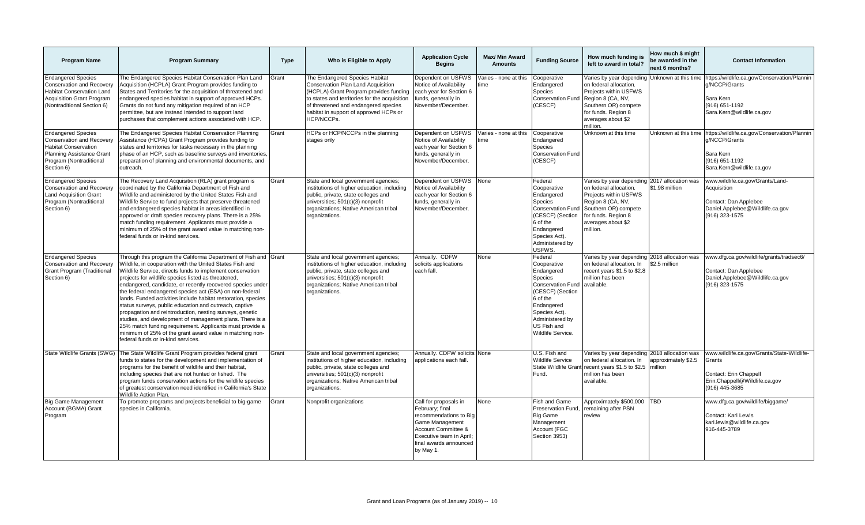| <b>Program Name</b>                                                                                                                                                 | <b>Program Summary</b>                                                                                                                                                                                                                                                                                                                                                                                                                                                                                                                                                                                                                                                                                                                                                                     | <b>Type</b> | Who is Eligible to Apply                                                                                                                                                                                                                                        | <b>Application Cycle</b><br><b>Begins</b>                                                                                                                                       | Max/ Min Award<br><b>Amounts</b> | <b>Funding Source</b>                                                                                                                                                                                    | How much funding is<br>left to award in total?                                                                                                                                                         | How much \$ might<br>be awarded in the<br>next 6 months? | <b>Contact Information</b>                                                                                                                     |
|---------------------------------------------------------------------------------------------------------------------------------------------------------------------|--------------------------------------------------------------------------------------------------------------------------------------------------------------------------------------------------------------------------------------------------------------------------------------------------------------------------------------------------------------------------------------------------------------------------------------------------------------------------------------------------------------------------------------------------------------------------------------------------------------------------------------------------------------------------------------------------------------------------------------------------------------------------------------------|-------------|-----------------------------------------------------------------------------------------------------------------------------------------------------------------------------------------------------------------------------------------------------------------|---------------------------------------------------------------------------------------------------------------------------------------------------------------------------------|----------------------------------|----------------------------------------------------------------------------------------------------------------------------------------------------------------------------------------------------------|--------------------------------------------------------------------------------------------------------------------------------------------------------------------------------------------------------|----------------------------------------------------------|------------------------------------------------------------------------------------------------------------------------------------------------|
| <b>Endangered Species</b><br><b>Conservation and Recovery</b><br><b>Habitat Conservation Land</b><br><b>Acquisition Grant Program</b><br>(Nontraditional Section 6) | The Endangered Species Habitat Conservation Plan Land<br>Acquisition (HCPLA) Grant Program provides funding to<br>States and Territories for the acquisition of threatened and<br>endangered species habitat in support of approved HCPs.<br>Grants do not fund any mitigation required of an HCP<br>permittee, but are instead intended to support land<br>purchases that complement actions associated with HCP.                                                                                                                                                                                                                                                                                                                                                                         | Grant       | The Endangered Species Habitat<br>Conservation Plan Land Acquisition<br>(HCPLA) Grant Program provides funding<br>to states and territories for the acquisition<br>of threatened and endangered species<br>habitat in support of approved HCPs or<br>HCP/NCCPs. | Dependent on USFWS<br>Notice of Availability<br>each year for Section 6<br>funds, generally in<br>November/December.                                                            | /aries - none at this<br>ime     | Cooperative<br>Endangered<br>Species<br><b>Conservation Fund</b><br>(CESCF)                                                                                                                              | Varies by year depending Unknown at this time<br>on federal allocation.<br>Projects within USFWS<br>Region 8 (CA, NV,<br>Southern OR) compete<br>for funds. Region 8<br>averages about \$2<br>million. |                                                          | https://wildlife.ca.gov/Conservation/Plannin<br>g/NCCP/Grants<br>Sara Kern<br>(916) 651-1192<br>Sara.Kern@wildlife.ca.gov                      |
| <b>Endangered Species</b><br>Conservation and Recovery<br><b>Habitat Conservation</b><br>Planning Assistance Grant<br>Program (Nontraditional<br>Section 6)         | The Endangered Species Habitat Conservation Planning<br>Assistance (HCPA) Grant Program provides funding to<br>states and territories for tasks necessary in the planning<br>phase of an HCP, such as baseline surveys and inventories,<br>preparation of planning and environmental documents, and<br>outreach.                                                                                                                                                                                                                                                                                                                                                                                                                                                                           | Grant       | HCPs or HCP/NCCPs in the planning<br>stages only                                                                                                                                                                                                                | Dependent on USFWS<br>Notice of Availability<br>each year for Section 6<br>funds, generally in<br>November/December.                                                            | /aries - none at this<br>me      | Cooperative<br>Endangered<br>Species<br><b>Conservation Fund</b><br>(CESCF)                                                                                                                              | Unknown at this time                                                                                                                                                                                   |                                                          | Unknown at this time https://wildlife.ca.gov/Conservation/Plannir<br>g/NCCP/Grants<br>Sara Kern<br>(916) 651-1192<br>Sara.Kern@wildlife.ca.gov |
| <b>Endangered Species</b><br>Conservation and Recovery<br><b>Land Acquisition Grant</b><br>Program (Nontraditional<br>Section 6)                                    | The Recovery Land Acquisition (RLA) grant program is<br>coordinated by the California Department of Fish and<br>Wildlife and administered by the United States Fish and<br>Wildlife Service to fund projects that preserve threatened<br>and endangered species habitat in areas identified in<br>approved or draft species recovery plans. There is a 25%<br>match funding requirement. Applicants must provide a<br>minimum of 25% of the grant award value in matching non-<br>federal funds or in-kind services.                                                                                                                                                                                                                                                                       | Grant       | State and local government agencies;<br>institutions of higher education, including<br>public, private, state colleges and<br>universities; 501(c)(3) nonprofit<br>organizations; Native American tribal<br>organizations.                                      | Dependent on USFWS None<br>Notice of Availability<br>each year for Section 6<br>funds, generally in<br>November/December.                                                       |                                  | Federal<br>Cooperative<br>Endangered<br><b>Species</b><br><b>Conservation Fund</b><br>(CESCF) (Section<br>6 of the<br>Endangered<br>Species Act).<br>Administered by<br>USFWS.                           | Varies by year depending 2017 allocation was<br>on federal allocation.<br>Projects within USFWS<br>Region 8 (CA, NV,<br>Southern OR) compete<br>for funds. Region 8<br>averages about \$2<br>million.  | \$1.98 million                                           | www.wildlife.ca.gov/Grants/Land-<br>Acquisition<br>Contact: Dan Applebee<br>Daniel.Applebee@Wildlife.ca.gov<br>(916) 323-1575                  |
| <b>Endangered Species</b><br>Conservation and Recovery<br><b>Grant Program (Traditional</b><br>Section 6)                                                           | Through this program the California Department of Fish and Grant<br>Wildlife, in cooperation with the United States Fish and<br>Wildlife Service, directs funds to implement conservation<br>projects for wildlife species listed as threatened,<br>endangered, candidate, or recently recovered species under<br>the federal endangered species act (ESA) on non-federal<br>lands. Funded activities include habitat restoration, species<br>status surveys, public education and outreach, captive<br>propagation and reintroduction, nesting surveys, genetic<br>studies, and development of management plans. There is a<br>25% match funding requirement. Applicants must provide a<br>minimum of 25% of the grant award value in matching non-<br>federal funds or in-kind services. |             | State and local government agencies;<br>institutions of higher education, including<br>public, private, state colleges and<br>universities; 501(c)(3) nonprofit<br>organizations; Native American tribal<br>organizations.                                      | Annually. CDFW<br>solicits applications<br>each fall.                                                                                                                           | None                             | Federal<br>Cooperative<br>Endangered<br><b>Species</b><br><b>Conservation Fund</b><br>(CESCF) (Section<br>6 of the<br>Endangered<br>Species Act).<br>Administered by<br>US Fish and<br>Wildlife Service. | Varies by year depending 2018 allocation was<br>on federal allocation. In<br>recent years \$1.5 to \$2.8<br>million has been<br>available.                                                             | \$2.5 million                                            | www.dfg.ca.gov/wildlife/grants/tradsec6/<br>Contact: Dan Applebee<br>Daniel.Applebee@Wildlife.ca.gov<br>(916) 323-1575                         |
| State Wildlife Grants (SWG)                                                                                                                                         | The State Wildlife Grant Program provides federal grant<br>funds to states for the development and implementation of<br>programs for the benefit of wildlife and their habitat,<br>including species that are not hunted or fished. The<br>program funds conservation actions for the wildlife species<br>of greatest conservation need identified in California's State<br>Wildlife Action Plan.                                                                                                                                                                                                                                                                                                                                                                                          | Grant       | State and local government agencies;<br>institutions of higher education, including<br>public, private, state colleges and<br>universities; 501(c)(3) nonprofit<br>organizations; Native American tribal<br>organizations.                                      | Annually. CDFW solicits None<br>applications each fall.                                                                                                                         |                                  | U.S. Fish and<br><b>Wildlife Service</b><br>State Wildlife Grant<br>Fund.                                                                                                                                | Varies by year depending 2018 allocation was<br>on federal allocation. In<br>recent years \$1.5 to \$2.5 million<br>million has been<br>available.                                                     | approximately \$2.5                                      | www.wildlife.ca.gov/Grants/State-Wildlife-<br>Grants<br>Contact: Erin Chappell<br>Erin.Chappell@Wildlife.ca.gov<br>(916) 445-3685              |
| <b>Big Game Management</b><br>Account (BGMA) Grant<br>Program                                                                                                       | To promote programs and projects beneficial to big-game<br>species in California.                                                                                                                                                                                                                                                                                                                                                                                                                                                                                                                                                                                                                                                                                                          | Grant       | Nonprofit organizations                                                                                                                                                                                                                                         | Call for proposals in<br>February; final<br>recommendations to Big<br>Game Management<br>Account Committee &<br>Executive team in April:<br>final awards announced<br>by May 1. | None                             | Fish and Game<br>Preservation Fund,<br><b>Big Game</b><br>Management<br>Account (FGC<br>Section 3953)                                                                                                    | Approximately \$500,000<br>remaining after PSN<br>review                                                                                                                                               | <b>TBD</b>                                               | www.dfg.ca.gov/wildlife/biggame/<br>Contact: Kari Lewis<br>kari.lewis@wildlife.ca.gov<br>916-445-3789                                          |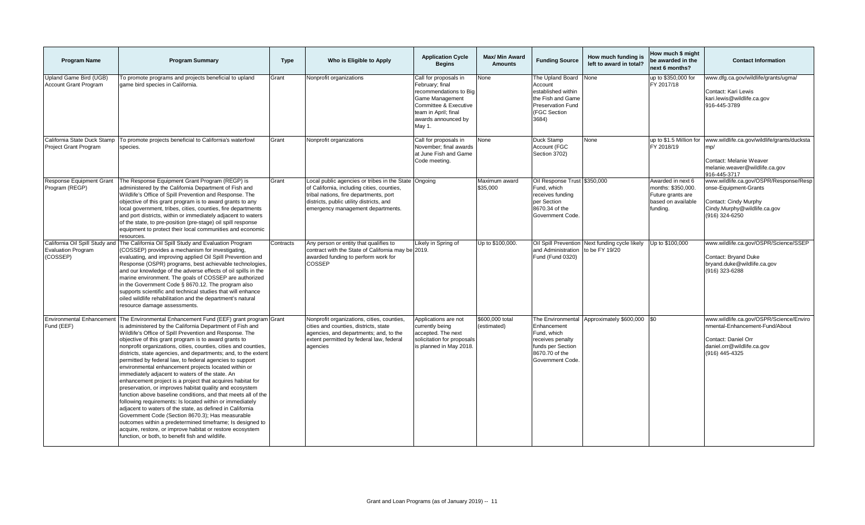| <b>Program Name</b>                                                     | <b>Program Summary</b>                                                                                                                                                                                                                                                                                                                                                                                                                                                                                                                                                                                                                                                                                                                                                                                                                                                                                                                                                                                                                                                                                        | <b>Type</b> | Who is Eligible to Apply                                                                                                                                                                                                      | <b>Application Cycle</b><br><b>Begins</b>                                                                                                                               | <b>Max/ Min Award</b><br><b>Amounts</b> | <b>Funding Source</b>                                                                                                       | How much funding is<br>left to award in total? | How much \$ might<br>be awarded in the<br>next 6 months?                                       | <b>Contact Information</b>                                                                                                                       |
|-------------------------------------------------------------------------|---------------------------------------------------------------------------------------------------------------------------------------------------------------------------------------------------------------------------------------------------------------------------------------------------------------------------------------------------------------------------------------------------------------------------------------------------------------------------------------------------------------------------------------------------------------------------------------------------------------------------------------------------------------------------------------------------------------------------------------------------------------------------------------------------------------------------------------------------------------------------------------------------------------------------------------------------------------------------------------------------------------------------------------------------------------------------------------------------------------|-------------|-------------------------------------------------------------------------------------------------------------------------------------------------------------------------------------------------------------------------------|-------------------------------------------------------------------------------------------------------------------------------------------------------------------------|-----------------------------------------|-----------------------------------------------------------------------------------------------------------------------------|------------------------------------------------|------------------------------------------------------------------------------------------------|--------------------------------------------------------------------------------------------------------------------------------------------------|
| Upland Game Bird (UGB)<br><b>Account Grant Program</b>                  | To promote programs and projects beneficial to upland<br>game bird species in California.                                                                                                                                                                                                                                                                                                                                                                                                                                                                                                                                                                                                                                                                                                                                                                                                                                                                                                                                                                                                                     | Grant       | Nonprofit organizations                                                                                                                                                                                                       | Call for proposals in<br>February; final<br>recommendations to Big<br>Game Management<br>Committee & Executive<br>team in April; final<br>awards announced by<br>May 1. | None                                    | The Upland Board<br>Account<br>established within<br>the Fish and Game<br><b>Preservation Fund</b><br>(FGC Section<br>3684) | None                                           | up to \$350,000 for<br>FY 2017/18                                                              | www.dfg.ca.gov/wildlife/grants/ugma/<br>Contact: Kari Lewis<br>kari.lewis@wildlife.ca.gov<br>916-445-3789                                        |
| California State Duck Stamp<br><b>Project Grant Program</b>             | To promote projects beneficial to California's waterfowl<br>species.                                                                                                                                                                                                                                                                                                                                                                                                                                                                                                                                                                                                                                                                                                                                                                                                                                                                                                                                                                                                                                          | Grant       | Nonprofit organizations                                                                                                                                                                                                       | Call for proposals in<br>November; final awards<br>at June Fish and Game<br>Code meeting.                                                                               | None                                    | Duck Stamp<br>Account (FGC<br>Section 3702)                                                                                 | None                                           | up to \$1.5 Million for<br>FY 2018/19                                                          | www.wildlife.ca.gov/wildlife/grants/ducksta<br>mp/<br>Contact: Melanie Weaver<br>melanie.weaver@wildlife.ca.gov<br>916-445-3717                  |
| Response Equipment Grant<br>Program (REGP)                              | The Response Equipment Grant Program (REGP) is<br>administered by the California Department of Fish and<br>Wildlife's Office of Spill Prevention and Response. The<br>objective of this grant program is to award grants to any<br>local government, tribes, cities, counties, fire departments<br>and port districts, within or immediately adjacent to waters<br>of the state, to pre-position (pre-stage) oil spill response<br>equipment to protect their local communities and economic<br>resources.                                                                                                                                                                                                                                                                                                                                                                                                                                                                                                                                                                                                    | Grant       | Local public agencies or tribes in the State Ongoing<br>of California, including cities, counties,<br>tribal nations, fire departments, port<br>districts, public utility districts, and<br>emergency management departments. |                                                                                                                                                                         | Maximum award<br>\$35,000               | Oil Response Trust \$350,000<br>Fund, which<br>receives funding<br>per Section<br>8670.34 of the<br>Government Code.        |                                                | Awarded in next 6<br>months: \$350,000.<br>Future grants are<br>based on available<br>funding. | www.wildlife.ca.gov/OSPR/Response/Resp<br>onse-Equipment-Grants<br>Contact: Cindy Murphy<br>Cindy.Murphy@wildlife.ca.gov<br>(916) 324-6250       |
| California Oil Spill Study and<br><b>Evaluation Program</b><br>(COSSEP) | The California Oil Spill Study and Evaluation Program<br>(COSSEP) provides a mechanism for investigating,<br>evaluating, and improving applied Oil Spill Prevention and<br>Response (OSPR) programs, best achievable technologies,<br>and our knowledge of the adverse effects of oil spills in the<br>marine environment. The goals of COSSEP are authorized<br>in the Government Code § 8670.12. The program also<br>supports scientific and technical studies that will enhance<br>oiled wildlife rehabilitation and the department's natural<br>resource damage assessments.                                                                                                                                                                                                                                                                                                                                                                                                                                                                                                                              | Contracts   | Any person or entity that qualifies to<br>contract with the State of California may be 2019.<br>awarded funding to perform work for<br><b>COSSEP</b>                                                                          | Likely in Spring of                                                                                                                                                     | Up to \$100,000.                        | Oil Spill Prevention<br>and Administration<br>Fund (Fund 0320)                                                              | Next funding cycle likely<br>to be FY 19/20    | Up to \$100,000                                                                                | www.wildlife.ca.gov/OSPR/Science/SSEP<br>Contact: Bryand Duke<br>bryand.duke@wildlife.ca.gov<br>(916) 323-6288                                   |
| <b>Environmental Enhancement</b><br>Fund (EEF)                          | The Environmental Enhancement Fund (EEF) grant program Grant<br>is administered by the California Department of Fish and<br>Wildlife's Office of Spill Prevention and Response. The<br>objective of this grant program is to award grants to<br>nonprofit organizations, cities, counties, cities and counties,<br>districts, state agencies, and departments; and, to the extent<br>permitted by federal law, to federal agencies to support<br>environmental enhancement projects located within or<br>immediately adjacent to waters of the state. An<br>enhancement project is a project that acquires habitat for<br>preservation, or improves habitat quality and ecosystem<br>function above baseline conditions, and that meets all of the<br>following requirements: Is located within or immediately<br>adjacent to waters of the state, as defined in California<br>Government Code (Section 8670.3); Has measurable<br>outcomes within a predetermined timeframe; Is designed to<br>acquire, restore, or improve habitat or restore ecosystem<br>function, or both, to benefit fish and wildlife. |             | Nonprofit organizations, cities, counties,<br>cities and counties, districts, state<br>agencies, and departments; and, to the<br>extent permitted by federal law, federal<br>agencies                                         | Applications are not<br>currently being<br>accepted. The next<br>solicitation for proposals<br>is planned in May 2018.                                                  | \$600,000 total<br>(estimated)          | Enhancement<br>Fund, which<br>receives penalty<br>funds per Section<br>8670.70 of the<br><b>Government Code</b>             | The Environmental Approximately \$600,000 \$0  |                                                                                                | www.wildlife.ca.gov/OSPR/Science/Enviro<br>nmental-Enhancement-Fund/About<br>Contact: Daniel Orr<br>daniel.orr@wildlife.ca.gov<br>(916) 445-4325 |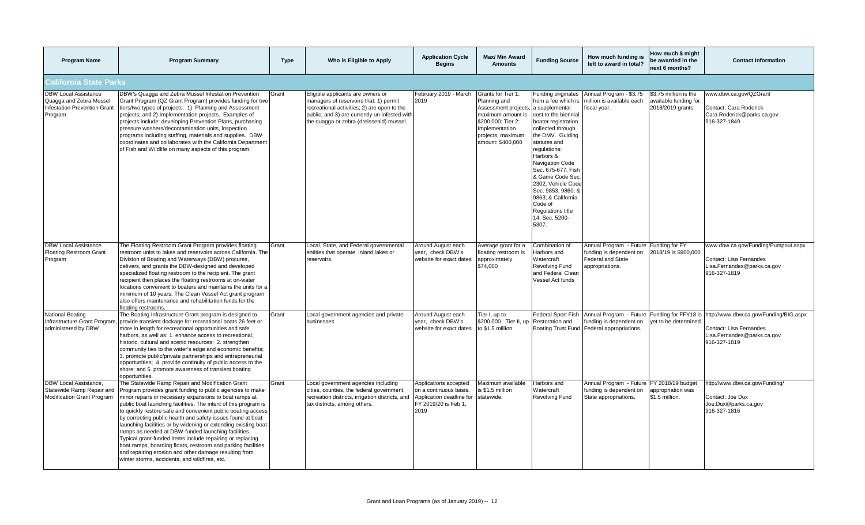| <b>Program Name</b>                                                                              | <b>Program Summary</b>                                                                                                                                                                                                                                                                                                                                                                                                                                                                                                                                                                                                                                                                                                                    | <b>Type</b> | Who is Eligible to Apply                                                                                                                                                                                                | <b>Application Cycle</b><br><b>Begins</b>                                                                   | <b>Max/ Min Award</b><br><b>Amounts</b>                                                                                                                           | <b>Funding Source</b>                                                                                                                                                                                                                                                                                                                                                                            | How much funding is<br>left to award in total?                                                                   | How much \$ might<br>be awarded in the<br>next 6 months?           | <b>Contact Information</b>                                                                                       |
|--------------------------------------------------------------------------------------------------|-------------------------------------------------------------------------------------------------------------------------------------------------------------------------------------------------------------------------------------------------------------------------------------------------------------------------------------------------------------------------------------------------------------------------------------------------------------------------------------------------------------------------------------------------------------------------------------------------------------------------------------------------------------------------------------------------------------------------------------------|-------------|-------------------------------------------------------------------------------------------------------------------------------------------------------------------------------------------------------------------------|-------------------------------------------------------------------------------------------------------------|-------------------------------------------------------------------------------------------------------------------------------------------------------------------|--------------------------------------------------------------------------------------------------------------------------------------------------------------------------------------------------------------------------------------------------------------------------------------------------------------------------------------------------------------------------------------------------|------------------------------------------------------------------------------------------------------------------|--------------------------------------------------------------------|------------------------------------------------------------------------------------------------------------------|
| California State Parks                                                                           |                                                                                                                                                                                                                                                                                                                                                                                                                                                                                                                                                                                                                                                                                                                                           |             |                                                                                                                                                                                                                         |                                                                                                             |                                                                                                                                                                   |                                                                                                                                                                                                                                                                                                                                                                                                  |                                                                                                                  |                                                                    |                                                                                                                  |
| <b>DBW Local Assistance</b><br>Quagga and Zebra Mussel<br>nfestation Prevention Grant<br>Program | DBW's Quagga and Zebra Mussel Infestation Prevention<br>Grant Program (QZ Grant Program) provides funding for two<br>tiers/two types of projects: 1) Planning and Assessment<br>projects; and 2) Implementation projects. Examples of<br>projects include: developing Prevention Plans, purchasing<br>pressure washers/decontamination units, inspection<br>programs including staffing, materials and supplies. DBW<br>coordinates and collaborates with the California Department<br>of Fish and Wildlife on many aspects of this program.                                                                                                                                                                                              | Grant       | Eligible applicants are owners or<br>managers of reservoirs that: 1) permit<br>recreational activities; 2) are open to the<br>public; and 3) are currently un-infested with<br>the quagga or zebra (dreissenid) mussel. | February 2019 - March<br>2019                                                                               | Grants for Tier 1:<br>Planning and<br>Assessment projects,<br>maximum amount is<br>\$200,000; Tier 2:<br>Implementation<br>projects, maximum<br>amount: \$400,000 | Funding originates<br>from a fee which is<br>a supplemental<br>cost to the biennial<br>boater registration<br>collected through<br>the DMV. Guiding<br>statutes and<br>regulations:<br>Harbors &<br><b>Navigation Code</b><br>Sec. 675-677; Fish<br>& Game Code Sec<br>2302; Vehicle Code<br>Sec. 9853, 9860, &<br>9863: & California<br>Code of<br>Regulations title<br>14, Sec. 5200-<br>5307. | Annual Program - \$3.75<br>million is available each<br>fiscal year.                                             | \$3.75 million is the<br>available funding for<br>2018/2019 grants | www.dbw.ca.gov/QZGrant<br>Contact: Cara Roderick<br>Cara.Roderick@parks.ca.gov<br>916-327-1849                   |
| <b>DBW Local Assistance</b><br>Floating Restroom Grant<br>Program                                | The Floating Restroom Grant Program provides floating<br>restroom units to lakes and reservoirs across California. The<br>Division of Boating and Waterways (DBW) procures,<br>delivers, and grants the DBW-designed and developed<br>specialized floating restroom to the recipient. The grant<br>recipient then places the floating restrooms at on-water<br>locations convenient to boaters and maintains the units for a<br>minimum of 10 years. The Clean Vessel Act grant program<br>also offers maintenance and rehabilitation funds for the<br>floating restrooms.                                                                                                                                                                | Grant       | Local, State, and Federal governmental<br>entities that operate inland lakes or<br>reservoirs.                                                                                                                          | Around August each<br>vear. check DBW's<br>website for exact dates                                          | Average grant for a<br>floating restroom is<br>approximately<br>\$74,000                                                                                          | Combination of<br>Harbors and<br>Watercraft<br><b>Revolving Fund</b><br>and Federal Clean<br>Vessel Act funds                                                                                                                                                                                                                                                                                    | Annual Program - Future Funding for FY<br>funding is dependent on<br><b>Federal and State</b><br>appropriations. | 2018/19 is \$900.000                                               | www.dbw.ca.gov/Funding/Pumpout.aspx<br>Contact: Lisa Fernandes<br>Lisa.Fernandes@parks.ca.gov<br>916-327-1819    |
| National Boating<br>administered by DBW                                                          | The Boating Infrastructure Grant program is designed to<br>Infrastructure Grant Program, provide transient dockage for recreational boats 26 feet or<br>more in length for recreational opportunities and safe<br>harbors, as well as: 1. enhance access to recreational,<br>historic, cultural and scenic resources; 2. strengthen<br>community ties to the water's edge and economic benefits;<br>3. promote public/private partnerships and entrepreneurial<br>opportunities; 4. provide continuity of public access to the<br>shore; and 5. promote awareness of transient boating<br>opportunities.                                                                                                                                  | Grant       | Local government agencies and private<br>businesses                                                                                                                                                                     | Around August each<br>vear. check DBW's<br>website for exact dates                                          | Tier I, up to<br>\$200,000. Tier II, up<br>to \$1.5 million                                                                                                       | <b>Federal Sport Fish</b><br>Restoration and<br>Boating Trust Fund.                                                                                                                                                                                                                                                                                                                              | Annual Program - Future<br>funding is dependent on<br>Federal appropriations.                                    | Funding for FFY18 is<br>vet to be determined.                      | http://www.dbw.ca.gov/Funding/BIG.aspx<br>Contact: Lisa Fernandes<br>Lisa.Fernandes@parks.ca.gov<br>916-327-1819 |
| DBW Local Assistance.<br>Statewide Ramp Repair and<br>Modification Grant Program                 | The Statewide Ramp Repair and Modification Grant<br>Program provides grant funding to public agencies to make<br>minor repairs or necessary expansions to boat ramps at<br>public boat launching facilities. The intent of this program is<br>to quickly restore safe and convenient public boating access<br>by correcting public health and safety issues found at boat<br>launching facilities or by widening or extending existing boat<br>ramps as needed at DBW-funded launching facilities.<br>Typical grant-funded items include repairing or replacing<br>boat ramps, boarding floats, restroom and parking facilities<br>and repairing erosion and other damage resulting from<br>winter storms, accidents, and wildfires, etc. | Grant       | Local government agencies including<br>cities, counties, the federal government,<br>recreation districts, irrigation districts, and<br>tax districts, among others.                                                     | Applications accepted<br>on a continuous basis.<br>Application deadline for<br>FY 2019/20 is Feb 1,<br>2019 | Maximum available<br>s \$1.5 million<br>statewide.                                                                                                                | Harbors and<br>Watercraft<br><b>Revolving Fund</b>                                                                                                                                                                                                                                                                                                                                               | Annual Program - Future FY 2018/19 budget<br>funding is dependent on<br>State appropriations.                    | appropriation was<br>\$1.5 million.                                | http://www.dbw.ca.gov/Funding/<br>Contact: Joe Dux<br>Joe.Dux@parks.ca.gov<br>916-327-1816                       |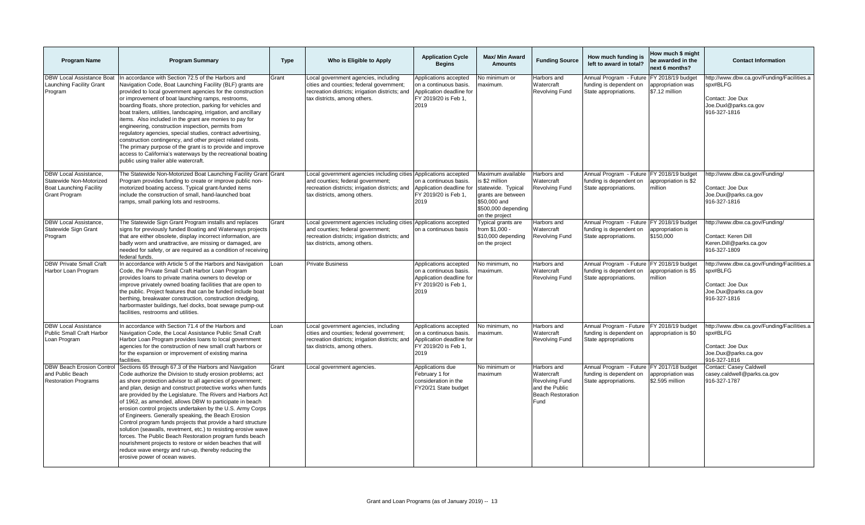| <b>Program Name</b>                                                                                        | <b>Program Summary</b>                                                                                                                                                                                                                                                                                                                                                                                                                                                                                                                                                                                                                                                                                                                                                                                                                              | <b>Type</b> | Who is Eligible to Apply                                                                                                                                                                 | <b>Application Cycle</b><br><b>Begins</b>                                                                   | <b>Max/ Min Award</b><br><b>Amounts</b>                                                                                                 | <b>Funding Source</b>                                                                             | How much funding is<br>left to award in total?                                                | How much \$ might<br>be awarded in the<br>next 6 months?  | <b>Contact Information</b>                                                                                          |
|------------------------------------------------------------------------------------------------------------|-----------------------------------------------------------------------------------------------------------------------------------------------------------------------------------------------------------------------------------------------------------------------------------------------------------------------------------------------------------------------------------------------------------------------------------------------------------------------------------------------------------------------------------------------------------------------------------------------------------------------------------------------------------------------------------------------------------------------------------------------------------------------------------------------------------------------------------------------------|-------------|------------------------------------------------------------------------------------------------------------------------------------------------------------------------------------------|-------------------------------------------------------------------------------------------------------------|-----------------------------------------------------------------------------------------------------------------------------------------|---------------------------------------------------------------------------------------------------|-----------------------------------------------------------------------------------------------|-----------------------------------------------------------|---------------------------------------------------------------------------------------------------------------------|
| <b>DBW Local Assistance Boat</b><br>Launching Facility Grant<br>Program                                    | In accordance with Section 72.5 of the Harbors and<br>Navigation Code, Boat Launching Facility (BLF) grants are<br>provided to local government agencies for the construction<br>or improvement of boat launching ramps, restrooms,<br>boarding floats, shore protection, parking for vehicles and<br>boat trailers, utilities, landscaping, irrigation, and ancillary<br>items. Also included in the grant are monies to pay for<br>engineering, construction inspection, permits from<br>regulatory agencies, special studies, contract advertising,<br>construction contingency, and other project related costs.<br>The primary purpose of the grant is to provide and improve<br>access to California's waterways by the recreational boating<br>public using trailer able watercraft.                                                         | Grant       | Local government agencies, including<br>cities and counties; federal government;<br>recreation districts; irrigation districts; and<br>tax districts, among others.                      | Applications accepted<br>on a continuous basis.<br>Application deadline for<br>FY 2019/20 is Feb 1,<br>2019 | No minimum or<br>naximum.                                                                                                               | Harbors and<br>Watercraft<br>Revolving Fund                                                       | Annual Program - Future<br>funding is dependent on<br>State appropriations.                   | FY 2018/19 budget<br>appropriation was<br>\$7.12 million  | nttp://www.dbw.ca.gov/Funding/Facilities.a<br>spx#BLFG<br>Contact: Joe Dux<br>Joe.Duxl@parks.ca.gov<br>916-327-1816 |
| DBW Local Assistance.<br>Statewide Non-Motorized<br><b>Boat Launching Facility</b><br><b>Grant Program</b> | The Statewide Non-Motorized Boat Launching Facility Grant Grant<br>Program provides funding to create or improve public non-<br>motorized boating access. Typical grant-funded items<br>include the construction of small, hand-launched boat<br>ramps, small parking lots and restrooms.                                                                                                                                                                                                                                                                                                                                                                                                                                                                                                                                                           |             | Local government agencies including cities Applications accepted<br>and counties; federal government;<br>recreation districts; irrigation districts; and<br>tax districts, among others. | on a continuous basis.<br>Application deadline for<br>FY 2019/20 is Feb 1,<br>2019                          | Maximum available<br>s \$2 million<br>statewide. Typical<br>grants are between<br>\$50,000 and<br>\$500,000 depending<br>on the project | Harbors and<br>Watercraft<br>Revolving Fund                                                       | Annual Program - Future FY 2018/19 budget<br>funding is dependent on<br>State appropriations. | appropriation is \$2<br>million                           | http://www.dbw.ca.gov/Funding/<br>Contact: Joe Dux<br>Joe.Dux@parks.ca.gov<br>916-327-1816                          |
| <b>DBW Local Assistance,</b><br>Statewide Sign Grant<br>Program                                            | The Statewide Sign Grant Program installs and replaces<br>signs for previously funded Boating and Waterways projects<br>that are either obsolete, display incorrect information, are<br>badly worn and unattractive, are missing or damaged, are<br>needed for safety, or are required as a condition of receiving<br>federal funds.                                                                                                                                                                                                                                                                                                                                                                                                                                                                                                                | Grant       | Local government agencies including cities Applications accepted<br>and counties; federal government;<br>recreation districts; irrigation districts; and<br>tax districts, among others. | on a continuous basis                                                                                       | ypical grants are<br>from \$1,000 -<br>\$10,000 depending<br>on the project                                                             | Harbors and<br>Watercraft<br><b>Revolving Fund</b>                                                | Annual Program - Future FY 2018/19 budget<br>funding is dependent on<br>State appropriations. | appropriation is<br>\$150,000                             | http://www.dbw.ca.gov/Funding/<br>Contact: Keren Dill<br>Keren.Dill@parks.ca.gov<br>916-327-1809                    |
| <b>DBW Private Small Craft</b><br>Harbor Loan Program                                                      | In accordance with Article 5 of the Harbors and Navigation<br>Code, the Private Small Craft Harbor Loan Program<br>provides loans to private marina owners to develop or<br>improve privately owned boating facilities that are open to<br>the public. Project features that can be funded include boat<br>berthing, breakwater construction, construction dredging,<br>harbormaster buildings, fuel docks, boat sewage pump-out<br>facilities, restrooms and utilities.                                                                                                                                                                                                                                                                                                                                                                            | Loan        | <b>Private Business</b>                                                                                                                                                                  | Applications accepted<br>on a continuous basis.<br>Application deadline for<br>FY 2019/20 is Feb 1,<br>2019 | No minimum, no<br>naximum.                                                                                                              | Harbors and<br>Watercraft<br>Revolving Fund                                                       | Annual Program - Future<br>funding is dependent on<br>State appropriations.                   | FY 2018/19 budget<br>appropriation is \$5<br>million      | http://www.dbw.ca.gov/Funding/Facilities.a<br>spx#BLFG<br>Contact: Joe Dux<br>Joe.Dux@parks.ca.gov<br>916-327-1816  |
| <b>DBW Local Assistance</b><br>Public Small Craft Harbor<br>Loan Program                                   | In accordance with Section 71.4 of the Harbors and<br>Navigation Code, the Local Assistance Public Small Craft<br>Harbor Loan Program provides loans to local government<br>agencies for the construction of new small craft harbors or<br>for the expansion or improvement of existing marina<br>facilities.                                                                                                                                                                                                                                                                                                                                                                                                                                                                                                                                       | Loan        | Local government agencies, including<br>cities and counties; federal government;<br>recreation districts; irrigation districts; and<br>tax districts, among others.                      | Applications accepted<br>on a continuous basis.<br>Application deadline for<br>FY 2019/20 is Feb 1,<br>2019 | No minimum, no<br>naximum.                                                                                                              | Harbors and<br>Watercraft<br>Revolving Fund                                                       | Annual Program - Future<br>funding is dependent on<br>State appropriations                    | FY 2018/19 budget<br>appropriation is \$0                 | http://www.dbw.ca.gov/Funding/Facilities.a<br>spx#BLFG<br>Contact: Joe Dux<br>Joe.Dux@parks.ca.gov<br>916-327-1816  |
| <b>DBW Beach Erosion Control</b><br>and Public Beach<br><b>Restoration Programs</b>                        | Sections 65 through 67.3 of the Harbors and Navigation<br>Code authorize the Division to study erosion problems; act<br>as shore protection advisor to all agencies of government;<br>and plan, design and construct protective works when funds<br>are provided by the Legislature. The Rivers and Harbors Act<br>of 1962, as amended, allows DBW to participate in beach<br>erosion control projects undertaken by the U.S. Army Corps<br>of Engineers. Generally speaking, the Beach Erosion<br>Control program funds projects that provide a hard structure<br>solution (seawalls, revetment, etc.) to resisting erosive wave<br>forces. The Public Beach Restoration program funds beach<br>nourishment projects to restore or widen beaches that will<br>reduce wave energy and run-up, thereby reducing the<br>erosive power of ocean waves. | Grant       | Local government agencies.                                                                                                                                                               | Applications due<br>February 1 for<br>consideration in the<br>FY20/21 State budget                          | No minimum or<br>maximum                                                                                                                | Harbors and<br>Watercraft<br>Revolving Fund<br>and the Public<br><b>Beach Restoration</b><br>Fund | Annual Program - Future<br>funding is dependent on<br>State appropriations.                   | FY 2017/18 budget<br>appropriation was<br>\$2.595 million | Contact: Casey Caldwell<br>casey.caldwell@parks.ca.gov<br>916-327-1787                                              |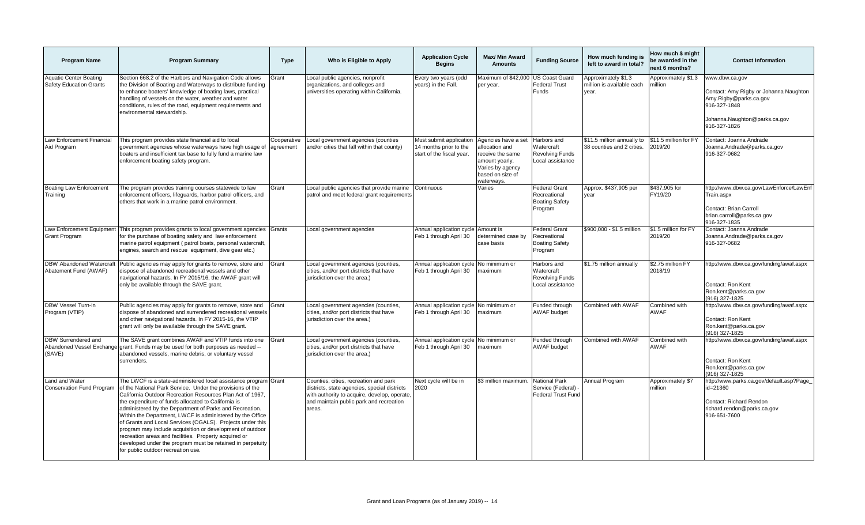| <b>Program Name</b>                                               | <b>Program Summary</b>                                                                                                                                                                                                                                                                                                                                                                                                                                                                                                                                                                                                                                          | <b>Type</b>              | Who is Eligible to Apply                                                                                                                                                                   | <b>Application Cycle</b><br><b>Begins</b>                                      | Max/ Min Award<br><b>Amounts</b>                                                                                                  | <b>Funding Source</b>                                                    | How much funding is<br>left to award in total?            | How much \$ might<br>be awarded in the<br>next 6 months? | <b>Contact Information</b>                                                                                                                          |
|-------------------------------------------------------------------|-----------------------------------------------------------------------------------------------------------------------------------------------------------------------------------------------------------------------------------------------------------------------------------------------------------------------------------------------------------------------------------------------------------------------------------------------------------------------------------------------------------------------------------------------------------------------------------------------------------------------------------------------------------------|--------------------------|--------------------------------------------------------------------------------------------------------------------------------------------------------------------------------------------|--------------------------------------------------------------------------------|-----------------------------------------------------------------------------------------------------------------------------------|--------------------------------------------------------------------------|-----------------------------------------------------------|----------------------------------------------------------|-----------------------------------------------------------------------------------------------------------------------------------------------------|
| <b>Aquatic Center Boating</b><br><b>Safety Education Grants</b>   | Section 668.2 of the Harbors and Navigation Code allows<br>the Division of Boating and Waterways to distribute funding<br>to enhance boaters' knowledge of boating laws, practical<br>handling of vessels on the water, weather and water<br>conditions, rules of the road, equipment requirements and<br>environmental stewardship.                                                                                                                                                                                                                                                                                                                            | Grant                    | Local public agencies, nonprofit<br>organizations, and colleges and<br>universities operating within California.                                                                           | Every two years (odd<br>(ears) in the Fall.                                    | Maximum of \$42,000 US Coast Guard<br>per vear.                                                                                   | <b>Federal Trust</b><br>Funds                                            | Approximately \$1.3<br>million is available each<br>year. | Approximately \$1.3<br>million                           | www.dbw.ca.gov<br>Contact: Amy Rigby or Johanna Naughton<br>Amy.Rigby@parks.ca.gov<br>916-327-1848<br>Johanna.Naughton@parks.ca.gov<br>916-327-1826 |
| Law Enforcement Financial<br>Aid Program                          | This program provides state financial aid to local<br>government agencies whose waterways have high usage of<br>boaters and insufficient tax base to fully fund a marine law<br>enforcement boating safety program.                                                                                                                                                                                                                                                                                                                                                                                                                                             | Cooperative<br>agreement | Local government agencies (counties<br>and/or cities that fall within that county)                                                                                                         | Must submit application<br>14 months prior to the<br>start of the fiscal year. | Agencies have a set<br>allocation and<br>receive the same<br>amount yearly.<br>Varies by agency<br>based on size of<br>waterways. | Harbors and<br>Watercraft<br><b>Revolving Funds</b><br>Local assistance  | \$11.5 million annually to<br>38 counties and 2 cities.   | \$11.5 million for FY<br>2019/20                         | Contact: Joanna Andrade<br>Joanna.Andrade@parks.ca.gov<br>916-327-0682                                                                              |
| <b>Boating Law Enforcement</b><br>Training                        | The program provides training courses statewide to law<br>enforcement officers, lifequards, harbor patrol officers, and<br>others that work in a marine patrol environment.                                                                                                                                                                                                                                                                                                                                                                                                                                                                                     | Grant                    | Local public agencies that provide marine<br>patrol and meet federal grant requirements                                                                                                    | Continuous                                                                     | Varies                                                                                                                            | <b>Federal Grant</b><br>Recreational<br><b>Boating Safety</b><br>Program | Approx. \$437,905 per<br>vear                             | \$437,905 for<br>FY19/20                                 | http://www.dbw.ca.gov/LawEnforce/LawEnf<br>Train.aspx<br>Contact: Brian Carroll<br>brian.carroll@parks.ca.gov<br>916-327-1835                       |
| Law Enforcement Equipment<br><b>Grant Program</b>                 | This program provides grants to local government agencies Grants<br>for the purchase of boating safety and law enforcement<br>marine patrol equipment (patrol boats, personal watercraft,<br>engines, search and rescue equipment, dive gear etc.)                                                                                                                                                                                                                                                                                                                                                                                                              |                          | Local government agencies                                                                                                                                                                  | Annual application cycle<br>Feb 1 through April 30                             | Amount is<br>determined case by<br>case basis                                                                                     | <b>Federal Grant</b><br>Recreational<br><b>Boating Safety</b><br>Program | \$900,000 - \$1.5 million                                 | \$1.5 million for FY<br>2019/20                          | Contact: Joanna Andrade<br>Joanna.Andrade@parks.ca.gov<br>916-327-0682                                                                              |
| <b>DBW Abandoned Watercraft</b><br>Abatement Fund (AWAF)          | Public agencies may apply for grants to remove, store and<br>dispose of abandoned recreational vessels and other<br>navigational hazards. In FY 2015/16, the AWAF grant will<br>only be available through the SAVE grant.                                                                                                                                                                                                                                                                                                                                                                                                                                       | Grant                    | Local government agencies (counties,<br>cities, and/or port districts that have<br>jurisdiction over the area.)                                                                            | Annual application cycle<br>Feb 1 through April 30                             | No minimum or<br>maximum                                                                                                          | Harbors and<br>Watercraft<br><b>Revolving Funds</b><br>Local assistance  | \$1.75 million annually                                   | \$2.75 million FY<br>2018/19                             | http://www.dbw.ca.gov/funding/awaf.aspx<br>Contact: Ron Kent<br>Ron.kent@parks.ca.gov<br>(916) 327-1825                                             |
| DBW Vessel Turn-In<br>Program (VTIP)                              | Public agencies may apply for grants to remove, store and<br>dispose of abandoned and surrendered recreational vessels<br>and other navigational hazards. In FY 2015-16, the VTIP<br>grant will only be available through the SAVE grant.                                                                                                                                                                                                                                                                                                                                                                                                                       | Grant                    | Local government agencies (counties,<br>cities, and/or port districts that have<br>jurisdiction over the area.)                                                                            | Annual application cycle No minimum or<br>Feb 1 through April 30               | maximum                                                                                                                           | Funded through<br><b>AWAF</b> budget                                     | Combined with AWAF                                        | Combined with<br>AWAF                                    | http://www.dbw.ca.gov/funding/awaf.aspx<br>Contact: Ron Kent<br>Ron.kent@parks.ca.gov<br>(916) 327-1825                                             |
| <b>DBW Surrendered and</b><br>Abandoned Vessel Exchange<br>(SAVE) | The SAVE grant combines AWAF and VTIP funds into one<br>grant. Funds may be used for both purposes as needed --<br>abandoned vessels, marine debris, or voluntary vessel<br>surrenders.                                                                                                                                                                                                                                                                                                                                                                                                                                                                         | Grant                    | Local government agencies (counties,<br>cities, and/or port districts that have<br>jurisdiction over the area.)                                                                            | Annual application cycle No minimum or<br>Feb 1 through April 30               | maximum                                                                                                                           | Funded through<br><b>AWAF</b> budget                                     | Combined with AWAF                                        | Combined with<br><b>AWAF</b>                             | http://www.dbw.ca.gov/funding/awaf.aspx<br>Contact: Ron Kent<br>Ron.kent@parks.ca.gov<br>(916) 327-1825                                             |
| Land and Water<br>Conservation Fund Program                       | The LWCF is a state-administered local assistance program Grant<br>of the National Park Service. Under the provisions of the<br>California Outdoor Recreation Resources Plan Act of 1967,<br>the expenditure of funds allocated to California is<br>administered by the Department of Parks and Recreation.<br>Within the Department, LWCF is administered by the Office<br>of Grants and Local Services (OGALS). Projects under this<br>program may include acquisition or development of outdoor<br>recreation areas and facilities. Property acquired or<br>developed under the program must be retained in perpetuity<br>for public outdoor recreation use. |                          | Counties, cities, recreation and park<br>districts, state agencies, special districts<br>with authority to acquire, develop, operate,<br>and maintain public park and recreation<br>areas. | Next cycle will be in<br>2020                                                  | \$3 million maximum.                                                                                                              | <b>National Park</b><br>Service (Federal)<br>Federal Trust Fund          | Annual Program                                            | Approximately \$7<br>million                             | http://www.parks.ca.gov/default.asp?Page<br>id=21360<br>Contact: Richard Rendon<br>richard.rendon@parks.ca.gov<br>916-651-7600                      |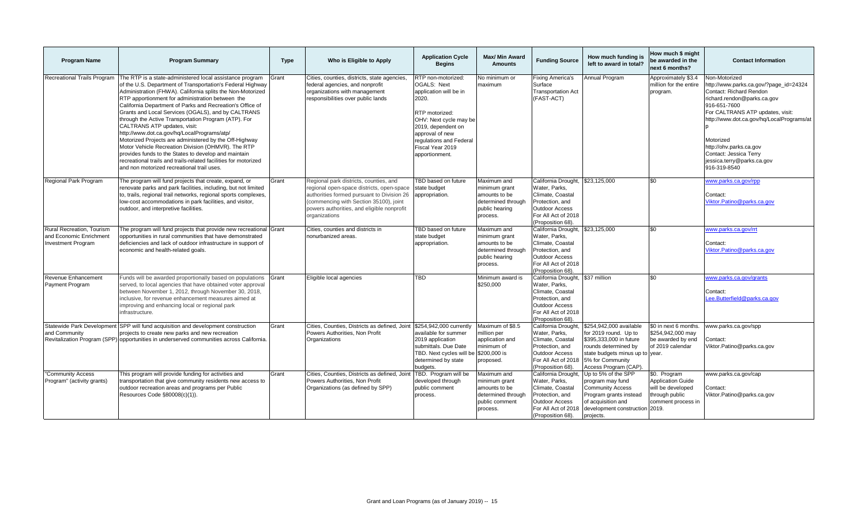| <b>Program Name</b>                                                               | <b>Program Summary</b>                                                                                                                                                                                                                                                                                                                                                                                                                                                                                                                                                                                                                                                                                                                                                                      | <b>Type</b> | Who is Eligible to Apply                                                                                                                                                                                                                                    | <b>Application Cycle</b><br><b>Begins</b>                                                                                                                                                                                         | <b>Max/ Min Award</b><br><b>Amounts</b>                                                           | <b>Funding Source</b>                                                                                                                            | How much funding is<br>left to award in total?                                                                                                                                      | How much \$ might<br>be awarded in the<br>next 6 months?                                              | <b>Contact Information</b>                                                                                                                                                                                                                                                                                                         |
|-----------------------------------------------------------------------------------|---------------------------------------------------------------------------------------------------------------------------------------------------------------------------------------------------------------------------------------------------------------------------------------------------------------------------------------------------------------------------------------------------------------------------------------------------------------------------------------------------------------------------------------------------------------------------------------------------------------------------------------------------------------------------------------------------------------------------------------------------------------------------------------------|-------------|-------------------------------------------------------------------------------------------------------------------------------------------------------------------------------------------------------------------------------------------------------------|-----------------------------------------------------------------------------------------------------------------------------------------------------------------------------------------------------------------------------------|---------------------------------------------------------------------------------------------------|--------------------------------------------------------------------------------------------------------------------------------------------------|-------------------------------------------------------------------------------------------------------------------------------------------------------------------------------------|-------------------------------------------------------------------------------------------------------|------------------------------------------------------------------------------------------------------------------------------------------------------------------------------------------------------------------------------------------------------------------------------------------------------------------------------------|
| Recreational Trails Program                                                       | The RTP is a state-administered local assistance program<br>of the U.S. Department of Transportation's Federal Highway<br>Administration (FHWA). California splits the Non-Motorized<br>RTP apportionment for administration between the<br>California Department of Parks and Recreation's Office of<br>Grants and Local Services (OGALS), and by CALTRANS<br>through the Active Transportation Program (ATP). For<br>CALTRANS ATP updates, visit:<br>http://www.dot.ca.gov/hq/LocalPrograms/atp/<br>Motorized Projects are administered by the Off-Highway<br>Motor Vehicle Recreation Division (OHMVR). The RTP<br>provides funds to the States to develop and maintain<br>recreational trails and trails-related facilities for motorized<br>and non motorized recreational trail uses. | Grant       | Cities, counties, districts, state agencies<br>federal agencies, and nonprofit<br>organizations with management<br>responsibilities over public lands                                                                                                       | RTP non-motorized:<br><b>OGALS: Next</b><br>application will be in<br>2020.<br>RTP motorized:<br>OHV: Next cycle may be<br>2019, dependent on<br>approval of new<br>regulations and Federal<br>Fiscal Year 2019<br>apportionment. | No minimum or<br>maximum                                                                          | Fixing America's<br>Surface<br><b>Transportation Act</b><br>(FAST-ACT)                                                                           | Annual Program                                                                                                                                                                      | Approximately \$3.4<br>million for the entire<br>program.                                             | Non-Motorized<br>http://www.parks.ca.gov/?page_id=24324<br>Contact: Richard Rendon<br>richard.rendon@parks.ca.gov<br>916-651-7600<br>For CALTRANS ATP updates, visit:<br>http://www.dot.ca.gov/hq/LocalPrograms/at<br>Motorized<br>http://ohv.parks.ca.gov<br>Contact: Jessica Terry<br>jessica.terry@parks.ca.gov<br>916-319-8540 |
| Regional Park Program                                                             | The program will fund projects that create, expand, or<br>renovate parks and park facilities, including, but not limited<br>to, trails, regional trail networks, regional sports complexes,<br>low-cost accommodations in park facilities, and visitor,<br>outdoor, and interpretive facilities.                                                                                                                                                                                                                                                                                                                                                                                                                                                                                            | Grant       | Regional park districts, counties, and<br>regional open-space districts, open-space<br>authorities formed pursuant to Division 26   appropriation.<br>(commencing with Section 35100), joint<br>powers authorities, and eligible nonprofit<br>organizations | TBD based on future<br>state budget                                                                                                                                                                                               | Maximum and<br>minimum grant<br>amounts to be<br>determined through<br>public hearing<br>process. | California Drought,<br>Water, Parks.<br>Climate, Coastal<br>Protection, and<br><b>Outdoor Access</b><br>For All Act of 2018<br>(Proposition 68)  | \$23,125,000                                                                                                                                                                        | \$0                                                                                                   | www.parks.ca.gov/rpp<br>Contact:<br>Viktor.Patino@parks.ca.gov                                                                                                                                                                                                                                                                     |
| Rural Recreation. Tourism<br>and Economic Enrichment<br><b>Investment Program</b> | The program will fund projects that provide new recreational Grant<br>opportunities in rural communities that have demonstrated<br>deficiencies and lack of outdoor infrastructure in support of<br>economic and health-related goals.                                                                                                                                                                                                                                                                                                                                                                                                                                                                                                                                                      |             | Cities, counties and districts in<br>nonurbanized areas.                                                                                                                                                                                                    | TBD based on future<br>state budget<br>appropriation.                                                                                                                                                                             | Maximum and<br>minimum grant<br>amounts to be<br>determined through<br>public hearing<br>process. | California Drought,<br>Water, Parks,<br>Climate, Coastal<br>Protection, and<br><b>Outdoor Access</b><br>For All Act of 2018<br>(Proposition 68)  | \$23,125,000                                                                                                                                                                        | \$0                                                                                                   | ww.parks.ca.gov/rrt<br>Contact:<br>Viktor.Patino@parks.ca.gov                                                                                                                                                                                                                                                                      |
| Revenue Enhancement<br>Payment Program                                            | Funds will be awarded proportionally based on populations<br>served, to local agencies that have obtained voter approval<br>between November 1, 2012, through November 30, 2018,<br>inclusive, for revenue enhancement measures aimed at<br>improving and enhancing local or regional park<br>infrastructure.                                                                                                                                                                                                                                                                                                                                                                                                                                                                               | Grant       | Eligible local agencies                                                                                                                                                                                                                                     | <b>TBD</b>                                                                                                                                                                                                                        | Minimum award is<br>\$250,000                                                                     | California Drought,<br>Water, Parks,<br>Climate, Coastal<br>Protection, and<br><b>Outdoor Access</b><br>For All Act of 2018<br>(Proposition 68). | \$37 million                                                                                                                                                                        | \$0                                                                                                   | www.parks.ca.gov/grants<br>Contact:<br>Lee.Butterfield@parks.ca.gov                                                                                                                                                                                                                                                                |
| and Community<br>Revitalization Program (SPP)                                     | Statewide Park Development SPP will fund acquisition and development construction<br>projects to create new parks and new recreation<br>opportunities in underserved communities across California.                                                                                                                                                                                                                                                                                                                                                                                                                                                                                                                                                                                         | Grant       | Cities, Counties, Districts as defined, Joint \$254,942,000 currently<br>Powers Authorities, Non Profit<br>Organizations                                                                                                                                    | available for summer<br>2019 application<br>submittals. Due Date<br>TBD. Next cycles will be \$200,000 is<br>determined by state<br>budgets.                                                                                      | Maximum of \$8.5<br>million per<br>application and<br>minimum of<br>proposed.                     | California Drought.<br>Water, Parks,<br>Climate, Coastal<br>Protection, and<br><b>Outdoor Access</b><br>For All Act of 2018<br>(Proposition 68). | \$254,942,000 available<br>for 2019 round. Up to<br>\$395,333,000 in future<br>rounds determined by<br>state budgets minus up to year.<br>5% for Community<br>Access Program (CAP). | \$0 in next 6 months.<br>\$254,942,000 may<br>be awarded by end<br>of 2019 calendar                   | www.parks.ca.gov/spp<br>Contact:<br>Viktor.Patino@parks.ca.gov                                                                                                                                                                                                                                                                     |
| "Community Access<br>Program" (activity grants)                                   | This program will provide funding for activities and<br>transportation that give community residents new access to<br>outdoor recreation areas and programs per Public<br>Resources Code §80008(c)(1)).                                                                                                                                                                                                                                                                                                                                                                                                                                                                                                                                                                                     | Grant       | Cities, Counties, Districts as defined, Join<br>Powers Authorities, Non Profit<br>Organizations (as defined by SPP)                                                                                                                                         | TBD. Program will be<br>developed through<br>public comment<br>process.                                                                                                                                                           | Maximum and<br>minimum grant<br>amounts to be<br>determined through<br>public comment<br>process. | California Drought,<br>Water, Parks,<br>Climate, Coastal<br>Protection, and<br><b>Outdoor Access</b><br>For All Act of 2018<br>(Proposition 68). | Up to 5% of the SPP<br>program may fund<br><b>Community Access</b><br>Program grants instead<br>of acquisition and<br>development construction 2019.<br>projects.                   | \$0. Program<br><b>Application Guide</b><br>will be developed<br>through public<br>comment process in | www.parks.ca.gov/cap<br>Contact:<br>Viktor.Patino@parks.ca.gov                                                                                                                                                                                                                                                                     |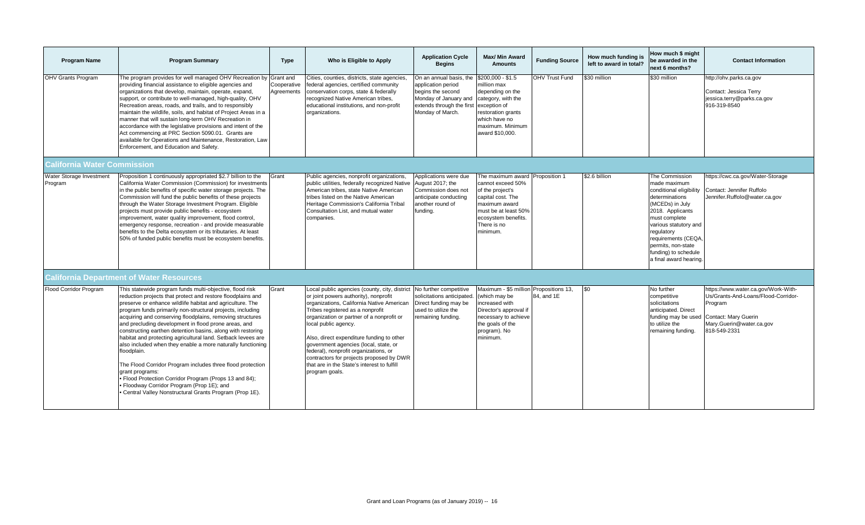| <b>Program Name</b>                 | <b>Program Summary</b>                                                                                                                                                                                                                                                                                                                                                                                                                                                                                                                                                                                                                                                                                                                                                                                                              | <b>Type</b>               | Who is Eligible to Apply                                                                                                                                                                                                                                                                                                                                                                                                                                                                 | <b>Application Cycle</b><br><b>Begins</b>                                                                                                    | <b>Max/ Min Award</b><br><b>Amounts</b>                                                                                                                                                  | <b>Funding Source</b> | How much funding is<br>left to award in total? | How much \$ might<br>be awarded in the<br>next 6 months?                                                                                                                                                                                                                  | <b>Contact Information</b>                                                                                                                                |
|-------------------------------------|-------------------------------------------------------------------------------------------------------------------------------------------------------------------------------------------------------------------------------------------------------------------------------------------------------------------------------------------------------------------------------------------------------------------------------------------------------------------------------------------------------------------------------------------------------------------------------------------------------------------------------------------------------------------------------------------------------------------------------------------------------------------------------------------------------------------------------------|---------------------------|------------------------------------------------------------------------------------------------------------------------------------------------------------------------------------------------------------------------------------------------------------------------------------------------------------------------------------------------------------------------------------------------------------------------------------------------------------------------------------------|----------------------------------------------------------------------------------------------------------------------------------------------|------------------------------------------------------------------------------------------------------------------------------------------------------------------------------------------|-----------------------|------------------------------------------------|---------------------------------------------------------------------------------------------------------------------------------------------------------------------------------------------------------------------------------------------------------------------------|-----------------------------------------------------------------------------------------------------------------------------------------------------------|
| <b>OHV Grants Program</b>           | The program provides for well managed OHV Recreation by Grant and<br>providing financial assistance to eligible agencies and<br>organizations that develop, maintain, operate, expand,<br>support, or contribute to well-managed, high-quality, OHV<br>Recreation areas, roads, and trails, and to responsibly<br>maintain the wildlife, soils, and habitat of Project Areas in a<br>manner that will sustain long-term OHV Recreation in<br>accordance with the legislative provisions and intent of the<br>Act commencing at PRC Section 5090.01. Grants are<br>available for Operations and Maintenance, Restoration, Law<br>Enforcement, and Education and Safety.                                                                                                                                                              | Cooperative<br>Aareements | Cities, counties, districts, state agencies.<br>federal agencies, certified community<br>conservation corps, state & federally<br>recognized Native American tribes,<br>educational institutions, and non-profit<br>organizations.                                                                                                                                                                                                                                                       | On an annual basis, the<br>application period<br>begins the second<br>Monday of January and<br>extends through the first<br>Monday of March. | \$200,000 - \$1.5<br>million max<br>depending on the<br>category, with the<br>exception of<br>restoration grants<br>which have no<br>maximum. Minimum<br>award \$10,000.                 | <b>OHV Trust Fund</b> | \$30 million                                   | \$30 million                                                                                                                                                                                                                                                              | http://ohv.parks.ca.gov<br>Contact: Jessica Terry<br>jessica.terry@parks.ca.gov<br>916-319-8540                                                           |
| <b>California Water Commission</b>  |                                                                                                                                                                                                                                                                                                                                                                                                                                                                                                                                                                                                                                                                                                                                                                                                                                     |                           |                                                                                                                                                                                                                                                                                                                                                                                                                                                                                          |                                                                                                                                              |                                                                                                                                                                                          |                       |                                                |                                                                                                                                                                                                                                                                           |                                                                                                                                                           |
| Water Storage Investment<br>Program | Proposition 1 continuously appropriated \$2.7 billion to the<br>California Water Commission (Commission) for investments<br>in the public benefits of specific water storage projects. The<br>Commission will fund the public benefits of these projects<br>through the Water Storage Investment Program. Eligible<br>projects must provide public benefits - ecosystem<br>improvement, water quality improvement, flood control,<br>emergency response, recreation - and provide measurable<br>benefits to the Delta ecosystem or its tributaries. At least<br>50% of funded public benefits must be ecosystem benefits.                                                                                                                                                                                                           | Grant                     | Public agencies, nonprofit organizations,<br>public utilities, federally recognized Native<br>American tribes, state Native American<br>tribes listed on the Native American<br>Heritage Commission's California Tribal<br>Consultation List, and mutual water<br>companies.                                                                                                                                                                                                             | Applications were due<br>August 2017: the<br>Commission does not<br>anticipate conducting<br>another round of<br>funding.                    | The maximum award Proposition 1<br>cannot exceed 50%<br>of the project's<br>capital cost. The<br>maximum award<br>must be at least 50%<br>ecosystem benefits.<br>There is no<br>minimum. |                       | \$2.6 billion                                  | The Commission<br>made maximum<br>conditional eligibility<br>determinations<br>(MCEDs) in July<br>2018. Applicants<br>must complete<br>various statutory and<br>regulatory<br>requirements (CEQA,<br>permits, non-state<br>funding) to schedule<br>a final award hearing. | https://cwc.ca.gov/Water-Storage<br>Contact: Jennifer Ruffolo<br>Jennifer.Ruffolo@water.ca.gov                                                            |
|                                     | <b>California Department of Water Resources</b>                                                                                                                                                                                                                                                                                                                                                                                                                                                                                                                                                                                                                                                                                                                                                                                     |                           |                                                                                                                                                                                                                                                                                                                                                                                                                                                                                          |                                                                                                                                              |                                                                                                                                                                                          |                       |                                                |                                                                                                                                                                                                                                                                           |                                                                                                                                                           |
| Flood Corridor Program              | This statewide program funds multi-objective, flood risk<br>reduction projects that protect and restore floodplains and<br>preserve or enhance wildlife habitat and agriculture. The<br>program funds primarily non-structural projects, including<br>acquiring and conserving floodplains, removing structures<br>and precluding development in flood prone areas, and<br>constructing earthen detention basins, along with restoring<br>habitat and protecting agricultural land. Setback levees are<br>also included when they enable a more naturally functioning<br>floodplain.<br>The Flood Corridor Program includes three flood protection<br>grant programs:<br>Flood Protection Corridor Program (Props 13 and 84);<br>Floodway Corridor Program (Prop 1E); and<br>Central Valley Nonstructural Grants Program (Prop 1E). | Grant                     | Local public agencies (county, city, district<br>or joint powers authority), nonprofit<br>organizations, California Native American<br>Tribes registered as a nonprofit<br>organization or partner of a nonprofit or<br>local public agency.<br>Also, direct expenditure funding to other<br>government agencies (local, state, or<br>federal), nonprofit organizations, or<br>contractors for projects proposed by DWR<br>that are in the State's interest to fulfill<br>program goals. | No further competitive<br>solicitations anticipated.<br>Direct funding may be<br>used to utilize the<br>remaining funding.                   | Maximum - \$5 million Propositions 13,<br>(which may be<br>increased with<br>Director's approval if<br>necessary to achieve<br>the goals of the<br>program). No<br>minimum.              | 84, and 1E            | \$0                                            | No further<br>competitive<br>solicitations<br>anticipated. Direct<br>funding may be used<br>to utilize the<br>remaining funding.                                                                                                                                          | https://www.water.ca.gov/Work-With-<br>Us/Grants-And-Loans/Flood-Corridor-<br>Program<br>Contact: Mary Guerin<br>Mary.Guerin@water.ca.gov<br>818-549-2331 |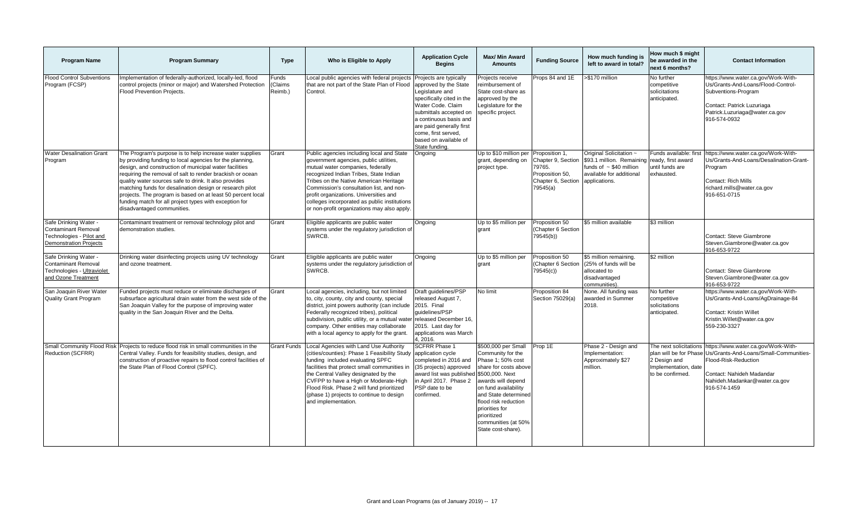| <b>Program Name</b>                                                                                       | <b>Program Summary</b>                                                                                                                                                                                                                                                                                                                                                                                                                                                                                                  | <b>Type</b>                       | Who is Eligible to Apply                                                                                                                                                                                                                                                                                                                                                                          | <b>Application Cycle</b><br><b>Begins</b>                                                                                                                                                                                                    | <b>Max/ Min Award</b><br><b>Amounts</b>                                                                                                                                                                                                                                               | <b>Funding Source</b>                                                                              | How much funding is<br>left to award in total?                                                                                                       | How much \$ might<br>be awarded in the<br>next 6 months?                                                     | <b>Contact Information</b>                                                                                                                                                          |
|-----------------------------------------------------------------------------------------------------------|-------------------------------------------------------------------------------------------------------------------------------------------------------------------------------------------------------------------------------------------------------------------------------------------------------------------------------------------------------------------------------------------------------------------------------------------------------------------------------------------------------------------------|-----------------------------------|---------------------------------------------------------------------------------------------------------------------------------------------------------------------------------------------------------------------------------------------------------------------------------------------------------------------------------------------------------------------------------------------------|----------------------------------------------------------------------------------------------------------------------------------------------------------------------------------------------------------------------------------------------|---------------------------------------------------------------------------------------------------------------------------------------------------------------------------------------------------------------------------------------------------------------------------------------|----------------------------------------------------------------------------------------------------|------------------------------------------------------------------------------------------------------------------------------------------------------|--------------------------------------------------------------------------------------------------------------|-------------------------------------------------------------------------------------------------------------------------------------------------------------------------------------|
| <b>Flood Control Subventions</b><br>Program (FCSP)                                                        | Implementation of federally-authorized, locally-led, flood<br>control projects (minor or major) and Watershed Protection<br>Flood Prevention Projects.                                                                                                                                                                                                                                                                                                                                                                  | Funds<br><b>Claims</b><br>Reimb.) | Local public agencies with federal projects Projects are typically<br>that are not part of the State Plan of Flood<br>Control.                                                                                                                                                                                                                                                                    | approved by the State<br>Legislature and<br>specifically cited in the<br>Water Code. Claim<br>submittals accepted on<br>a continuous basis and<br>are paid generally first<br>come, first served,<br>based on available of<br>State funding. | Projects receive<br>reimbursement of<br>State cost-share as<br>approved by the<br>Legislature for the<br>specific project.                                                                                                                                                            | Props 84 and 1E                                                                                    | >\$170 million                                                                                                                                       | No further<br>competitive<br>solicitations<br>anticipated.                                                   | https://www.water.ca.gov/Work-With-<br>Us/Grants-And-Loans/Flood-Control-<br>Subventions-Program<br>Contact: Patrick Luzuriaga<br>Patrick.Luzuriaga@water.ca.gov<br>916-574-0932    |
| <b>Water Desalination Grant</b><br>Program                                                                | The Program's purpose is to help increase water supplies<br>by providing funding to local agencies for the planning,<br>design, and construction of municipal water facilities<br>requiring the removal of salt to render brackish or ocean<br>quality water sources safe to drink. It also provides<br>matching funds for desalination design or research pilot<br>projects. The program is based on at least 50 percent local<br>funding match for all project types with exception for<br>disadvantaged communities. | Grant                             | Public agencies including local and State<br>government agencies, public utilities,<br>mutual water companies, federally<br>recognized Indian Tribes, State Indian<br>Tribes on the Native American Heritage<br>Commission's consultation list, and non-<br>profit organizations. Universities and<br>colleges incorporated as public institutions<br>or non-profit organizations may also apply. | Ongoing                                                                                                                                                                                                                                      | Up to \$10 million per<br>grant, depending on<br>project type.                                                                                                                                                                                                                        | Proposition 1<br>Chapter 9, Section<br>79765.<br>Proposition 50,<br>Chapter 6, Section<br>79545(a) | Original Solicitation ~<br>\$93.1 million. Remaining ready, first award<br>funds of $\sim$ \$40 million<br>available for additional<br>applications. | Funds available: first<br>until funds are<br>exhausted.                                                      | https://www.water.ca.gov/Work-With-<br>Us/Grants-And-Loans/Desalination-Grant-<br>Program<br>Contact: Rich Mills<br>richard.mills@water.ca.gov<br>916-651-0715                      |
| Safe Drinking Water -<br><b>Contaminant Removal</b><br>Technologies - Pilot and<br>Demonstration Projects | Contaminant treatment or removal technology pilot and<br>demonstration studies.                                                                                                                                                                                                                                                                                                                                                                                                                                         | Grant                             | Eligible applicants are public water<br>systems under the regulatory jurisdiction of<br>SWRCB.                                                                                                                                                                                                                                                                                                    | Ongoing                                                                                                                                                                                                                                      | Up to \$5 million per<br>arant                                                                                                                                                                                                                                                        | Proposition 50<br>(Chapter 6 Section<br>79545(b))                                                  | \$5 million available                                                                                                                                | \$3 million                                                                                                  | Contact: Steve Giambrone<br>Steven.Giambrone@water.ca.gov<br>916-653-9722                                                                                                           |
| Safe Drinking Water -<br><b>Contaminant Removal</b><br>Technologies - Ultraviolet<br>and Ozone Treatment  | Drinking water disinfecting projects using UV technology<br>and ozone treatment.                                                                                                                                                                                                                                                                                                                                                                                                                                        | Grant                             | Eligible applicants are public water<br>systems under the regulatory jurisdiction of<br>SWRCB.                                                                                                                                                                                                                                                                                                    | Ongoing                                                                                                                                                                                                                                      | Up to \$5 million per<br>grant                                                                                                                                                                                                                                                        | Proposition 50<br>Chapter 6 Section<br>79545(c))                                                   | \$5 million remaining.<br>(25% of funds will be<br>allocated to<br>disadvantaged<br>communities)                                                     | \$2 million                                                                                                  | Contact: Steve Giambrone<br>Steven.Giambrone@water.ca.gov<br>916-653-9722                                                                                                           |
| San Joaquin River Water<br><b>Quality Grant Program</b>                                                   | Funded projects must reduce or eliminate discharges of<br>subsurface agricultural drain water from the west side of the<br>San Joaquin Valley for the purpose of improving water<br>quality in the San Joaquin River and the Delta.                                                                                                                                                                                                                                                                                     | Grant                             | Local agencies, including, but not limited<br>to, city, county, city and county, special<br>district, joint powers authority (can include 2015. Final<br>Federally recognized tribes), political<br>subdivision, public utility, or a mutual water released December 16,<br>company. Other entities may collaborate<br>with a local agency to apply for the grant.                                | Draft quidelines/PSP<br>released August 7,<br>quidelines/PSP<br>2015. Last day for<br>applications was March<br>4, 2016.                                                                                                                     | No limit                                                                                                                                                                                                                                                                              | Proposition 84<br>Section 75029(a)                                                                 | None. All funding was<br>awarded in Summer<br>2018.                                                                                                  | No further<br>competitive<br>solicitations<br>anticipated.                                                   | https://www.water.ca.gov/Work-With-<br>Us/Grants-And-Loans/AgDrainage-84<br><b>Contact: Kristin Willet</b><br>Kristin. Willet@water.ca.gov<br>559-230-3327                          |
| Small Community Flood Risk<br>Reduction (SCFRR)                                                           | Projects to reduce flood risk in small communities in the<br>Central Valley. Funds for feasibility studies, design, and<br>construction of proactive repairs to flood control facilities of<br>the State Plan of Flood Control (SPFC).                                                                                                                                                                                                                                                                                  | <b>Grant Funds</b>                | Local Agencies with Land Use Authority<br>(cities/counties): Phase 1 Feasibility Study application cycle<br>funding included evaluating SPFC<br>facilities that protect small communities in<br>the Central Valley designated by the<br>CVFPP to have a High or Moderate-High<br>Flood Risk. Phase 2 will fund prioritized<br>(phase 1) projects to continue to design<br>and implementation.     | <b>SCFRR Phase 1</b><br>completed in 2016 and<br>(35 projects) approved<br>award list was published<br>in April 2017. Phase 2<br>PSP date to be<br>confirmed.                                                                                | \$500,000 per Small<br>Community for the<br>Phase 1: 50% cost<br>share for costs above<br>\$500,000. Next<br>awards will depend<br>on fund availability<br>and State determined<br>flood risk reduction<br>priorities for<br>prioritized<br>communities (at 50%<br>State cost-share). | Prop 1E                                                                                            | Phase 2 - Design and<br>Implementation:<br>Approximately \$27<br>million.                                                                            | The next solicitations<br>plan will be for Phase<br>2 Design and<br>Implementation, date<br>to be confirmed. | https://www.water.ca.gov/Work-With-<br>Us/Grants-And-Loans/Small-Communities-<br>Flood-Risk-Reduction<br>Contact: Nahideh Madandar<br>Nahideh.Madankar@water.ca.gov<br>916-574-1459 |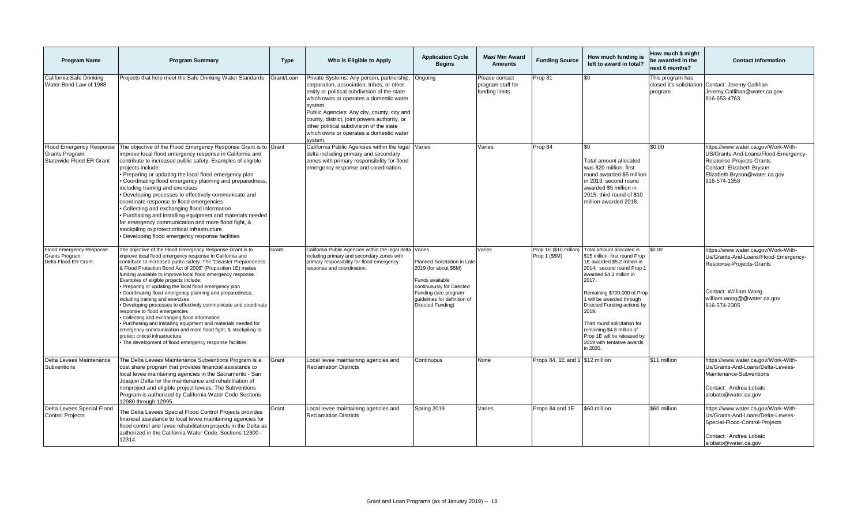| <b>Program Name</b>                                                     | <b>Program Summary</b>                                                                                                                                                                                                                                                                                                                                                                                                                                                                                                                                                                                                                                                                                                                                                                                                                                                                                       | <b>Type</b> | Who is Eligible to Apply                                                                                                                                                                                                                                                                                                                                                                       | <b>Application Cycle</b><br><b>Begins</b>                                                                                                                                          | <b>Max/ Min Award</b><br><b>Amounts</b>                | <b>Funding Source</b>                   | How much funding is<br>left to award in total?                                                                                                                                                                                                                                                                                                                                                        | How much \$ might<br>be awarded in the<br>next 6 months? | <b>Contact Information</b>                                                                                                                                                            |
|-------------------------------------------------------------------------|--------------------------------------------------------------------------------------------------------------------------------------------------------------------------------------------------------------------------------------------------------------------------------------------------------------------------------------------------------------------------------------------------------------------------------------------------------------------------------------------------------------------------------------------------------------------------------------------------------------------------------------------------------------------------------------------------------------------------------------------------------------------------------------------------------------------------------------------------------------------------------------------------------------|-------------|------------------------------------------------------------------------------------------------------------------------------------------------------------------------------------------------------------------------------------------------------------------------------------------------------------------------------------------------------------------------------------------------|------------------------------------------------------------------------------------------------------------------------------------------------------------------------------------|--------------------------------------------------------|-----------------------------------------|-------------------------------------------------------------------------------------------------------------------------------------------------------------------------------------------------------------------------------------------------------------------------------------------------------------------------------------------------------------------------------------------------------|----------------------------------------------------------|---------------------------------------------------------------------------------------------------------------------------------------------------------------------------------------|
| California Safe Drinking<br>Water Bond Law of 1988                      | Projects that help meet the Safe Drinking Water Standards                                                                                                                                                                                                                                                                                                                                                                                                                                                                                                                                                                                                                                                                                                                                                                                                                                                    | Grant/Loan  | Private Systems: Any person, partnership,<br>corporation, association, tribes, or other<br>entity or political subdivision of the state<br>which owns or operates a domestic water<br>system.<br>Public Agencies: Any city, county, city and<br>county, district, joint powers authority, or<br>other political subdivision of the state<br>which owns or operates a domestic water<br>svstem. | Ongoing                                                                                                                                                                            | Please contact<br>program staff for<br>funding limits. | Prop 81                                 |                                                                                                                                                                                                                                                                                                                                                                                                       | This program has<br>closed it's solicitation<br>program  | Contact: Jeremy Callihan<br>Jeremy.Callihan@water.ca.gov<br>916-653-4763                                                                                                              |
| Flood Emergency Response<br>Grants Program:<br>Statewide Flood ER Grant | The objective of the Flood Emergency Response Grant is to Grant<br>mprove local flood emergency response in California and<br>contribute to increased public safety. Examples of eligible<br>projects include:<br>Preparing or updating the local flood emergency plan<br>Coordinating flood emergency planning and preparedness,<br>ncluding training and exercises<br>Developing processes to effectively communicate and<br>coordinate response to flood emergencies<br>Collecting and exchanging flood information<br>Purchasing and installing equipment and materials needed<br>for emergency communication and more flood fight, &<br>stockpiling to protect critical infrastructure.<br>· Developing flood emergency response facilities                                                                                                                                                             |             | California Public Agencies within the legal Varies<br>delta including primary and secondary<br>zones with primary responsibility for flood<br>emergency response and coordination.                                                                                                                                                                                                             |                                                                                                                                                                                    | Varies                                                 | Prop 84                                 | \$0<br>Total amount allocated<br>was \$20 million: first<br>round awarded \$5 million<br>in 2013; second round<br>awarded \$5 million in<br>2015; third round of \$10<br>million awarded 2018.                                                                                                                                                                                                        | \$0.00                                                   | https://www.water.ca.gov/Work-With-<br>US/Grants-And-Loans/Flood-Emergency-<br>Response-Projects-Grants<br>Contact: Elizabeth Bryson<br>Elizabeth.Bryson@water.ca.gov<br>916-574-1358 |
| Flood Emergency Response<br>Grants Program:<br>Delta Flood ER Grant     | The objective of the Flood Emergency Response Grant is to<br>improve local flood emergency response in California and<br>contribute to increased public safety. The "Disaster Preparedness<br>& Flood Protection Bond Act of 2006" (Proposition 1E) makes<br>funding available to improve local flood emergency response.<br>Examples of eligible projects include:<br>Preparing or updating the local flood emergency plan<br>Coordinating flood emergency planning and preparedness,<br>including training and exercises<br>Developing processes to effectively communicate and coordinate<br>response to flood emergencies<br>Collecting and exchanging flood information<br>Purchasing and installing equipment and materials needed for<br>emergency communication and more flood fight, & stockpiling to<br>protect critical infrastructure.<br>The development of flood emergency response facilities | Grant       | California Public Agencies within the legal delta Varies<br>including primary and secondary zones with<br>primary responsibility for flood emergency<br>response and coordination.                                                                                                                                                                                                             | Planned Solicitation in Late<br>2019 (for about \$5M)<br>Funds available<br>continuously for Directed<br>Funding (see program<br>quidelines for definition of<br>Directed Funding) | /aries                                                 | Prop 1E (\$10 million)<br>Prop 1 (\$5M) | Fotal amount allocated is<br>\$15 million: first round Prop<br>1E awarded \$5.2 million in<br>2014; second round Prop 1<br>awarded \$4.3 million in<br>2017.<br>Remaining \$700,000 of Prop<br>will be awarded through<br>Directed Funding actions by<br>2019.<br>Third round solicitation for<br>remaining \$4.8 million of<br>Prop 1E will be released by<br>2019 with tentative awards<br>in 2020. | \$0.00                                                   | https://www.water.ca.gov/Work-With-<br>Us/Grants-And-Loans/Flood-Emergency-<br>Response-Projects-Grants<br>Contact: William Wong<br>william.wong@@water.ca.gov<br>916-574-2305        |
| Delta Levees Maintenance<br>Subventions                                 | The Delta Levees Maintenance Subventions Program is a<br>cost share program that provides financial assistance to<br>local levee maintaining agencies in the Sacramento - San<br>Joaquin Delta for the maintenance and rehabilitation of<br>nonproject and eligible project levees. The Subventions<br>Program is authorized by California Water Code Sections<br>12980 through 12995.                                                                                                                                                                                                                                                                                                                                                                                                                                                                                                                       | Grant       | Local levee maintaining agencies and<br><b>Reclamation Districts</b>                                                                                                                                                                                                                                                                                                                           | Continuous                                                                                                                                                                         | None                                                   | Props 84, 1E and 1                      | \$12 million                                                                                                                                                                                                                                                                                                                                                                                          | \$11 million                                             | https://www.water.ca.gov/Work-With-<br>Us/Grants-And-Loans/Delta-Levees-<br>Maintenance-Subventions<br>Contact: Andrea Lobato<br>alobato@water.ca.gov                                 |
| Delta Levees Special Flood<br><b>Control Projects</b>                   | The Delta Levees Special Flood Control Projects provides<br>financial assistance to local levee maintaining agencies for<br>flood control and levee rehabilitation projects in the Delta as<br>authorized in the California Water Code, Sections 12300--<br>12314.                                                                                                                                                                                                                                                                                                                                                                                                                                                                                                                                                                                                                                           | Grant       | Local levee maintaining agencies and<br><b>Reclamation Districts</b>                                                                                                                                                                                                                                                                                                                           | Spring 2019                                                                                                                                                                        | Varies                                                 | Props 84 and 1E                         | \$60 million                                                                                                                                                                                                                                                                                                                                                                                          | \$60 million                                             | https://www.water.ca.gov/Work-With-<br>Us/Grants-And-Loans/Delta-Levees-<br>Special-Flood-Control-Projects<br>Contact: Andrea Lobato<br>alobato@water.ca.gov                          |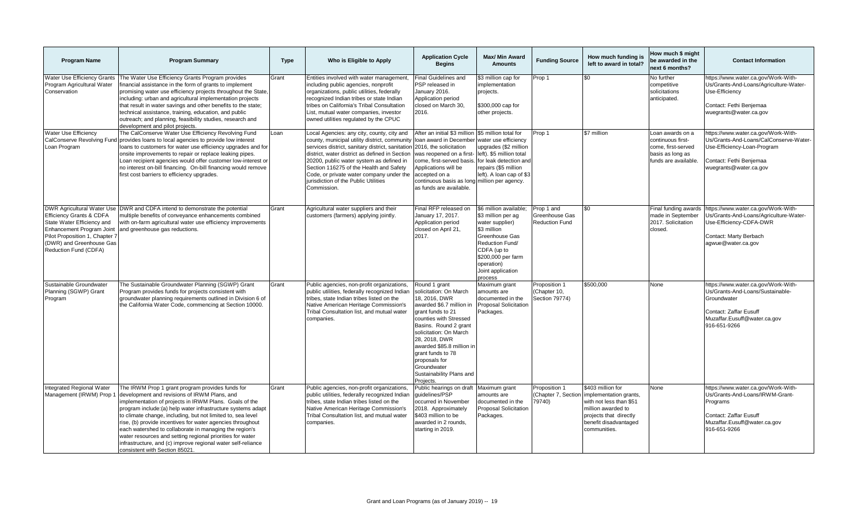| <b>Program Name</b>                                                                                                                                                                                                        | <b>Program Summary</b>                                                                                                                                                                                                                                                                                                                                                                                                                                                                                                                                                           | <b>Type</b> | Who is Eligible to Apply                                                                                                                                                                                                                                                                                                                                                                    | <b>Application Cycle</b><br><b>Begins</b>                                                                                                                                                                                                                                                                                          | Max/ Min Award<br><b>Amounts</b>                                                                                                                                                                       | <b>Funding Source</b>                                 | How much funding is<br>left to award in total?                                                                                                                  | How much \$ might<br>be awarded in the<br>next 6 months?                                                | <b>Contact Information</b>                                                                                                                                          |
|----------------------------------------------------------------------------------------------------------------------------------------------------------------------------------------------------------------------------|----------------------------------------------------------------------------------------------------------------------------------------------------------------------------------------------------------------------------------------------------------------------------------------------------------------------------------------------------------------------------------------------------------------------------------------------------------------------------------------------------------------------------------------------------------------------------------|-------------|---------------------------------------------------------------------------------------------------------------------------------------------------------------------------------------------------------------------------------------------------------------------------------------------------------------------------------------------------------------------------------------------|------------------------------------------------------------------------------------------------------------------------------------------------------------------------------------------------------------------------------------------------------------------------------------------------------------------------------------|--------------------------------------------------------------------------------------------------------------------------------------------------------------------------------------------------------|-------------------------------------------------------|-----------------------------------------------------------------------------------------------------------------------------------------------------------------|---------------------------------------------------------------------------------------------------------|---------------------------------------------------------------------------------------------------------------------------------------------------------------------|
| <b>Water Use Efficiency Grants</b><br>Program Agricultural Water<br>Conservation                                                                                                                                           | The Water Use Efficiency Grants Program provides<br>financial assistance in the form of grants to implement<br>promising water use efficiency projects throughout the State<br>including: urban and agricultural implementation projects<br>that result in water savings and other benefits to the state;<br>technical assistance, training, education, and public<br>outreach; and planning, feasibility studies, research and<br>development and pilot projects.                                                                                                               | Grant       | Entities involved with water management,<br>including public agencies, nonprofit<br>organizations, public utilities, federally<br>recognized Indian tribes or state Indian<br>tribes on California's Tribal Consultation<br>List, mutual water companies, investor<br>owned utilities regulated by the CPUC                                                                                 | Final Guidelines and<br>PSP released in<br>January 2016.<br>Application period<br>closed on March 30,<br>2016.                                                                                                                                                                                                                     | \$3 million cap for<br>mplementation<br>projects.<br>\$300,000 cap for<br>other projects.                                                                                                              | Prop 1                                                | \$0                                                                                                                                                             | No further<br>competitive<br>solicitations<br>anticipated.                                              | https://www.water.ca.gov/Work-With-<br>Us/Grants-And-Loans/Agriculture-Water-<br>Use-Efficiencv<br>Contact: Fethi Benjemaa<br>wuegrants@water.ca.gov                |
| <b>Water Use Efficiency</b><br>CalConserve Revolving Fund<br>Loan Program                                                                                                                                                  | The CalConserve Water Use Efficiency Revolving Fund<br>provides loans to local agencies to provide low interest<br>loans to customers for water use efficiency upgrades and for<br>onsite improvements to repair or replace leaking pipes.<br>Loan recipient agencies would offer customer low-interest or<br>no interest on-bill financing. On-bill financing would remove<br>first cost barriers to efficiency upgrades.                                                                                                                                                       | Loan        | Local Agencies: any city, county, city and<br>county, municipal utility district, community<br>services district, sanitary district, sanitation<br>district, water district as defined in Section<br>20200, public water system as defined in<br>Section 116275 of the Health and Safety<br>Code, or private water company under the<br>jurisdiction of the Public Utilities<br>Commission. | After an initial \$3 million<br>Ioan award in December<br>2016, the solicitation<br>was reopened on a first-<br>come, first-served basis.<br>Applications will be<br>accepted on a<br>continuous basis as long million per agency.<br>as funds are available.                                                                      | \$5 million total for<br>water use efficiency<br>upgrades (\$2 million<br>left). \$5 million total<br>for leak detection and<br>repairs (\$5 million<br>left). A loan cap of \$3                       | Prop 1                                                | \$7 million                                                                                                                                                     | Loan awards on a<br>continuous first-<br>come, first-served<br>basis as long as<br>funds are available. | https://www.water.ca.gov/Work-With-<br>Us/Grants-And-Loans/CalConserve-Water-<br>Use-Efficiency-Loan-Program<br>Contact: Fethi Benjemaa<br>wuegrants@water.ca.gov   |
| <b>DWR Agricultural Water Use</b><br><b>Efficiency Grants &amp; CDFA</b><br>State Water Efficiency and<br>Enhancement Program Joint<br>Pilot Proposition 1, Chapter 7<br>(DWR) and Greenhouse Gas<br>Reduction Fund (CDFA) | DWR and CDFA intend to demonstrate the potential<br>multiple benefits of conveyance enhancements combined<br>with on-farm agricultural water use efficiency improvements<br>and greenhouse gas reductions.                                                                                                                                                                                                                                                                                                                                                                       | Grant       | Agricultural water suppliers and their<br>customers (farmers) applying jointly.                                                                                                                                                                                                                                                                                                             | Final RFP released on<br>January 17, 2017.<br>Application period<br>closed on April 21,<br>2017.                                                                                                                                                                                                                                   | \$6 million available;<br>\$3 million per ag<br>water supplier)<br>\$3 million<br>Greenhouse Gas<br>Reduction Fund/<br>CDFA (up to<br>\$200,000 per farm<br>operation)<br>Joint application<br>process | Prop 1 and<br>Greenhouse Gas<br><b>Reduction Fund</b> | ደበ                                                                                                                                                              | Final funding awards<br>made in September<br>2017. Solicitation<br>closed.                              | https://www.water.ca.gov/Work-With-<br>Us/Grants-And-Loans/Agriculture-Water-<br>Use-Efficiency-CDFA-DWR<br>Contact: Marty Berbach<br>agwue@water.ca.gov            |
| Sustainable Groundwater<br>Planning (SGWP) Grant<br>Program                                                                                                                                                                | The Sustainable Groundwater Planning (SGWP) Grant<br>Program provides funds for projects consistent with<br>groundwater planning requirements outlined in Division 6 of<br>the California Water Code, commencing at Section 10000.                                                                                                                                                                                                                                                                                                                                               | Grant       | Public agencies, non-profit organizations,<br>public utilities, federally recognized Indian<br>tribes, state Indian tribes listed on the<br>Native American Heritage Commission's<br>Tribal Consultation list, and mutual water<br>companies.                                                                                                                                               | Round 1 grant<br>solicitation: On March<br>18, 2016, DWR<br>awarded \$6.7 million in<br>grant funds to 21<br>counties with Stressed<br>Basins. Round 2 grant<br>solicitation: On March<br>28, 2018, DWR<br>awarded \$85.8 million in<br>grant funds to 78<br>proposals for<br>Groundwater<br>Sustainability Plans and<br>Projects. | Maximum grant<br>amounts are<br>documented in the<br><b>Proposal Solicitation</b><br>Packages.                                                                                                         | Proposition 1<br>Chapter 10,<br>Section 79774)        | \$500,000                                                                                                                                                       | None                                                                                                    | https://www.water.ca.gov/Work-With-<br>Us/Grants-And-Loans/Sustainable-<br>Groundwater<br>Contact: Zaffar Eusuff<br>Muzaffar.Eusuff@water.ca.gov<br>916-651-9266    |
| Integrated Regional Water<br>Management (IRWM) Prop                                                                                                                                                                        | The IRWM Prop 1 grant program provides funds for<br>development and revisions of IRWM Plans, and<br>implementation of projects in IRWM Plans. Goals of the<br>program include: (a) help water infrastructure systems adapt<br>to climate change, including, but not limited to, sea level<br>rise, (b) provide incentives for water agencies throughout<br>each watershed to collaborate in managing the region's<br>water resources and setting regional priorities for water<br>infrastructure, and (c) improve regional water self-reliance<br>consistent with Section 85021. | Grant       | Public agencies, non-profit organizations,<br>public utilities, federally recognized Indian<br>tribes, state Indian tribes listed on the<br>Native American Heritage Commission's<br>Tribal Consultation list, and mutual water<br>companies.                                                                                                                                               | Public hearings on draft<br>quidelines/PSP<br>occurred in November<br>2018. Approximately<br>\$403 million to be<br>awarded in 2 rounds,<br>starting in 2019.                                                                                                                                                                      | Aaximum grant<br>amounts are<br>documented in the<br><b>Proposal Solicitation</b><br>Packages.                                                                                                         | Proposition 1<br>Chapter 7, Section<br>79740)         | \$403 million for<br>implementation grants,<br>with not less than \$51<br>million awarded to<br>projects that directly<br>benefit disadvantaged<br>communities. | None                                                                                                    | https://www.water.ca.gov/Work-With-<br>Us/Grants-And-Loans/IRWM-Grant-<br>Programs<br><b>Contact: Zaffar Eusuff</b><br>Muzaffar Eusuff@water.ca.gov<br>916-651-9266 |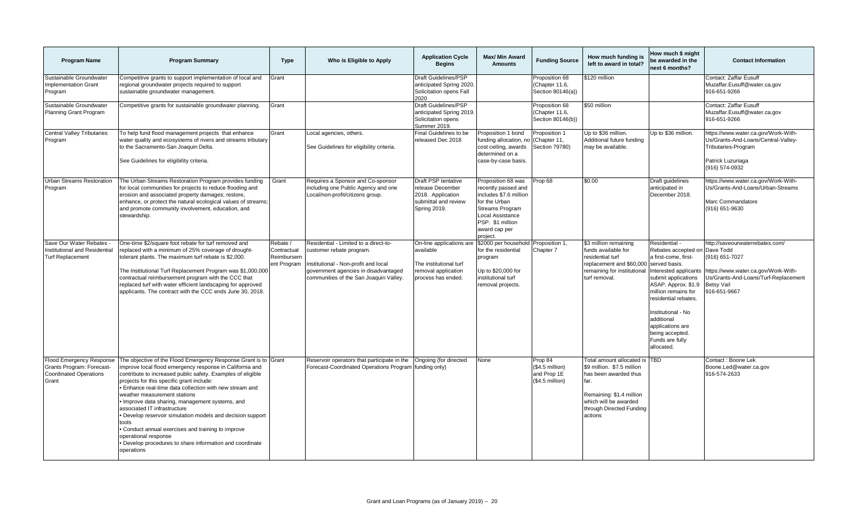| <b>Program Name</b>                                                                                    | <b>Program Summary</b>                                                                                                                                                                                                                                                                                                                                                                                                                                                                                                                                                                                                                               | <b>Type</b>                                          | Who is Eligible to Apply                                                                                                                                                                    | <b>Application Cycle</b><br><b>Begins</b>                                                                    | Max/ Min Award<br><b>Amounts</b>                                                                                                                                                    | <b>Funding Source</b>                                          | How much funding is<br>left to award in total?                                                                                                                                           | How much \$ might<br>be awarded in the<br>next 6 months?                                                                                                                                                                                                                                                                  | <b>Contact Information</b>                                                                                                                                            |
|--------------------------------------------------------------------------------------------------------|------------------------------------------------------------------------------------------------------------------------------------------------------------------------------------------------------------------------------------------------------------------------------------------------------------------------------------------------------------------------------------------------------------------------------------------------------------------------------------------------------------------------------------------------------------------------------------------------------------------------------------------------------|------------------------------------------------------|---------------------------------------------------------------------------------------------------------------------------------------------------------------------------------------------|--------------------------------------------------------------------------------------------------------------|-------------------------------------------------------------------------------------------------------------------------------------------------------------------------------------|----------------------------------------------------------------|------------------------------------------------------------------------------------------------------------------------------------------------------------------------------------------|---------------------------------------------------------------------------------------------------------------------------------------------------------------------------------------------------------------------------------------------------------------------------------------------------------------------------|-----------------------------------------------------------------------------------------------------------------------------------------------------------------------|
| Sustainable Groundwater<br><b>Implementation Grant</b><br>Program                                      | Competitive grants to support implementation of local and<br>regional groundwater projects required to support<br>sustainable groundwater management.                                                                                                                                                                                                                                                                                                                                                                                                                                                                                                | Grant                                                |                                                                                                                                                                                             | Draft Guidelines/PSP<br>anticipated Spring 2020<br>Solicitation opens Fall<br>2020                           |                                                                                                                                                                                     | Proposition 68<br>(Chapter 11.6,<br>Section 80146(a))          | \$120 million                                                                                                                                                                            |                                                                                                                                                                                                                                                                                                                           | Contact: Zaffar Eusuff<br>Muzaffar.Eusuff@water.ca.gov<br>916-651-9266                                                                                                |
| Sustainable Groundwater<br>Planning Grant Program                                                      | Competitive grants for sustainable groundwater planning.                                                                                                                                                                                                                                                                                                                                                                                                                                                                                                                                                                                             | Grant                                                |                                                                                                                                                                                             | Draft Guidelines/PSP<br>anticipated Spring 2019<br>Solicitation opens<br>Summer 2019.                        |                                                                                                                                                                                     | Proposition 68<br>(Chapter 11.6,<br>Section 80146(b))          | \$50 million                                                                                                                                                                             |                                                                                                                                                                                                                                                                                                                           | Contact: Zaffar Eusuff<br>Muzaffar.Eusuff@water.ca.gov<br>916-651-9266                                                                                                |
| <b>Central Valley Tributaries</b><br>Program                                                           | To help fund flood management projects that enhance<br>water quality and ecosystems of rivers and streams tributary<br>to the Sacramento-San Joaquin Delta.<br>See Guidelines for eligibility criteria.                                                                                                                                                                                                                                                                                                                                                                                                                                              | Grant                                                | Local agencies, others.<br>See Guidelines for eligibility criteria.                                                                                                                         | Final Guidelines to be<br>released Dec 2018                                                                  | Proposition 1 bond<br>funding allocation, no<br>cost ceiling, awards<br>determined on a<br>case-by-case basis.                                                                      | Proposition 1<br>(Chapter 11,<br>Section 79780)                | Up to \$36 million.<br>Additional future funding<br>may be available.                                                                                                                    | Up to \$36 million.                                                                                                                                                                                                                                                                                                       | https://www.water.ca.gov/Work-With-<br>Us/Grants-And-Loans/Central-Valley-<br>Tributaries-Program<br>Patrick Luzuriaga<br>(916) 574-0932                              |
| <b>Urban Streams Restoration</b><br>Program                                                            | The Urban Streams Restoration Program provides funding<br>for local communities for projects to reduce flooding and<br>erosion and associated property damages; restore,<br>enhance, or protect the natural ecological values of streams;<br>and promote community involvement, education, and<br>stewardship.                                                                                                                                                                                                                                                                                                                                       | Grant                                                | Requires a Sponsor and Co-sponsor<br>including one Public Agency and one<br>Local/non-profit/citizens group.                                                                                | Draft PSP tentative<br>release December<br>2018. Application<br>submittal and review<br>Spring 2019.         | Proposition 68 was<br>recently passed and<br>includes \$7.6 million<br>for the Urban<br><b>Streams Program</b><br>Local Assistance<br>PSP. \$1 million<br>award cap per<br>project. | Prop 68                                                        | \$0.00                                                                                                                                                                                   | Draft guidelines<br>anticipated in<br>December 2018.                                                                                                                                                                                                                                                                      | https://www.water.ca.gov/Work-With-<br>Us/Grants-And-Loans/Urban-Streams<br>Marc Commandatore<br>(916) 651-9630                                                       |
| Save Our Water Rebates<br>Institutional and Residential<br><b>Turf Replacement</b>                     | One-time \$2/square foot rebate for turf removed and<br>replaced with a minimum of 25% coverage of drought-<br>tolerant plants. The maximum turf rebate is \$2,000.<br>The Institutional Turf Replacement Program was \$1,000,000<br>contractual reimbursement program with the CCC that<br>replaced turf with water efficient landscaping for approved<br>applicants. The contract with the CCC ends June 30, 2018.                                                                                                                                                                                                                                 | Rebate /<br>Contractual<br>Reimbursem<br>ent Program | Residential - Limited to a direct-to-<br>customer rebate program.<br>Institutional - Non-profit and local<br>government agencies in disadvantaged<br>communities of the San Joaquin Valley. | On-line applications are<br>available<br>The institutional turf<br>removal application<br>process has ended. | \$2000 per household<br>for the residential<br>program<br>Up to \$20,000 for<br>institutional turf<br>removal projects.                                                             | Proposition 1,<br>Chapter 7                                    | \$3 million remaining<br>funds available for<br>residential turf<br>replacement and \$60,00<br>remaining for institutiona<br>turf removal.                                               | Residential -<br>Rebates accepted on Dave Todd<br>a first-come. first-<br>served basis.<br>Interested applicants<br>submit applications<br>ASAP. Approx. \$1.9<br>million remains for<br>residential rebates.<br>Institutional - No<br>additional<br>applications are<br>being accepted.<br>Funds are fully<br>allocated. | http://saveourwaterrebates.com/<br>(916) 651-7027<br>https://www.water.ca.gov/Work-With-<br>Us/Grants-And-Loans/Turf-Replacement<br><b>Betsy Vail</b><br>916-651-9667 |
| <b>Flood Emergency Response</b><br>Grants Program: Forecast-<br><b>Coordinated Operations</b><br>Grant | The objective of the Flood Emergency Response Grant is to Grant<br>improve local flood emergency response in California and<br>contribute to increased public safety. Examples of eligible<br>projects for this specific grant include:<br>. Enhance real-time data collection with new stream and<br>weather measurement stations<br>. Improve data sharing, management systems, and<br>associated IT infrastructure<br>• Develop reservoir simulation models and decision support<br>tools<br>• Conduct annual exercises and training to improve<br>operational response<br>• Develop procedures to share information and coordinate<br>operations |                                                      | Reservoir operators that participate in the<br>Forecast-Coordinated Operations Program                                                                                                      | Ongoing (for directed<br>funding only)                                                                       | None                                                                                                                                                                                | Prop 84<br>$($4.5$ million)<br>and Prop 1E<br>$($4.5$ million) | Total amount allocated is TBD<br>\$9 million. \$7.5 million<br>has been awarded thus<br>far.<br>Remaining: \$1.4 million<br>which will be awarded<br>through Directed Funding<br>actions |                                                                                                                                                                                                                                                                                                                           | Contact: Boone Lek<br>Boone.Led@water.ca.gov<br>916-574-2633                                                                                                          |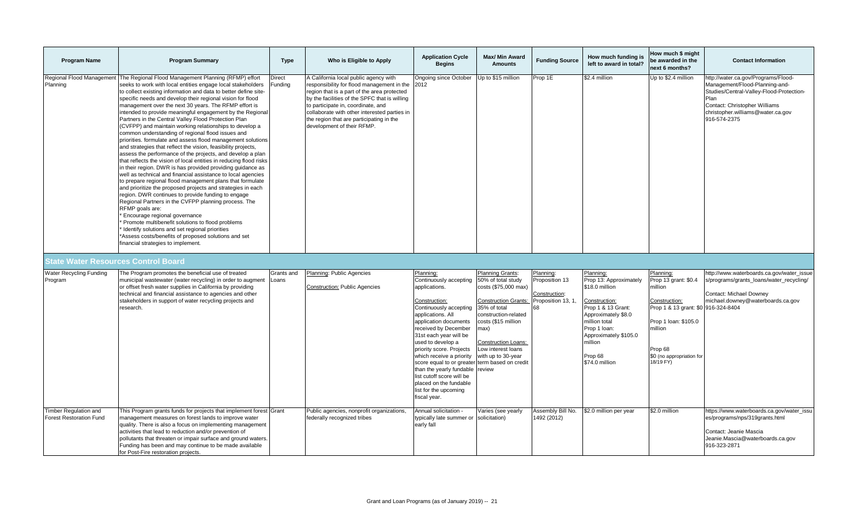| <b>Program Name</b>                                            | <b>Program Summary</b>                                                                                                                                                                                                                                                                                                                                                                                                                                                                                                                                                                                                                                                                                                                                                                                                                                                                                                                                                                                                                                                                                                                                                                                                                                                                                                                                                                                                                                 | Type                | Who is Eligible to Apply                                                                                                                                                                                                                                                                                                                                 | <b>Application Cycle</b><br><b>Begins</b>                                                                                                                                                                                                                                                                                                                                                                                             | <b>Max/ Min Award</b><br><b>Amounts</b>                                                                                                                                                                                                                                          | <b>Funding Source</b>                                                    | How much funding is<br>left to award in total?                                                                                                                                                                        | How much \$ might<br>be awarded in the<br>next 6 months?                                                                                                                                     | <b>Contact Information</b>                                                                                                                                                                                      |
|----------------------------------------------------------------|--------------------------------------------------------------------------------------------------------------------------------------------------------------------------------------------------------------------------------------------------------------------------------------------------------------------------------------------------------------------------------------------------------------------------------------------------------------------------------------------------------------------------------------------------------------------------------------------------------------------------------------------------------------------------------------------------------------------------------------------------------------------------------------------------------------------------------------------------------------------------------------------------------------------------------------------------------------------------------------------------------------------------------------------------------------------------------------------------------------------------------------------------------------------------------------------------------------------------------------------------------------------------------------------------------------------------------------------------------------------------------------------------------------------------------------------------------|---------------------|----------------------------------------------------------------------------------------------------------------------------------------------------------------------------------------------------------------------------------------------------------------------------------------------------------------------------------------------------------|---------------------------------------------------------------------------------------------------------------------------------------------------------------------------------------------------------------------------------------------------------------------------------------------------------------------------------------------------------------------------------------------------------------------------------------|----------------------------------------------------------------------------------------------------------------------------------------------------------------------------------------------------------------------------------------------------------------------------------|--------------------------------------------------------------------------|-----------------------------------------------------------------------------------------------------------------------------------------------------------------------------------------------------------------------|----------------------------------------------------------------------------------------------------------------------------------------------------------------------------------------------|-----------------------------------------------------------------------------------------------------------------------------------------------------------------------------------------------------------------|
| Regional Flood Management<br>Planning                          | The Regional Flood Management Planning (RFMP) effort<br>seeks to work with local entities engage local stakeholders<br>to collect existing information and data to better define site-<br>specific needs and develop their regional vision for flood<br>management over the next 30 years. The RFMP effort is<br>intended to provide meaningful engagement by the Regional<br>Partners in the Central Valley Flood Protection Plan<br>(CVFPP) and maintain working relationships to develop a<br>common understanding of regional flood issues and<br>priorities. formulate and assess flood management solutions<br>and strategies that reflect the vision, feasibility projects,<br>assess the performance of the projects, and develop a plan<br>that reflects the vision of local entities in reducing flood risks<br>in their region. DWR is has provided providing guidance as<br>well as technical and financial assistance to local agencies<br>to prepare regional flood management plans that formulate<br>and prioritize the proposed projects and strategies in each<br>region. DWR continues to provide funding to engage<br>Regional Partners in the CVFPP planning process. The<br>RFMP goals are:<br>Encourage regional governance<br>Promote multibenefit solutions to flood problems<br>Identify solutions and set regional priorities<br>*Assess costs/benefits of proposed solutions and set<br>financial strategies to implement. | Direct<br>Funding   | A California local public agency with<br>responsibility for flood management in the 2012<br>region that is a part of the area protected<br>by the facilities of the SPFC that is willing<br>to participate in, coordinate, and<br>collaborate with other interested parties in<br>the region that are participating in the<br>development of their RFMP. | Ongoing since October                                                                                                                                                                                                                                                                                                                                                                                                                 | Jp to \$15 million                                                                                                                                                                                                                                                               | Prop 1E                                                                  | \$2.4 million                                                                                                                                                                                                         | Up to \$2.4 million                                                                                                                                                                          | http://water.ca.gov/Programs/Flood-<br>Management/Flood-Planning-and-<br>Studies/Central-Valley-Flood-Protection-<br>Plan<br>Contact: Christopher Williams<br>christopher.williams@water.ca.gov<br>916-574-2375 |
| State Water Resources Control Board                            |                                                                                                                                                                                                                                                                                                                                                                                                                                                                                                                                                                                                                                                                                                                                                                                                                                                                                                                                                                                                                                                                                                                                                                                                                                                                                                                                                                                                                                                        |                     |                                                                                                                                                                                                                                                                                                                                                          |                                                                                                                                                                                                                                                                                                                                                                                                                                       |                                                                                                                                                                                                                                                                                  |                                                                          |                                                                                                                                                                                                                       |                                                                                                                                                                                              |                                                                                                                                                                                                                 |
| <b>Water Recycling Funding</b><br>Program                      | The Program promotes the beneficial use of treated<br>municipal wastewater (water recycling) in order to augment<br>or offset fresh water supplies in California by providing<br>technical and financial assistance to agencies and other<br>stakeholders in support of water recycling projects and<br>research.                                                                                                                                                                                                                                                                                                                                                                                                                                                                                                                                                                                                                                                                                                                                                                                                                                                                                                                                                                                                                                                                                                                                      | Grants and<br>Loans | Planning: Public Agencies<br><b>Construction: Public Agencies</b>                                                                                                                                                                                                                                                                                        | Planning:<br>Continuously accepting<br>applications.<br>Construction:<br>Continuously accepting<br>applications. All<br>application documents<br>received by December<br>31st each year will be<br>used to develop a<br>priority score. Projects<br>which receive a priority<br>score equal to or greater<br>than the yearly fundable<br>list cutoff score will be<br>placed on the fundable<br>list for the upcoming<br>fiscal year. | Planning Grants:<br>50% of total study<br>costs (\$75,000 max)<br><b>Construction Grants:</b><br>35% of total<br>construction-related<br>costs (\$15 million<br>max)<br><b>Construction Loans:</b><br>Low interest loans<br>with up to 30-year<br>term based on credit<br>review | Planning:<br>Proposition 13<br>Construction:<br>Proposition 13, 1,<br>68 | Planning:<br>Prop 13: Approximately<br>\$18.0 million<br>Construction:<br>Prop 1 & 13 Grant:<br>Approximately \$8.0<br>million total<br>Prop 1 loan:<br>Approximately \$105.0<br>million<br>Prop 68<br>\$74.0 million | Planning:<br>Prop 13 grant: \$0.4<br>million<br>Construction:<br>Prop 1 & 13 grant: \$0 916-324-8404<br>Prop 1 Ioan: \$105.0<br>million<br>Prop 68<br>\$0 (no appropriation for<br>18/19 FY) | http://www.waterboards.ca.gov/water_issue<br>s/programs/grants_loans/water_recycling/<br>Contact: Michael Downey<br>michael.downey@waterboards.ca.gov                                                           |
| <b>Timber Regulation and</b><br><b>Forest Restoration Fund</b> | This Program grants funds for projects that implement forest Grant<br>management measures on forest lands to improve water<br>quality. There is also a focus on implementing management<br>activities that lead to reduction and/or prevention of<br>pollutants that threaten or impair surface and ground waters.<br>Funding has been and may continue to be made available<br>for Post-Fire restoration projects.                                                                                                                                                                                                                                                                                                                                                                                                                                                                                                                                                                                                                                                                                                                                                                                                                                                                                                                                                                                                                                    |                     | Public agencies, nonprofit organizations.<br>federally recognized tribes                                                                                                                                                                                                                                                                                 | Annual solicitation -<br>typically late summer or solicitation)<br>early fall                                                                                                                                                                                                                                                                                                                                                         | /aries (see yearly                                                                                                                                                                                                                                                               | Assembly Bill No.<br>1492 (2012)                                         | \$2.0 million per year                                                                                                                                                                                                | \$2.0 million                                                                                                                                                                                | https://www.waterboards.ca.gov/water_issu<br>es/programs/nps/319grants.html<br>Contact: Jeanie Mascia<br>Jeanie.Mascia@waterboards.ca.gov<br>916-323-2871                                                       |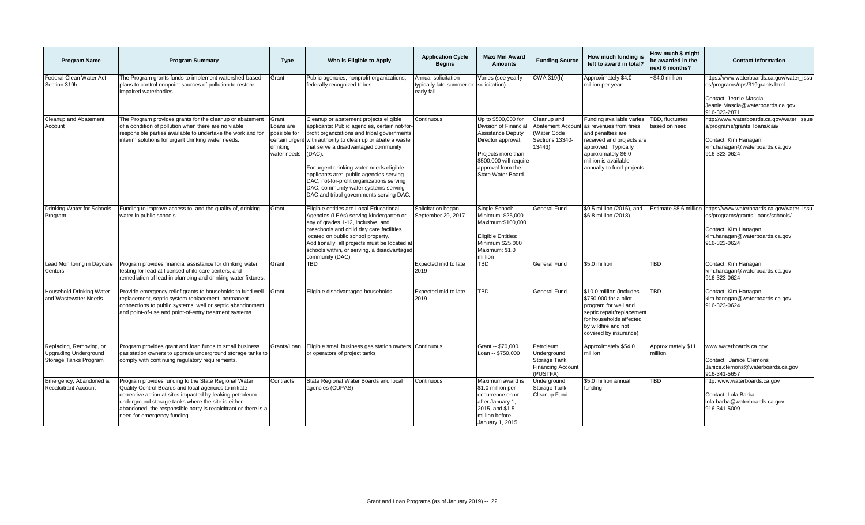| <b>Program Name</b>                                                              | <b>Program Summary</b>                                                                                                                                                                                                                                                                                                           | <b>Type</b>                                                    | Who is Eligible to Apply                                                                                                                                                                                                                                                                                                                                                                                                                                                      | <b>Application Cycle</b><br><b>Begins</b>                       | <b>Max/ Min Award</b><br><b>Amounts</b>                                                                                                                                                   | <b>Funding Source</b>                                                              | How much funding is<br>left to award in total?                                                                                                                                                           | How much \$ might<br>be awarded in the<br>next 6 months? | <b>Contact Information</b>                                                                                                                                |
|----------------------------------------------------------------------------------|----------------------------------------------------------------------------------------------------------------------------------------------------------------------------------------------------------------------------------------------------------------------------------------------------------------------------------|----------------------------------------------------------------|-------------------------------------------------------------------------------------------------------------------------------------------------------------------------------------------------------------------------------------------------------------------------------------------------------------------------------------------------------------------------------------------------------------------------------------------------------------------------------|-----------------------------------------------------------------|-------------------------------------------------------------------------------------------------------------------------------------------------------------------------------------------|------------------------------------------------------------------------------------|----------------------------------------------------------------------------------------------------------------------------------------------------------------------------------------------------------|----------------------------------------------------------|-----------------------------------------------------------------------------------------------------------------------------------------------------------|
| Federal Clean Water Act<br>Section 319h                                          | The Program grants funds to implement watershed-based<br>plans to control nonpoint sources of pollution to restore<br>impaired waterbodies.                                                                                                                                                                                      | Grant                                                          | Public agencies, nonprofit organizations,<br>federally recognized tribes                                                                                                                                                                                                                                                                                                                                                                                                      | Annual solicitation -<br>typically late summer or<br>early fall | Varies (see yearly<br>solicitation)                                                                                                                                                       | CWA 319(h)                                                                         | Approximately \$4.0<br>million per year                                                                                                                                                                  | ~\$4.0 million                                           | nttps://www.waterboards.ca.gov/water_issu<br>es/programs/nps/319grants.html<br>Contact: Jeanie Mascia<br>Jeanie.Mascia@waterboards.ca.gov<br>916-323-2871 |
| Cleanup and Abatement<br>Account                                                 | The Program provides grants for the cleanup or abatement<br>of a condition of pollution when there are no viable<br>responsible parties available to undertake the work and for<br>interim solutions for urgent drinking water needs.                                                                                            | Grant,<br>Loans are<br>possible for<br>drinking<br>water needs | Cleanup or abatement projects eligible<br>applicants: Public agencies, certain not-for-<br>profit organizations and tribal governments<br>certain urgent with authority to clean up or abate a waste<br>that serve a disadvantaged community<br>(DAC).<br>For urgent drinking water needs eligible<br>applicants are: public agencies serving<br>DAC, not-for-profit organizations serving<br>DAC, community water systems serving<br>DAC and tribal governments serving DAC. | Continuous                                                      | Up to \$500,000 for<br>Division of Financial<br><b>Assistance Deputy</b><br>Director approval.<br>Projects more than<br>\$500,000 will require<br>approval from the<br>State Water Board. | Cleanup and<br><b>Abatement Account</b><br>Water Code<br>Sections 13340-<br>13443) | Funding available varies<br>as revenues from fines<br>and penalties are<br>received and projects are<br>approved. Typically<br>approximately \$6.0<br>million is available<br>annually to fund projects. | TBD, fluctuates<br>based on need                         | http://www.waterboards.ca.gov/water_issue<br>s/programs/grants loans/caa/<br>Contact: Kim Hanagan<br>kim.hanagan@waterboards.ca.gov<br>916-323-0624       |
| Drinking Water for Schools<br>Program                                            | Funding to improve access to, and the quality of, drinking<br>water in public schools.                                                                                                                                                                                                                                           | Grant                                                          | Eligible entities are Local Educational<br>Agencies (LEAs) serving kindergarten or<br>any of grades 1-12, inclusive, and<br>preschools and child day care facilities<br>located on public school property.<br>Additionally, all projects must be located at<br>schools within, or serving, a disadvantaged<br>community (DAC)                                                                                                                                                 | Solicitation began<br>September 29, 2017                        | Single School:<br>Minimum: \$25,000<br>Maximum:\$100.000<br><b>Eligible Entities:</b><br>Minimum:\$25,000<br>Maximum: \$1.0<br>million                                                    | General Fund                                                                       | \$9.5 million (2016), and<br>\$6.8 million (2018)                                                                                                                                                        | Estimate \$8.6 million                                   | https://www.waterboards.ca.gov/water_issu<br>es/programs/grants_loans/schools/<br>Contact: Kim Hanagan<br>kim.hanagan@waterboards.ca.gov<br>916-323-0624  |
| Lead Monitoring in Daycare<br>Centers                                            | Program provides financial assistance for drinking water<br>testing for lead at licensed child care centers, and<br>remediation of lead in plumbing and drinking water fixtures.                                                                                                                                                 | Grant                                                          | TBD                                                                                                                                                                                                                                                                                                                                                                                                                                                                           | Expected mid to late<br>2019                                    | TBD                                                                                                                                                                                       | General Fund                                                                       | \$5.0 million                                                                                                                                                                                            | <b>TBD</b>                                               | Contact: Kim Hanagan<br>kim.hanagan@waterboards.ca.gov<br>916-323-0624                                                                                    |
| Household Drinking Water<br>and Wastewater Needs                                 | Provide emergency relief grants to households to fund well<br>replacement, septic system replacement, permanent<br>connections to public systems, well or septic abandonment,<br>and point-of-use and point-of-entry treatment systems.                                                                                          | Grant                                                          | Eligible disadvantaged households.                                                                                                                                                                                                                                                                                                                                                                                                                                            | Expected mid to late<br>2019                                    | TBD                                                                                                                                                                                       | <b>General Fund</b>                                                                | \$10.0 million (includes<br>\$750,000 for a pilot<br>program for well and<br>septic repair/replacement<br>for households affected<br>by wildfire and not<br>covered by insurance)                        | <b>TBD</b>                                               | Contact: Kim Hanagan<br>kim.hanagan@waterboards.ca.gov<br>916-323-0624                                                                                    |
| Replacing, Removing, or<br><b>Upgrading Underground</b><br>Storage Tanks Program | Program provides grant and loan funds to small business<br>gas station owners to upgrade underground storage tanks to<br>comply with continuing regulatory requirements.                                                                                                                                                         | Grants/Loan                                                    | Eligible small business gas station owners<br>or operators of project tanks                                                                                                                                                                                                                                                                                                                                                                                                   | Continuous                                                      | Grant -- \$70,000<br>Loan -- \$750,000                                                                                                                                                    | Petroleum<br>Underground<br>Storage Tank<br><b>Financing Account</b><br>(PUSTFA)   | Approximately \$54.0<br>million                                                                                                                                                                          | Approximately \$11<br>million                            | www.waterboards.ca.gov<br>Contact: Janice Clemons<br>Janice.clemons@waterboards.ca.gov<br>916-341-5657                                                    |
| Emergency, Abandoned &<br><b>Recalcitrant Account</b>                            | Program provides funding to the State Regional Water<br>Quality Control Boards and local agencies to initiate<br>corrective action at sites impacted by leaking petroleum<br>underground storage tanks where the site is either<br>abandoned, the responsible party is recalcitrant or there is a<br>need for emergency funding. | Contracts                                                      | State Regional Water Boards and local<br>agencies (CUPAS)                                                                                                                                                                                                                                                                                                                                                                                                                     | Continuous                                                      | Maximum award is<br>\$1.0 million per<br>occurrence on or<br>after January 1,<br>2015, and \$1.5<br>million before<br>January 1, 2015                                                     | Underground<br>Storage Tank<br>Cleanup Fund                                        | \$5.0 million annual<br>funding                                                                                                                                                                          | <b>TBD</b>                                               | http: www.waterboards.ca.gov<br>Contact: Lola Barba<br>lola.barba@waterboards.ca.gov<br>916-341-5009                                                      |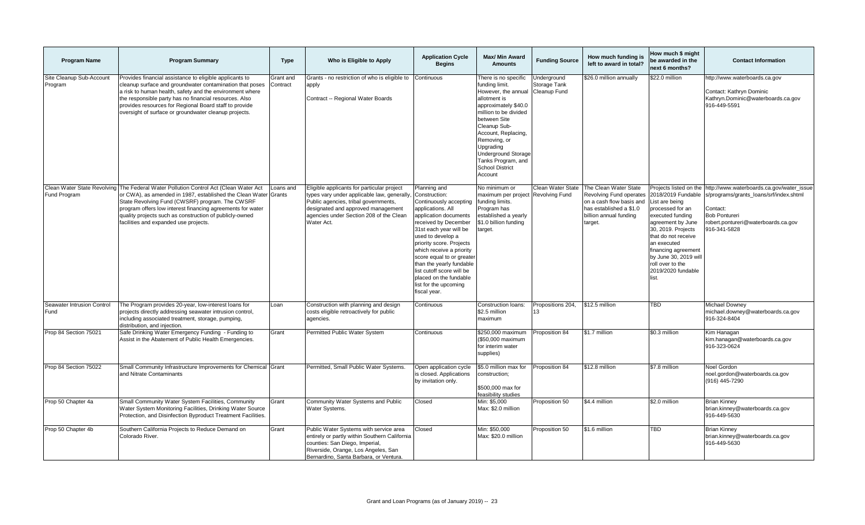| <b>Program Name</b>                 | <b>Program Summary</b>                                                                                                                                                                                                                                                                                                                                                       | <b>Type</b>           | Who is Eligible to Apply                                                                                                                                                                                                         | <b>Application Cycle</b><br><b>Begins</b>                                                                                                                                                                                                                                                                                                                                                    | Max/ Min Award<br><b>Amounts</b>                                                                                                                                                                                                                                                                            | <b>Funding Source</b>                       | How much funding is<br>left to award in total?                                                                                               | How much \$ might<br>be awarded in the<br>next 6 months?                                                                                                                                                                                                                                   | <b>Contact Information</b>                                                                                                                                                      |
|-------------------------------------|------------------------------------------------------------------------------------------------------------------------------------------------------------------------------------------------------------------------------------------------------------------------------------------------------------------------------------------------------------------------------|-----------------------|----------------------------------------------------------------------------------------------------------------------------------------------------------------------------------------------------------------------------------|----------------------------------------------------------------------------------------------------------------------------------------------------------------------------------------------------------------------------------------------------------------------------------------------------------------------------------------------------------------------------------------------|-------------------------------------------------------------------------------------------------------------------------------------------------------------------------------------------------------------------------------------------------------------------------------------------------------------|---------------------------------------------|----------------------------------------------------------------------------------------------------------------------------------------------|--------------------------------------------------------------------------------------------------------------------------------------------------------------------------------------------------------------------------------------------------------------------------------------------|---------------------------------------------------------------------------------------------------------------------------------------------------------------------------------|
| Site Cleanup Sub-Account<br>Program | Provides financial assistance to eligible applicants to<br>cleanup surface and groundwater contamination that poses<br>a risk to human health, safety and the environment where<br>the responsible party has no financial resources. Also<br>provides resources for Regional Board staff to provide<br>oversight of surface or groundwater cleanup projects.                 | Grant and<br>Contract | Grants - no restriction of who is eligible to<br>apply<br>Contract -- Regional Water Boards                                                                                                                                      | Continuous                                                                                                                                                                                                                                                                                                                                                                                   | There is no specific<br>funding limit.<br>However, the annual<br>allotment is<br>approximately \$40.0<br>million to be divided<br>between Site<br>Cleanup Sub-<br>Account, Replacing,<br>Removing, or<br>Upgrading<br><b>Underground Storage</b><br>Tanks Program, and<br><b>School District</b><br>Account | Underground<br>Storage Tank<br>Cleanup Fund | \$26.0 million annually                                                                                                                      | \$22.0 million                                                                                                                                                                                                                                                                             | http://www.waterboards.ca.gov<br>Contact: Kathryn Dominic<br>Kathryn.Dominic@waterboards.ca.gov<br>916-449-5591                                                                 |
| Fund Program                        | Clean Water State Revolving The Federal Water Pollution Control Act (Clean Water Act<br>or CWA), as amended in 1987, established the Clean Water Grants<br>State Revolving Fund (CWSRF) program. The CWSRF<br>program offers low interest financing agreements for water<br>quality projects such as construction of publicly-owned<br>facilities and expanded use projects. | Loans and             | Eligible applicants for particular project<br>types vary under applicable law, generally,<br>Public agencies, tribal governments,<br>designated and approved management<br>agencies under Section 208 of the Clean<br>Water Act. | Planning and<br>Construction:<br>Continuously accepting<br>applications. All<br>application documents<br>received by December<br>31st each year will be<br>used to develop a<br>priority score. Projects<br>which receive a priority<br>score equal to or greate<br>than the yearly fundable<br>list cutoff score will be<br>placed on the fundable<br>list for the upcoming<br>fiscal year. | No minimum or<br>maximum per project<br>funding limits.<br>Program has<br>established a yearly<br>\$1.0 billion funding<br>arget.                                                                                                                                                                           | Clean Water State<br><b>Revolving Fund</b>  | The Clean Water State<br>Revolving Fund operates<br>on a cash flow basis and<br>has established a \$1.0<br>billion annual funding<br>target. | Projects listed on the<br>2018/2019 Fundable<br>List are being<br>processed for an<br>executed funding<br>agreement by June<br>30, 2019. Projects<br>that do not receive<br>an executed<br>financing agreement<br>by June 30, 2019 will<br>roll over to the<br>2019/2020 fundable<br>list. | http://www.waterboards.ca.gov/water_issue<br>s/programs/grants loans/srf/index.shtml<br>Contact:<br><b>Bob Pontureri</b><br>robert.pontureri@waterboards.ca.gov<br>916-341-5828 |
| Seawater Intrusion Control<br>Fund  | The Program provides 20-year, low-interest loans for<br>projects directly addressing seawater intrusion control,<br>including associated treatment, storage, pumping,<br>distribution, and injection.                                                                                                                                                                        | Loan                  | Construction with planning and design<br>costs eligible retroactively for public<br>agencies.                                                                                                                                    | Continuous                                                                                                                                                                                                                                                                                                                                                                                   | Construction loans:<br>\$2.5 million<br>maximum                                                                                                                                                                                                                                                             | Propositions 204,<br>13                     | \$12.5 million                                                                                                                               | <b>TBD</b>                                                                                                                                                                                                                                                                                 | Michael Downey<br>michael.downey@waterboards.ca.gov<br>916-324-8404                                                                                                             |
| Prop 84 Section 75021               | Safe Drinking Water Emergency Funding - Funding to<br>Assist in the Abatement of Public Health Emergencies.                                                                                                                                                                                                                                                                  | Grant                 | Permitted Public Water System                                                                                                                                                                                                    | Continuous                                                                                                                                                                                                                                                                                                                                                                                   | \$250,000 maximum<br>(\$50.000 maximum<br>for interim water<br>supplies)                                                                                                                                                                                                                                    | Proposition 84                              | \$1.7 million                                                                                                                                | \$0.3 million                                                                                                                                                                                                                                                                              | Kim Hanagan<br>kim.hanagan@waterboards.ca.gov<br>916-323-0624                                                                                                                   |
| Prop 84 Section 75022               | Small Community Infrastructure Improvements for Chemical Grant<br>and Nitrate Contaminants                                                                                                                                                                                                                                                                                   |                       | Permitted, Small Public Water Systems.                                                                                                                                                                                           | Open application cycle<br>is closed. Applications<br>by invitation only.                                                                                                                                                                                                                                                                                                                     | \$5.0 million max for<br>construction;<br>\$500,000 max for<br>feasibility studies                                                                                                                                                                                                                          | Proposition 84                              | \$12.8 million                                                                                                                               | \$7.8 million                                                                                                                                                                                                                                                                              | Noel Gordon<br>noel.gordon@waterboards.ca.gov<br>(916) 445-7290                                                                                                                 |
| Prop 50 Chapter 4a                  | Small Community Water System Facilities, Community<br>Water System Monitoring Facilities, Drinking Water Source<br>Protection, and Disinfection Byproduct Treatment Facilities.                                                                                                                                                                                              | Grant                 | Community Water Systems and Public<br>Water Systems.                                                                                                                                                                             | Closed                                                                                                                                                                                                                                                                                                                                                                                       | Min: \$5,000<br>Max: \$2.0 million                                                                                                                                                                                                                                                                          | Proposition 50                              | \$4.4 million                                                                                                                                | \$2.0 million                                                                                                                                                                                                                                                                              | <b>Brian Kinney</b><br>brian.kinney@waterboards.ca.gov<br>916-449-5630                                                                                                          |
| Prop 50 Chapter 4b                  | Southern California Projects to Reduce Demand on<br>Colorado River.                                                                                                                                                                                                                                                                                                          | Grant                 | Public Water Systems with service area<br>entirely or partly within Southern California<br>counties: San Diego, Imperial,<br>Riverside, Orange, Los Angeles, San<br>Bernardino, Santa Barbara, or Ventura.                       | Closed                                                                                                                                                                                                                                                                                                                                                                                       | Min: \$50,000<br>Max: \$20.0 million                                                                                                                                                                                                                                                                        | Proposition 50                              | \$1.6 million                                                                                                                                | TBD                                                                                                                                                                                                                                                                                        | <b>Brian Kinney</b><br>brian.kinney@waterboards.ca.gov<br>916-449-5630                                                                                                          |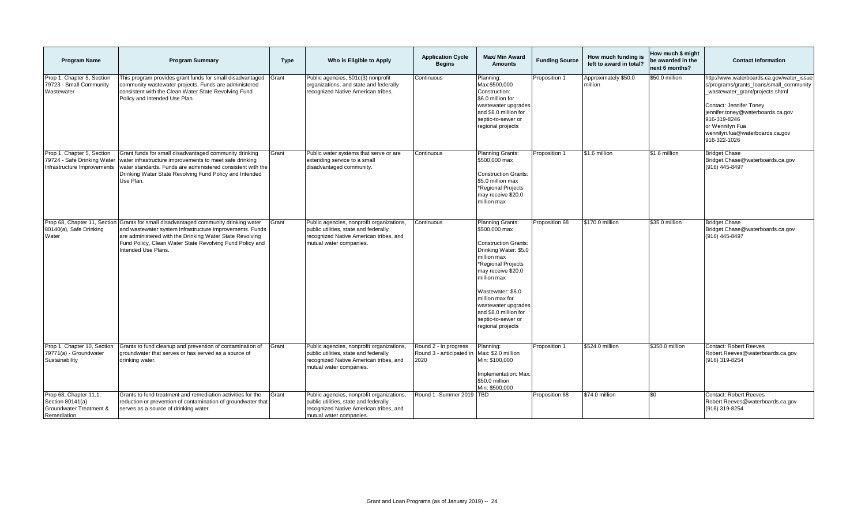| <b>Program Name</b>                                                                             | <b>Program Summary</b>                                                                                                                                                                                                                                             | <b>Type</b> | Who is Eligible to Apply                                                                                                                                | <b>Application Cycle</b><br><b>Begins</b>                 | <b>Max/ Min Award</b><br><b>Amounts</b>                                                                                                                                                                                                                                                                | <b>Funding Source</b> | How much funding is<br>left to award in total? | How much \$ might<br>be awarded in the<br>next 6 months? | <b>Contact Information</b>                                                                                                                                                                                                                                                    |
|-------------------------------------------------------------------------------------------------|--------------------------------------------------------------------------------------------------------------------------------------------------------------------------------------------------------------------------------------------------------------------|-------------|---------------------------------------------------------------------------------------------------------------------------------------------------------|-----------------------------------------------------------|--------------------------------------------------------------------------------------------------------------------------------------------------------------------------------------------------------------------------------------------------------------------------------------------------------|-----------------------|------------------------------------------------|----------------------------------------------------------|-------------------------------------------------------------------------------------------------------------------------------------------------------------------------------------------------------------------------------------------------------------------------------|
| Prop 1, Chapter 5, Section<br>79723 - Small Community<br>Wastewater                             | This program provides grant funds for small disadvantaged<br>community wastewater projects. Funds are administered<br>consistent with the Clean Water State Revolving Fund<br>Policy and Intended Use Plan.                                                        | Grant       | Public agencies, 501c(3) nonprofit<br>organizations, and state and federally<br>recognized Native American tribes.                                      | Continuous                                                | Planning:<br>Max:\$500,000<br>Construction:<br>\$6.0 million for<br>wastewater upgrades<br>and \$8.0 million for<br>septic-to-sewer or<br>regional projects                                                                                                                                            | Proposition 1         | Approximately \$50.0<br>million                | \$50.0 million                                           | http://www.waterboards.ca.gov/water_issue<br>s/programs/grants_loans/small_community<br>wastewater grant/projects.shtml<br>Contact: Jennifer Toney<br>jennifer.toney@waterboards.ca.gov<br>916-319-8246<br>or Wennilyn Fua<br>wennilyn.fua@waterboards.ca.gov<br>916-322-1026 |
| Prop 1, Chapter 5, Section<br>79724 - Safe Drinking Water<br>Infrastructure Improvements        | Grant funds for small disadvantaged community drinking<br>water infrastructure improvements to meet safe drinking<br>water standards. Funds are administered consistent with the<br>Drinking Water State Revolving Fund Policy and Intended<br>Use Plan.           | Grant       | Public water systems that serve or are<br>extending service to a small<br>disadvantaged community.                                                      | Continuous                                                | Planning Grants:<br>\$500,000 max<br><b>Construction Grants:</b><br>\$5.0 million max<br>*Regional Projects<br>may receive \$20.0<br>million max                                                                                                                                                       | Proposition 1         | \$1.6 million                                  | \$1.6 million                                            | <b>Bridget Chase</b><br>Bridget.Chase@waterboards.ca.gov<br>(916) 445-8497                                                                                                                                                                                                    |
| Prop 68, Chapter 11, Section<br>80140(a), Safe Drinking<br>Water                                | Grants for small disadvantaged community drinking water<br>and wastewater system infrastructure improvements. Funds<br>are administered with the Drinking Water State Revolving<br>Fund Policy, Clean Water State Revolving Fund Policy and<br>Intended Use Plans. | Grant       | Public agencies, nonprofit organizations,<br>public utilities, state and federally<br>recognized Native American tribes, and<br>mutual water companies. | Continuous                                                | Planning Grants:<br>\$500,000 max<br><b>Construction Grants:</b><br>Drinking Water: \$5.0<br>million max<br>*Regional Projects<br>may receive \$20.0<br>million max<br>Wastewater: \$6.0<br>million max for<br>wastewater upgrades<br>and \$8.0 million for<br>septic-to-sewer or<br>regional projects | Proposition 68        | \$170.0 million                                | \$35.0 million                                           | <b>Bridget Chase</b><br>Bridget.Chase@waterboards.ca.gov<br>(916) 445-8497                                                                                                                                                                                                    |
| Prop 1, Chapter 10, Section<br>79771(a) - Groundwater<br>Sustainability                         | Grants to fund cleanup and prevention of contamination of<br>groundwater that serves or has served as a source of<br>drinking water.                                                                                                                               | Grant       | Public agencies, nonprofit organizations,<br>public utilities, state and federally<br>recognized Native American tribes, and<br>mutual water companies. | Round 2 - In progress<br>Round 3 - anticipated in<br>2020 | Planning:<br>Max: \$2.0 million<br>Min: \$100,000<br>Implementation: Max<br>\$50.0 million<br>Min: \$500,000                                                                                                                                                                                           | Proposition 1         | \$524.0 million                                | \$350.0 million                                          | Contact: Robert Reeves<br>Robert.Reeves@waterboards.ca.gov<br>(916) 319-8254                                                                                                                                                                                                  |
| Prop 68, Chapter 11.1,<br>Section 80141(a)<br><b>Groundwater Treatment &amp;</b><br>Remediation | Grants to fund treatment and remediation activities for the<br>reduction or prevention of contamination of groundwater that<br>serves as a source of drinking water.                                                                                               | Grant       | Public agencies, nonprofit organizations,<br>public utilities, state and federally<br>recognized Native American tribes, and<br>mutual water companies. | Round 1 -Summer 2019 TBD                                  |                                                                                                                                                                                                                                                                                                        | Proposition 68        | \$74.0 million                                 | \$0                                                      | Contact: Robert Reeves<br>Robert.Reeves@waterboards.ca.gov<br>(916) 319-8254                                                                                                                                                                                                  |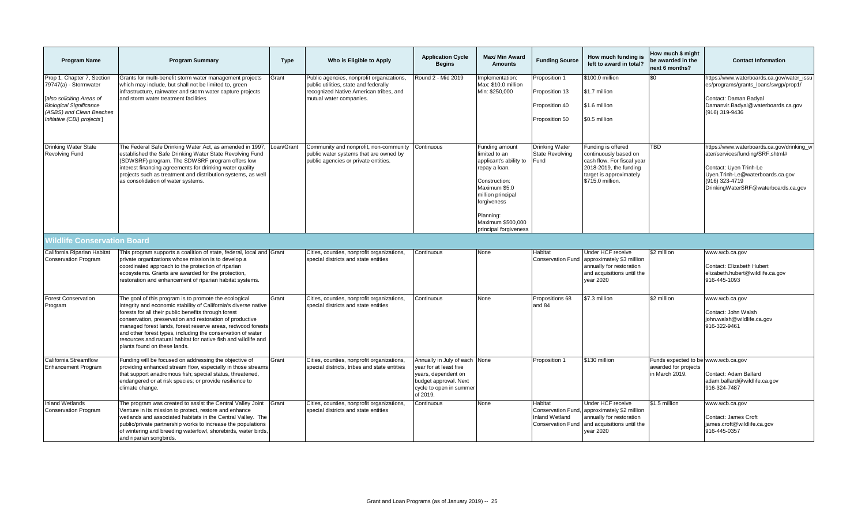| <b>Program Name</b>                                                                                                                                                          | <b>Program Summary</b>                                                                                                                                                                                                                                                                                                                                                                                                                                                       | <b>Type</b> | Who is Eligible to Apply                                                                                                                                | <b>Application Cycle</b><br><b>Begins</b>                                                                                                      | Max/ Min Award<br><b>Amounts</b>                                                                                                                                                                           | <b>Funding Source</b>                                                       | How much funding is<br>left to award in total?                                                                                                     | How much \$ might<br>be awarded in the<br>next 6 months?                      | <b>Contact Information</b>                                                                                                                                                                           |
|------------------------------------------------------------------------------------------------------------------------------------------------------------------------------|------------------------------------------------------------------------------------------------------------------------------------------------------------------------------------------------------------------------------------------------------------------------------------------------------------------------------------------------------------------------------------------------------------------------------------------------------------------------------|-------------|---------------------------------------------------------------------------------------------------------------------------------------------------------|------------------------------------------------------------------------------------------------------------------------------------------------|------------------------------------------------------------------------------------------------------------------------------------------------------------------------------------------------------------|-----------------------------------------------------------------------------|----------------------------------------------------------------------------------------------------------------------------------------------------|-------------------------------------------------------------------------------|------------------------------------------------------------------------------------------------------------------------------------------------------------------------------------------------------|
| Prop 1, Chapter 7, Section<br>79747(a) - Stormwater<br>[also soliciting Areas of<br><b>Biological Significance</b><br>(ASBS) and Clean Beaches<br>Initiative (CBI) projects] | Grants for multi-benefit storm water management projects<br>which may include, but shall not be limited to, green<br>infrastructure, rainwater and storm water capture projects<br>and storm water treatment facilities.                                                                                                                                                                                                                                                     | Grant       | Public agencies, nonprofit organizations,<br>public utilities, state and federally<br>recognized Native American tribes, and<br>mutual water companies. | Round 2 - Mid 2019                                                                                                                             | mplementation:<br>Max: \$10.0 million<br>Min: \$250,000                                                                                                                                                    | Proposition 1<br>Proposition 13<br>Proposition 40<br>Proposition 50         | \$100.0 million<br>\$1.7 million<br>\$1.6 million<br>\$0.5 million                                                                                 | \$0                                                                           | https://www.waterboards.ca.gov/water_issu<br>es/programs/grants_loans/swgp/prop1/<br>Contact: Daman Badyal<br>Damanvir.Badyal@waterboards.ca.gov<br>(916) 319-9436                                   |
| <b>Drinking Water State</b><br><b>Revolving Fund</b>                                                                                                                         | The Federal Safe Drinking Water Act, as amended in 1997,<br>established the Safe Drinking Water State Revolving Fund<br>(SDWSRF) program. The SDWSRF program offers low<br>interest financing agreements for drinking water quality<br>projects such as treatment and distribution systems, as well<br>as consolidation of water systems.                                                                                                                                    | .oan/Grant  | Community and nonprofit, non-community<br>public water systems that are owned by<br>public agencies or private entities.                                | Continuous                                                                                                                                     | Funding amount<br>imited to an<br>applicant's ability to<br>repay a loan.<br>Construction:<br>Maximum \$5.0<br>million principal<br>forgiveness<br>Planning:<br>Maximum \$500,000<br>principal forgiveness | Drinking Water<br>State Revolving<br>Fund                                   | Funding is offered<br>continuously based on<br>cash flow. For fiscal year<br>2018-2019, the funding<br>target is approximately<br>\$715.0 million. | TBD                                                                           | https://www.waterboards.ca.gov/drinking_w<br>ater/services/funding/SRF.shtml#<br>Contact: Uyen Trinh-Le<br>Uyen.Trinh-Le@waterboards.ca.gov<br>(916) 323-4719<br>DrinkingWaterSRF@waterboards.ca.gov |
| Vildlife Conservation Board                                                                                                                                                  |                                                                                                                                                                                                                                                                                                                                                                                                                                                                              |             |                                                                                                                                                         |                                                                                                                                                |                                                                                                                                                                                                            |                                                                             |                                                                                                                                                    |                                                                               |                                                                                                                                                                                                      |
| California Riparian Habitat<br><b>Conservation Program</b>                                                                                                                   | This program supports a coalition of state, federal, local and Grant<br>private organizations whose mission is to develop a<br>coordinated approach to the protection of riparian<br>ecosystems. Grants are awarded for the protection,<br>restoration and enhancement of riparian habitat systems.                                                                                                                                                                          |             | Cities, counties, nonprofit organizations,<br>special districts and state entities                                                                      | Continuous                                                                                                                                     | None                                                                                                                                                                                                       | Habitat<br><b>Conservation Fund</b>                                         | Under HCF receive<br>approximately \$3 million<br>annually for restoration<br>and acquisitions until the<br>vear 2020                              | \$2 million                                                                   | www.wcb.ca.gov<br>Contact: Elizabeth Hubert<br>elizabeth.hubert@wildlife.ca.gov<br>916-445-1093                                                                                                      |
| <b>Forest Conservation</b><br>Program                                                                                                                                        | The goal of this program is to promote the ecological<br>integrity and economic stability of California's diverse native<br>forests for all their public benefits through forest<br>conservation, preservation and restoration of productive<br>managed forest lands, forest reserve areas, redwood forests<br>and other forest types, including the conservation of water<br>resources and natural habitat for native fish and wildlife and<br>plants found on these lands. | Grant       | Cities, counties, nonprofit organizations,<br>special districts and state entities                                                                      | Continuous                                                                                                                                     | None                                                                                                                                                                                                       | Propositions 68<br>and 84                                                   | \$7.3 million                                                                                                                                      | \$2 million                                                                   | www.wcb.ca.gov<br>Contact: John Walsh<br>john.walsh@wildlife.ca.gov<br>916-322-9461                                                                                                                  |
| California Streamflow<br><b>Enhancement Program</b>                                                                                                                          | Funding will be focused on addressing the objective of<br>providing enhanced stream flow, especially in those streams<br>that support anadromous fish; special status, threatened,<br>endangered or at risk species; or provide resilience to<br>climate change.                                                                                                                                                                                                             | Grant       | Cities, counties, nonprofit organizations,<br>special districts, tribes and state entities                                                              | Annually in July of each None<br>year for at least five<br>years, dependent on<br>budget approval. Next<br>cycle to open in summer<br>of 2019. |                                                                                                                                                                                                            | Proposition 1                                                               | \$130 million                                                                                                                                      | Funds expected to be www.wcb.ca.gov<br>awarded for projects<br>in March 2019. | Contact: Adam Ballard<br>adam.ballard@wildlife.ca.gov<br>916-324-7487                                                                                                                                |
| <b>Inland Wetlands</b><br><b>Conservation Program</b>                                                                                                                        | The program was created to assist the Central Valley Joint Grant<br>Venture in its mission to protect, restore and enhance<br>wetlands and associated habitats in the Central Valley. The<br>public/private partnership works to increase the populations<br>of wintering and breeding waterfowl, shorebirds, water birds,<br>and riparian songbirds.                                                                                                                        |             | Cities, counties, nonprofit organizations,<br>special districts and state entities                                                                      | Continuous                                                                                                                                     | None                                                                                                                                                                                                       | Habitat<br>Conservation Fund,<br>Inland Wetland<br><b>Conservation Fund</b> | <b>Under HCF receive</b><br>approximately \$2 million<br>annually for restoration<br>and acquisitions until the<br>vear 2020                       | \$1.5 million                                                                 | www.wcb.ca.gov<br>Contact: James Croft<br>james.croft@wildlife.ca.gov<br>916-445-0357                                                                                                                |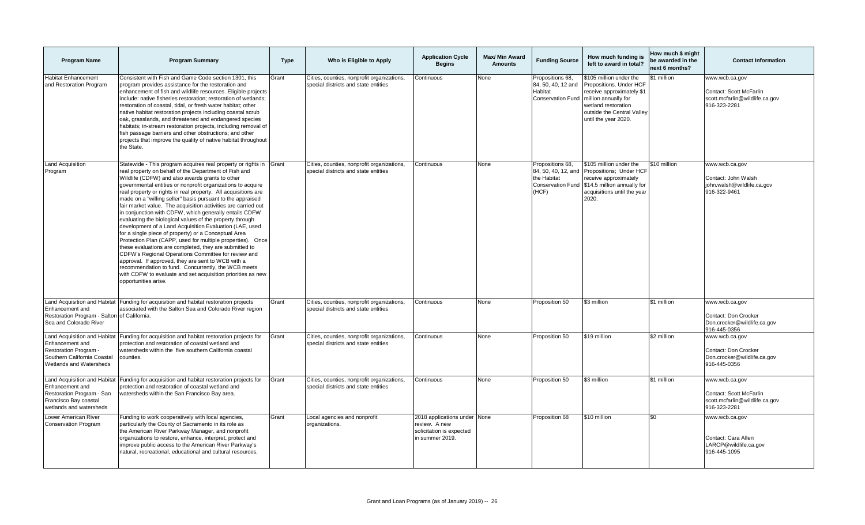| <b>Program Name</b>                                                                                                                     | <b>Program Summary</b>                                                                                                                                                                                                                                                                                                                                                                                                                                                                                                                                                                                                                                                                                                                                                                                                                                                                                                                                                                                                                                                     | <b>Type</b> | Who is Eligible to Apply                                                           | <b>Application Cycle</b><br><b>Begins</b>                                                    | Max/ Min Award<br><b>Amounts</b> | <b>Funding Source</b>                                                                       | How much funding is<br>left to award in total?                                                                                                                                      | How much \$ might<br>be awarded in the<br>next 6 months? | <b>Contact Information</b>                                                                  |
|-----------------------------------------------------------------------------------------------------------------------------------------|----------------------------------------------------------------------------------------------------------------------------------------------------------------------------------------------------------------------------------------------------------------------------------------------------------------------------------------------------------------------------------------------------------------------------------------------------------------------------------------------------------------------------------------------------------------------------------------------------------------------------------------------------------------------------------------------------------------------------------------------------------------------------------------------------------------------------------------------------------------------------------------------------------------------------------------------------------------------------------------------------------------------------------------------------------------------------|-------------|------------------------------------------------------------------------------------|----------------------------------------------------------------------------------------------|----------------------------------|---------------------------------------------------------------------------------------------|-------------------------------------------------------------------------------------------------------------------------------------------------------------------------------------|----------------------------------------------------------|---------------------------------------------------------------------------------------------|
| <b>Habitat Enhancement</b><br>and Restoration Program                                                                                   | Consistent with Fish and Game Code section 1301, this<br>program provides assistance for the restoration and<br>enhancement of fish and wildlife resources. Eligible projects<br>include: native fisheries restoration; restoration of wetlands;<br>restoration of coastal, tidal, or fresh water habitat; other<br>native habitat restoration projects including coastal scrub<br>oak, grasslands, and threatened and endangered species<br>habitats; in-stream restoration projects, including removal of<br>fish passage barriers and other obstructions; and other<br>projects that improve the quality of native habitat throughout<br>the State.                                                                                                                                                                                                                                                                                                                                                                                                                     | Grant       | Cities, counties, nonprofit organizations,<br>special districts and state entities | Continuous                                                                                   | None                             | Propositions 68,<br>84, 50, 40, 12 and<br>Habitat<br><b>Conservation Fund</b>               | \$105 million under the<br>Propositions. Under HCF<br>eceive approximately \$1<br>million annually for<br>wetland restoration<br>outside the Central Valley<br>until the year 2020. | \$1 million                                              | www.wcb.ca.gov<br>Contact: Scott McFarlin<br>scott.mcfarlin@wildlife.ca.gov<br>916-323-2281 |
| <b>Land Acquisition</b><br>Program                                                                                                      | Statewide - This program acquires real property or rights in Grant<br>real property on behalf of the Department of Fish and<br>Wildlife (CDFW) and also awards grants to other<br>governmental entities or nonprofit organizations to acquire<br>real property or rights in real property. All acquisitions are<br>made on a "willing seller" basis pursuant to the appraised<br>fair market value. The acquisition activities are carried out<br>in conjunction with CDFW, which generally entails CDFW<br>evaluating the biological values of the property through<br>development of a Land Acquisition Evaluation (LAE, used<br>for a single piece of property) or a Conceptual Area<br>Protection Plan (CAPP, used for multiple properties). Once<br>these evaluations are completed, they are submitted to<br>CDFW's Regional Operations Committee for review and<br>approval. If approved, they are sent to WCB with a<br>recommendation to fund. Concurrently, the WCB meets<br>with CDFW to evaluate and set acquisition priorities as new<br>opportunities arise. |             | Cities, counties, nonprofit organizations,<br>special districts and state entities | Continuous                                                                                   | None                             | Propositions 68,<br>84, 50, 40, 12, and<br>the Habitat<br><b>Conservation Fund</b><br>(HCF) | \$105 million under the<br>Propositions; Under HCF<br>eceive approximately<br>\$14.5 million annually for<br>acquisitions until the year<br>2020.                                   | \$10 million                                             | www.wcb.ca.gov<br>Contact: John Walsh<br>john.walsh@wildlife.ca.gov<br>916-322-9461         |
| Land Acquisition and Habitat<br>Enhancement and<br>Restoration Program - Salton of California.<br>Sea and Colorado River                | Funding for acquisition and habitat restoration projects<br>associated with the Salton Sea and Colorado River region                                                                                                                                                                                                                                                                                                                                                                                                                                                                                                                                                                                                                                                                                                                                                                                                                                                                                                                                                       | Grant       | Cities, counties, nonprofit organizations,<br>special districts and state entities | Continuous                                                                                   | None                             | Proposition 50                                                                              | \$3 million                                                                                                                                                                         | \$1 million                                              | www.wcb.ca.gov<br>Contact: Don Crocker<br>Don.crocker@wildlife.ca.gov<br>916-445-0356       |
| Land Acquisition and Habitat<br>Enhancement and<br><b>Restoration Program</b><br>Southern California Coastal<br>Wetlands and Watersheds | Funding for acquisition and habitat restoration projects for<br>protection and restoration of coastal wetland and<br>watersheds within the five southern California coastal<br>counties.                                                                                                                                                                                                                                                                                                                                                                                                                                                                                                                                                                                                                                                                                                                                                                                                                                                                                   | Grant       | Cities, counties, nonprofit organizations,<br>special districts and state entities | Continuous                                                                                   | None                             | Proposition 50                                                                              | \$19 million                                                                                                                                                                        | \$2 million                                              | www.wcb.ca.gov<br>Contact: Don Crocker<br>Don.crocker@wildlife.ca.gov<br>916-445-0356       |
| Land Acquisition and Habitat<br>Enhancement and<br>Restoration Program - San<br>Francisco Bay coastal<br>wetlands and watersheds        | Funding for acquisition and habitat restoration projects for<br>protection and restoration of coastal wetland and<br>watersheds within the San Francisco Bay area.                                                                                                                                                                                                                                                                                                                                                                                                                                                                                                                                                                                                                                                                                                                                                                                                                                                                                                         | Grant       | Cities, counties, nonprofit organizations,<br>special districts and state entities | Continuous                                                                                   | None                             | Proposition 50                                                                              | \$3 million                                                                                                                                                                         | \$1 million                                              | www.wcb.ca.gov<br>Contact: Scott McFarlin<br>scott.mcfarlin@wildlife.ca.gov<br>916-323-2281 |
| Lower American River<br><b>Conservation Program</b>                                                                                     | Funding to work cooperatively with local agencies,<br>particularly the County of Sacramento in its role as<br>the American River Parkway Manager, and nonprofit<br>organizations to restore, enhance, interpret, protect and<br>improve public access to the American River Parkway's<br>natural, recreational, educational and cultural resources.                                                                                                                                                                                                                                                                                                                                                                                                                                                                                                                                                                                                                                                                                                                        | Grant       | Local agencies and nonprofit<br>organizations.                                     | 2018 applications under None<br>review. A new<br>solicitation is expected<br>in summer 2019. |                                  | Proposition 68                                                                              | \$10 million                                                                                                                                                                        | \$0                                                      | www.wcb.ca.gov<br>Contact: Cara Allen<br>LARCP@wildlife.ca.gov<br>916-445-1095              |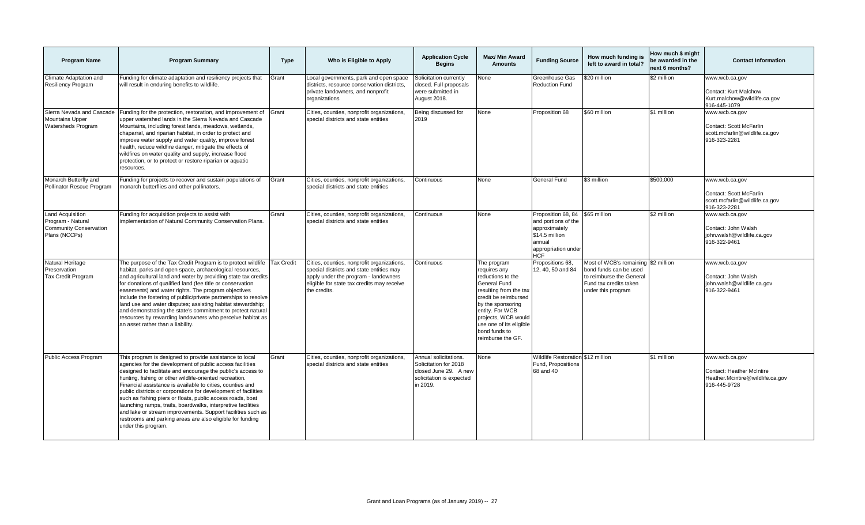| <b>Program Name</b>                                                                            | <b>Program Summary</b>                                                                                                                                                                                                                                                                                                                                                                                                                                                                                                                                                                                                                                        | <b>Type</b>       | Who is Eligible to Apply                                                                                                                                                                     | <b>Application Cycle</b><br><b>Begins</b>                                                                       | <b>Max/ Min Award</b><br><b>Amounts</b>                                                                                                                                                                                                            | <b>Funding Source</b>                                                                                                       | How much funding is<br>left to award in total?                                                                                            | How much \$ might<br>be awarded in the<br>next 6 months? | <b>Contact Information</b>                                                                             |
|------------------------------------------------------------------------------------------------|---------------------------------------------------------------------------------------------------------------------------------------------------------------------------------------------------------------------------------------------------------------------------------------------------------------------------------------------------------------------------------------------------------------------------------------------------------------------------------------------------------------------------------------------------------------------------------------------------------------------------------------------------------------|-------------------|----------------------------------------------------------------------------------------------------------------------------------------------------------------------------------------------|-----------------------------------------------------------------------------------------------------------------|----------------------------------------------------------------------------------------------------------------------------------------------------------------------------------------------------------------------------------------------------|-----------------------------------------------------------------------------------------------------------------------------|-------------------------------------------------------------------------------------------------------------------------------------------|----------------------------------------------------------|--------------------------------------------------------------------------------------------------------|
| Climate Adaptation and<br><b>Resiliency Program</b>                                            | Funding for climate adaptation and resiliency projects that<br>will result in enduring benefits to wildlife.                                                                                                                                                                                                                                                                                                                                                                                                                                                                                                                                                  | Grant             | Local governments, park and open space<br>districts, resource conservation districts,<br>private landowners, and nonprofit<br>organizations                                                  | Solicitation currently<br>closed. Full proposals<br>were submitted in<br>August 2018.                           | None                                                                                                                                                                                                                                               | Greenhouse Gas<br><b>Reduction Fund</b>                                                                                     | \$20 million                                                                                                                              | \$2 million                                              | www.wcb.ca.gov<br><b>Contact: Kurt Malchow</b><br>Kurt.malchow@wildlife.ca.gov<br>916-445-1079         |
| Sierra Nevada and Cascade<br><b>Mountains Upper</b><br><b>Watersheds Program</b>               | Funding for the protection, restoration, and improvement of<br>upper watershed lands in the Sierra Nevada and Cascade<br>Mountains, including forest lands, meadows, wetlands,<br>chaparral, and riparian habitat, in order to protect and<br>improve water supply and water quality, improve forest<br>health, reduce wildfire danger, mitigate the effects of<br>wildfires on water quality and supply, increase flood<br>protection, or to protect or restore riparian or aquatic<br>resources.                                                                                                                                                            | Grant             | Cities, counties, nonprofit organizations<br>special districts and state entities                                                                                                            | Being discussed for<br>2019                                                                                     | None                                                                                                                                                                                                                                               | Proposition 68                                                                                                              | \$60 million                                                                                                                              | \$1 million                                              | www.wcb.ca.gov<br>Contact: Scott McFarlin<br>scott.mcfarlin@wildlife.ca.gov<br>916-323-2281            |
| Monarch Butterfly and<br>Pollinator Rescue Program                                             | Funding for projects to recover and sustain populations of<br>monarch butterflies and other pollinators.                                                                                                                                                                                                                                                                                                                                                                                                                                                                                                                                                      | Grant             | Cities, counties, nonprofit organizations,<br>special districts and state entities                                                                                                           | Continuous                                                                                                      | None                                                                                                                                                                                                                                               | <b>General Fund</b>                                                                                                         | \$3 million                                                                                                                               | \$500,000                                                | www.wcb.ca.gov<br>Contact: Scott McFarlin<br>scott.mcfarlin@wildlife.ca.gov<br>916-323-2281            |
| <b>Land Acquisition</b><br>Program - Natural<br><b>Community Conservation</b><br>Plans (NCCPs) | Funding for acquisition projects to assist with<br>implementation of Natural Community Conservation Plans.                                                                                                                                                                                                                                                                                                                                                                                                                                                                                                                                                    | Grant             | Cities, counties, nonprofit organizations,<br>special districts and state entities                                                                                                           | Continuous                                                                                                      | None                                                                                                                                                                                                                                               | Proposition 68, 84<br>and portions of the<br>approximately<br>\$14.5 million<br>annual<br>appropriation under<br><b>HCF</b> | \$65 million                                                                                                                              | \$2 million                                              | www.wcb.ca.gov<br>Contact: John Walsh<br>john.walsh@wildlife.ca.gov<br>916-322-9461                    |
| Natural Heritage<br>Preservation<br><b>Tax Credit Program</b>                                  | The purpose of the Tax Credit Program is to protect wildlife<br>habitat, parks and open space, archaeological resources,<br>and agricultural land and water by providing state tax credits<br>for donations of qualified land (fee title or conservation<br>easements) and water rights. The program objectives<br>include the fostering of public/private partnerships to resolve<br>land use and water disputes; assisting habitat stewardship;<br>and demonstrating the state's commitment to protect natural<br>resources by rewarding landowners who perceive habitat as<br>an asset rather than a liability.                                            | <b>Tax Credit</b> | Cities, counties, nonprofit organizations,<br>special districts and state entities may<br>apply under the program - landowners<br>eligible for state tax credits may receive<br>the credits. | Continuous                                                                                                      | The program<br>requires any<br>reductions to the<br>General Fund<br>resulting from the tax<br>credit be reimbursed<br>by the sponsoring<br>entity. For WCB<br>projects, WCB would<br>use one of its eligible<br>bond funds to<br>reimburse the GF. | Propositions 68,<br>12, 40, 50 and 84                                                                                       | Most of WCB's remaining \$2 million<br>bond funds can be used<br>to reimburse the General<br>Fund tax credits taken<br>under this program |                                                          | www.wcb.ca.gov<br>Contact: John Walsh<br>iohn.walsh@wildlife.ca.gov<br>916-322-9461                    |
| Public Access Program                                                                          | This program is designed to provide assistance to local<br>agencies for the development of public access facilities<br>designed to facilitate and encourage the public's access to<br>hunting, fishing or other wildlife-oriented recreation.<br>Financial assistance is available to cities, counties and<br>public districts or corporations for development of facilities<br>such as fishing piers or floats, public access roads, boat<br>launching ramps, trails, boardwalks, interpretive facilities<br>and lake or stream improvements. Support facilities such as<br>restrooms and parking areas are also eligible for funding<br>under this program. | Grant             | Cities, counties, nonprofit organizations,<br>special districts and state entities                                                                                                           | Annual solicitations.<br>Solicitation for 2018<br>closed June 29. A new<br>solicitation is expected<br>in 2019. | None                                                                                                                                                                                                                                               | Wildlife Restoration \$12 million<br>Fund, Propositions<br>68 and 40                                                        |                                                                                                                                           | \$1 million                                              | www.wcb.ca.gov<br><b>Contact: Heather McIntire</b><br>Heather.Mcintire@wildlife.ca.gov<br>916-445-9728 |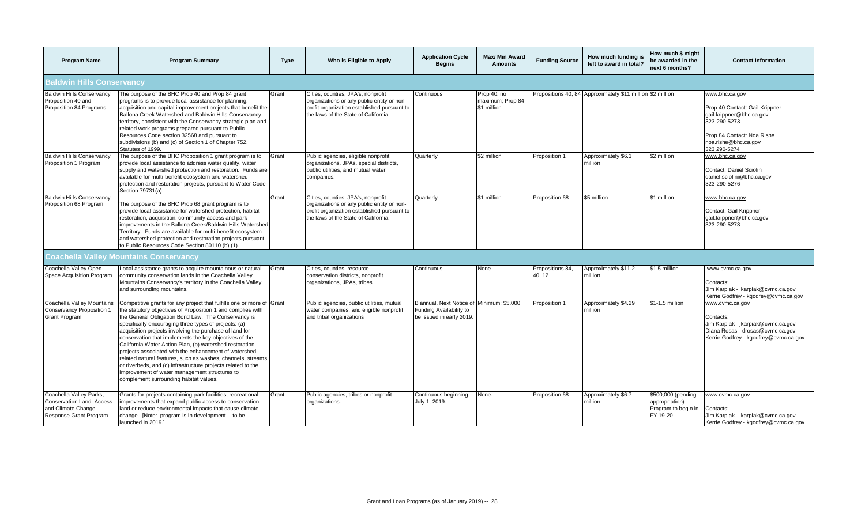| <b>Program Name</b>                                                                                        | <b>Program Summary</b>                                                                                                                                                                                                                                                                                                                                                                                                                                                                                                                                                                                                                                                                                                   | <b>Type</b> | Who is Eligible to Apply                                                                                                                                                | <b>Application Cycle</b><br><b>Begins</b>                                                        | <b>Max/ Min Award</b><br><b>Amounts</b>        | <b>Funding Source</b>     | How much funding is<br>left to award in total?             | How much \$ might<br>be awarded in the<br>next 6 months?                  | <b>Contact Information</b>                                                                                                                                         |  |
|------------------------------------------------------------------------------------------------------------|--------------------------------------------------------------------------------------------------------------------------------------------------------------------------------------------------------------------------------------------------------------------------------------------------------------------------------------------------------------------------------------------------------------------------------------------------------------------------------------------------------------------------------------------------------------------------------------------------------------------------------------------------------------------------------------------------------------------------|-------------|-------------------------------------------------------------------------------------------------------------------------------------------------------------------------|--------------------------------------------------------------------------------------------------|------------------------------------------------|---------------------------|------------------------------------------------------------|---------------------------------------------------------------------------|--------------------------------------------------------------------------------------------------------------------------------------------------------------------|--|
| <b>Baldwin Hills Conservancy</b>                                                                           |                                                                                                                                                                                                                                                                                                                                                                                                                                                                                                                                                                                                                                                                                                                          |             |                                                                                                                                                                         |                                                                                                  |                                                |                           |                                                            |                                                                           |                                                                                                                                                                    |  |
| <b>Baldwin Hills Conservancy</b><br>Proposition 40 and<br>Proposition 84 Programs                          | The purpose of the BHC Prop 40 and Prop 84 grant<br>programs is to provide local assistance for planning,<br>acquisition and capital improvement projects that benefit the<br>Ballona Creek Watershed and Baldwin Hills Conservancy<br>territory, consistent with the Conservancy strategic plan and<br>related work programs prepared pursuant to Public<br>Resources Code section 32568 and pursuant to<br>subdivisions (b) and (c) of Section 1 of Chapter 752,<br>Statutes of 1999.                                                                                                                                                                                                                                  | Grant       | Cities, counties, JPA's, nonprofit<br>organizations or any public entity or non-<br>profit organization established pursuant to<br>the laws of the State of California. | Continuous                                                                                       | Prop 40: no<br>maximum; Prop 84<br>\$1 million |                           | Propositions 40, 84 Approximately \$11 million \$2 million |                                                                           | www.bhc.ca.gov<br>Prop 40 Contact: Gail Krippner<br>gail.krippner@bhc.ca.gov<br>323-290-5273<br>Prop 84 Contact: Noa Rishe<br>noa.rishe@bhc.ca.gov<br>323 290-5274 |  |
| <b>Baldwin Hills Conservancy</b><br>Proposition 1 Program                                                  | The purpose of the BHC Proposition 1 grant program is to<br>provide local assistance to address water quality, water<br>supply and watershed protection and restoration. Funds are<br>available for multi-benefit ecosystem and watershed<br>protection and restoration projects, pursuant to Water Code<br>Section 79731(a).                                                                                                                                                                                                                                                                                                                                                                                            | Grant       | Public agencies, eligible nonprofit<br>organizations, JPAs, special districts,<br>public utilities, and mutual water<br>companies.                                      | Quarterly                                                                                        | \$2 million                                    | Proposition 1             | Approximately \$6.3<br>million                             | \$2 million                                                               | www.bhc.ca.gov<br>Contact: Daniel Sciolini<br>daniel.sciolini@bhc.ca.gov<br>323-290-5276                                                                           |  |
| <b>Baldwin Hills Conservancy</b><br>Proposition 68 Program                                                 | The purpose of the BHC Prop 68 grant program is to<br>provide local assistance for watershed protection, habitat<br>restoration, acquisition, community access and park<br>improvements in the Ballona Creek/Baldwin Hills Watershed<br>Territory. Funds are available for multi-benefit ecosystem<br>and watershed protection and restoration projects pursuant<br>to Public Resources Code Section 80110 (b) (1).                                                                                                                                                                                                                                                                                                      | Grant       | Cities, counties, JPA's, nonprofit<br>organizations or any public entity or non-<br>profit organization established pursuant to<br>the laws of the State of California. | Quarterly                                                                                        | \$1 million                                    | Proposition 68            | \$5 million                                                | \$1 million                                                               | www.bhc.ca.gov<br>Contact: Gail Krippner<br>gail.krippner@bhc.ca.gov<br>323-290-5273                                                                               |  |
|                                                                                                            | <b>Coachella Valley Mountains Conservancy</b>                                                                                                                                                                                                                                                                                                                                                                                                                                                                                                                                                                                                                                                                            |             |                                                                                                                                                                         |                                                                                                  |                                                |                           |                                                            |                                                                           |                                                                                                                                                                    |  |
| Coachella Valley Open<br>Space Acquisition Program                                                         | Local assistance grants to acquire mountainous or natural<br>community conservation lands in the Coachella Valley<br>Mountains Conservancy's territory in the Coachella Valley<br>and surrounding mountains.                                                                                                                                                                                                                                                                                                                                                                                                                                                                                                             | Grant       | Cities, counties, resource<br>conservation districts, nonprofit<br>organizations, JPAs, tribes                                                                          | Continuous                                                                                       | None                                           | Propositions 84,<br>40.12 | Approximately \$11.2<br>million                            | \$1.5 million                                                             | www.cvmc.ca.gov<br>Contacts:<br>Jim Karpiak - jkarpiak@cvmc.ca.gov<br>Kerrie Godfrey - kgodrey@cvmc.ca.gov                                                         |  |
| Coachella Valley Mountains<br><b>Conservancy Proposition 1</b><br><b>Grant Program</b>                     | Competitive grants for any project that fulfills one or more of Grant<br>the statutory objectives of Proposition 1 and complies with<br>the General Obligation Bond Law. The Conservancy is<br>specifically encouraging three types of projects: (a)<br>acquisition projects involving the purchase of land for<br>conservation that implements the key objectives of the<br>California Water Action Plan, (b) watershed restoration<br>projects associated with the enhancement of watershed-<br>related natural features, such as washes, channels, streams<br>or riverbeds, and (c) infrastructure projects related to the<br>improvement of water management structures to<br>complement surrounding habitat values. |             | Public agencies, public utilities, mutual<br>water companies, and eligible nonprofit<br>and tribal organizations                                                        | Biannual. Next Notice of Minimum: \$5,000<br>Funding Availability to<br>be issued in early 2019. |                                                | Proposition 1             | Approximately \$4.29<br>million                            | \$1-1.5 million                                                           | www.cvmc.ca.gov<br>Contacts:<br>Jim Karpiak - jkarpiak@cvmc.ca.gov<br>Diana Rosas - drosas@cvmc.ca.gov<br>Kerrie Godfrey - kgodfrey@cvmc.ca.gov                    |  |
| Coachella Valley Parks,<br><b>Conservation Land Access</b><br>and Climate Change<br>Response Grant Program | Grants for projects containing park facilities, recreational<br>improvements that expand public access to conservation<br>land or reduce environmental impacts that cause climate<br>change. [Note: program is in development -- to be<br>launched in 2019.]                                                                                                                                                                                                                                                                                                                                                                                                                                                             | Grant       | Public agencies, tribes or nonprofit<br>organizations.                                                                                                                  | Continuous beginning<br>July 1, 2019.                                                            | None.                                          | Proposition 68            | Approximately \$6.7<br>million                             | \$500,000 (pending<br>appropriation) -<br>Program to begin in<br>FY 19-20 | www.cvmc.ca.gov<br>Contacts:<br>Jim Karpiak - jkarpiak@cvmc.ca.gov<br>Kerrie Godfrey - kgodfrey@cvmc.ca.gov                                                        |  |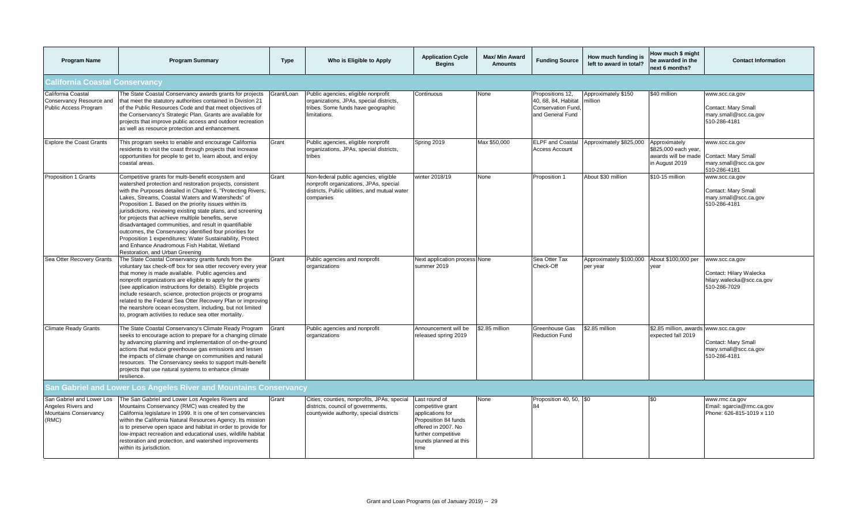| <b>Program Name</b>                                                                      | <b>Program Summary</b>                                                                                                                                                                                                                                                                                                                                                                                                                                                                                                                                                                                                                                                                    | Type       | Who is Eligible to Apply                                                                                                                      | <b>Application Cycle</b><br><b>Begins</b>                                                                                                                      | <b>Max/ Min Award</b><br><b>Amounts</b> | <b>Funding Source</b>                                                                   | How much funding is<br>left to award in total? | How much \$ might<br>be awarded in the<br>next 6 months?                       | <b>Contact Information</b>                                                             |  |
|------------------------------------------------------------------------------------------|-------------------------------------------------------------------------------------------------------------------------------------------------------------------------------------------------------------------------------------------------------------------------------------------------------------------------------------------------------------------------------------------------------------------------------------------------------------------------------------------------------------------------------------------------------------------------------------------------------------------------------------------------------------------------------------------|------------|-----------------------------------------------------------------------------------------------------------------------------------------------|----------------------------------------------------------------------------------------------------------------------------------------------------------------|-----------------------------------------|-----------------------------------------------------------------------------------------|------------------------------------------------|--------------------------------------------------------------------------------|----------------------------------------------------------------------------------------|--|
| <b>California Coastal Conservancy</b>                                                    |                                                                                                                                                                                                                                                                                                                                                                                                                                                                                                                                                                                                                                                                                           |            |                                                                                                                                               |                                                                                                                                                                |                                         |                                                                                         |                                                |                                                                                |                                                                                        |  |
| California Coastal<br>Conservancy Resource and<br>Public Access Program                  | The State Coastal Conservancy awards grants for projects<br>that meet the statutory authorities contained in Division 21<br>of the Public Resources Code and that meet objectives of<br>the Conservancy's Strategic Plan. Grants are available for<br>projects that improve public access and outdoor recreation<br>as well as resource protection and enhancement.                                                                                                                                                                                                                                                                                                                       | Grant/Loan | Public agencies, eligible nonprofit<br>organizations, JPAs, special districts,<br>tribes. Some funds have geographic<br>limitations.          | Continuous                                                                                                                                                     | None                                    | Propositions 12,<br>40, 68, 84, Habitat<br><b>Conservation Fund</b><br>and General Fund | Approximately \$150<br>million                 | \$40 million                                                                   | www.scc.ca.gov<br>Contact: Mary Small<br>mary.small@scc.ca.gov<br>510-286-4181         |  |
| <b>Explore the Coast Grants</b>                                                          | This program seeks to enable and encourage California<br>residents to visit the coast through projects that increase<br>opportunities for people to get to, learn about, and enjoy<br>coastal areas.                                                                                                                                                                                                                                                                                                                                                                                                                                                                                      | Grant      | Public agencies, eligible nonprofit<br>organizations, JPAs, special districts,<br>tribes                                                      | Spring 2019                                                                                                                                                    | Max \$50,000                            | <b>ELPF</b> and Coastal<br><b>Access Account</b>                                        | Approximately \$825,000                        | Approximately<br>\$825,000 each year,<br>awards will be made<br>in August 2019 | www.scc.ca.gov<br>Contact: Mary Small<br>mary.small@scc.ca.gov<br>510-286-4181         |  |
| Proposition 1 Grants                                                                     | Competitive grants for multi-benefit ecosystem and<br>watershed protection and restoration projects, consistent<br>with the Purposes detailed in Chapter 6, "Protecting Rivers,<br>Lakes, Streams, Coastal Waters and Watersheds" of<br>Proposition 1. Based on the priority issues within its<br>jurisdictions, reviewing existing state plans, and screening<br>for projects that achieve multiple benefits, serve<br>disadvantaged communities, and result in quantifiable<br>outcomes, the Conservancy identified four priorities for<br>Proposition 1 expenditures: Water Sustainability, Protect<br>and Enhance Anadromous Fish Habitat, Wetland<br>Restoration, and Urban Greening | Grant      | Non-federal public agencies, eligible<br>nonprofit organizations, JPAs, special<br>districts, Public utilities, and mutual water<br>companies | winter 2018/19                                                                                                                                                 | None                                    | Proposition 1                                                                           | About \$30 million                             | \$10-15 million                                                                | www.scc.ca.gov<br>Contact: Mary Small<br>mary.small@scc.ca.gov<br>510-286-4181         |  |
| Sea Otter Recovery Grants                                                                | The State Coastal Conservancy grants funds from the<br>voluntary tax check-off box for sea otter recovery every year<br>that money is made available. Public agencies and<br>nonprofit organizations are eligible to apply for the grants<br>(see application instructions for details). Eligible projects<br>include research, science, protection projects or programs<br>related to the Federal Sea Otter Recovery Plan or improving<br>the nearshore ocean ecosystem, including, but not limited<br>to, program activities to reduce sea otter mortality.                                                                                                                             | Grant      | Public agencies and nonprofit<br>organizations                                                                                                | Next application process None<br>summer 2019                                                                                                                   |                                         | Sea Otter Tax<br>Check-Off                                                              | Approximately \$100,000<br>per year            | About \$100,000 per<br>year                                                    | www.scc.ca.gov<br>Contact: Hilary Walecka<br>hilary.walecka@scc.ca.gov<br>510-286-7029 |  |
| <b>Climate Ready Grants</b>                                                              | The State Coastal Conservancy's Climate Ready Program<br>seeks to encourage action to prepare for a changing climate<br>by advancing planning and implementation of on-the-ground<br>actions that reduce greenhouse gas emissions and lessen<br>the impacts of climate change on communities and natural<br>resources. The Conservancy seeks to support multi-benefit<br>projects that use natural systems to enhance climate<br>resilience.                                                                                                                                                                                                                                              | Grant      | Public agencies and nonprofit<br>organizations                                                                                                | Announcement will be<br>released spring 2019                                                                                                                   | \$2.85 million                          | Greenhouse Gas<br><b>Reduction Fund</b>                                                 | \$2.85 million                                 | \$2.85 million, awards<br>expected fall 2019                                   | www.scc.ca.gov<br>Contact: Mary Small<br>mary.small@scc.ca.gov<br>510-286-4181         |  |
|                                                                                          | San Gabriel and Lower Los Angeles River and Mountains Conservancy                                                                                                                                                                                                                                                                                                                                                                                                                                                                                                                                                                                                                         |            |                                                                                                                                               |                                                                                                                                                                |                                         |                                                                                         |                                                |                                                                                |                                                                                        |  |
| San Gabriel and Lower Los<br>Angeles Rivers and<br><b>Mountains Conservancy</b><br>(RMC) | The San Gabriel and Lower Los Angeles Rivers and<br>Mountains Conservancy (RMC) was created by the<br>California legislature in 1999. It is one of ten conservancies<br>within the California Natural Resources Agency. Its mission<br>is to preserve open space and habitat in order to provide for<br>low-impact recreation and educational uses, wildlife habitat<br>restoration and protection, and watershed improvements<br>within its jurisdiction.                                                                                                                                                                                                                                | Grant      | Cities, counties, nonprofits, JPAs, special<br>districts, council of governments,<br>countywide authority, special districts                  | Last round of<br>competitive grant<br>applications for<br>Proposition 84 funds<br>offered in 2007. No<br>further competitive<br>rounds planned at this<br>time | None                                    | Proposition 40, 50, \$0<br>84                                                           |                                                | ፍሰ                                                                             | www.rmc.ca.gov<br>Email: sgarcia@rmc.ca.gov<br>Phone: 626-815-1019 x 110               |  |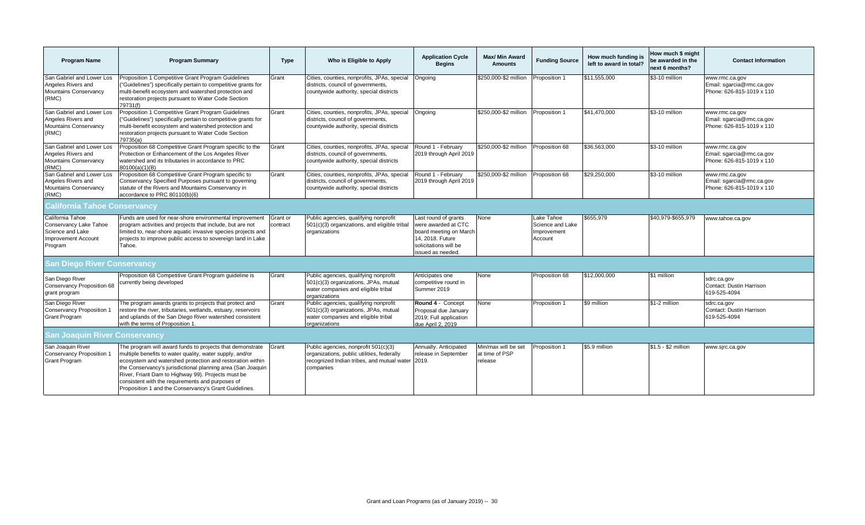| <b>Program Name</b>                                                                              | <b>Program Summary</b>                                                                                                                                                                                                                                                                                                                                                                                               | <b>Type</b>          | Who is Eligible to Apply                                                                                                                      | <b>Application Cycle</b><br><b>Begins</b>                                                                                              | <b>Max/ Min Award</b><br><b>Amounts</b>          | <b>Funding Source</b>                                    | How much funding is<br>left to award in total? | How much \$ might<br>be awarded in the<br>next 6 months? | <b>Contact Information</b>                                               |
|--------------------------------------------------------------------------------------------------|----------------------------------------------------------------------------------------------------------------------------------------------------------------------------------------------------------------------------------------------------------------------------------------------------------------------------------------------------------------------------------------------------------------------|----------------------|-----------------------------------------------------------------------------------------------------------------------------------------------|----------------------------------------------------------------------------------------------------------------------------------------|--------------------------------------------------|----------------------------------------------------------|------------------------------------------------|----------------------------------------------------------|--------------------------------------------------------------------------|
| San Gabriel and Lower Los<br>Angeles Rivers and<br>Mountains Conservancy<br>(RMC)                | Proposition 1 Competitive Grant Program Guidelines<br>"Guidelines") specifically pertain to competitive grants for<br>multi-benefit ecosystem and watershed protection and<br>restoration projects pursuant to Water Code Section<br>79731(f)                                                                                                                                                                        | Grant                | Cities, counties, nonprofits, JPAs, special<br>districts, council of governments,<br>countywide authority, special districts                  | Ongoing                                                                                                                                | \$250,000-\$2 million                            | Proposition 1                                            | \$11,555,000                                   | \$3-10 million                                           | www.rmc.ca.gov<br>Email: sgarcia@rmc.ca.gov<br>Phone: 626-815-1019 x 110 |
| San Gabriel and Lower Los<br>Angeles Rivers and<br><b>Mountains Conservancy</b><br>(RMC)         | Proposition 1 Competitive Grant Program Guidelines<br>"Guidelines") specifically pertain to competitive grants for<br>multi-benefit ecosystem and watershed protection and<br>restoration projects pursuant to Water Code Section<br>79735(a)                                                                                                                                                                        | Grant                | Cities, counties, nonprofits, JPAs, special<br>districts, council of governments,<br>countywide authority, special districts                  | Ongoing                                                                                                                                | \$250,000-\$2 million                            | Proposition 1                                            | \$41,470,000                                   | \$3-10 million                                           | www.rmc.ca.gov<br>Email: sgarcia@rmc.ca.gov<br>Phone: 626-815-1019 x 110 |
| San Gabriel and Lower Los<br>Angeles Rivers and<br>Mountains Conservancy<br>(RMC)                | Proposition 68 Competitive Grant Program specific to the<br>Protection or Enhancement of the Los Angeles River<br>watershed and its tributaries in accordance to PRC<br>80100(a)(1)(B)                                                                                                                                                                                                                               | Grant                | Cities, counties, nonprofits, JPAs, special<br>districts, council of governments,<br>countywide authority, special districts                  | Round 1 - February<br>2019 through April 2019                                                                                          | \$250,000-\$2 million Proposition 68             |                                                          | \$36,563,000                                   | \$3-10 million                                           | www.rmc.ca.gov<br>Email: sgarcia@rmc.ca.gov<br>Phone: 626-815-1019 x 110 |
| San Gabriel and Lower Los<br>Angeles Rivers and<br><b>Mountains Conservancy</b><br>(RMC)         | Proposition 68 Competitive Grant Program specific to<br>Conservancy Specified Purposes pursuant to governing<br>statute of the Rivers and Mountains Conservancy in<br>accordance to PRC 80110(b)(6)                                                                                                                                                                                                                  | Grant                | Cities, counties, nonprofits, JPAs, special<br>districts, council of governments,<br>countywide authority, special districts                  | Round 1 - February<br>2019 through April 2019                                                                                          | \$250,000-\$2 million Proposition 68             |                                                          | \$29,250,000                                   | \$3-10 million                                           | www.rmc.ca.gov<br>Email: sgarcia@rmc.ca.gov<br>Phone: 626-815-1019 x 110 |
| <b>California Tahoe Conservancy</b>                                                              |                                                                                                                                                                                                                                                                                                                                                                                                                      |                      |                                                                                                                                               |                                                                                                                                        |                                                  |                                                          |                                                |                                                          |                                                                          |
| California Tahoe<br>Conservancy Lake Tahoe<br>Science and Lake<br>Improvement Account<br>Program | Funds are used for near-shore environmental improvement<br>program activities and projects that include, but are not<br>limited to, near-shore aquatic invasive species projects and<br>projects to improve public access to sovereign land in Lake<br>Tahoe.                                                                                                                                                        | Grant or<br>contract | Public agencies, qualifying nonprofit<br>501(c)(3) organizations, and eligible tribal<br>organizations                                        | Last round of grants<br>were awarded at CTC<br>board meeting on March<br>14. 2018. Future<br>solicitations will be<br>issued as needed | None                                             | Lake Tahoe<br>Science and Lake<br>Improvement<br>Account | \$655,979                                      | \$40,979-\$655,979                                       | www.tahoe.ca.gov                                                         |
| <b>San Diego River Conservancy</b>                                                               |                                                                                                                                                                                                                                                                                                                                                                                                                      |                      |                                                                                                                                               |                                                                                                                                        |                                                  |                                                          |                                                |                                                          |                                                                          |
| San Diego River<br>Conservancy Proposition 68<br>grant program                                   | Proposition 68 Competitive Grant Program guideline is<br>currently being developed                                                                                                                                                                                                                                                                                                                                   | Grant                | Public agencies, qualifying nonprofit<br>501(c)(3) organizations, JPAs, mutual<br>water companies and eligible tribal<br>organizations        | Anticipates one<br>competitive round in<br>Summer 2019                                                                                 | None                                             | Proposition 68                                           | \$12,000,000                                   | \$1 million                                              | sdrc.ca.gov<br>Contact: Dustin Harrison<br>619-525-4094                  |
| San Diego River<br>Conservancy Proposition 1<br><b>Grant Program</b>                             | The program awards grants to projects that protect and<br>restore the river, tributaries, wetlands, estuary, reservoirs<br>and uplands of the San Diego River watershed consistent<br>with the terms of Proposition 1.                                                                                                                                                                                               | Grant                | Public agencies, qualifying nonprofit<br>501(c)(3) organizations, JPAs, mutual<br>water companies and eligible tribal<br>organizations        | Round 4 - Concept<br>Proposal due January<br>2019; Full application<br>due April 2, 2019                                               | None                                             | Proposition 1                                            | \$9 million                                    | \$1-2 million                                            | sdrc.ca.gov<br>Contact: Dustin Harrison<br>619-525-4094                  |
| <b>San Joaquin River Conservancy</b>                                                             |                                                                                                                                                                                                                                                                                                                                                                                                                      |                      |                                                                                                                                               |                                                                                                                                        |                                                  |                                                          |                                                |                                                          |                                                                          |
| San Joaquin River<br>Conservancy Proposition 1<br><b>Grant Program</b>                           | The program will award funds to projects that demonstrate<br>multiple benefits to water quality, water supply, and/or<br>ecosystem and watershed protection and restoration within<br>the Conservancy's jurisdictional planning area (San Joaquin<br>River, Friant Dam to Highway 99). Projects must be<br>consistent with the requirements and purposes of<br>Proposition 1 and the Conservancy's Grant Guidelines. | Grant                | Public agencies, nonprofit 501(c)(3)<br>organizations, public utilities, federally<br>recognized Indian tribes, and mutual water<br>companies | Annually. Anticipated<br>release in September<br>2019.                                                                                 | Min/max will be set<br>at time of PSP<br>release | Proposition 1                                            | \$5.9 million                                  | \$1.5 - \$2 million                                      | www.sjrc.ca.gov                                                          |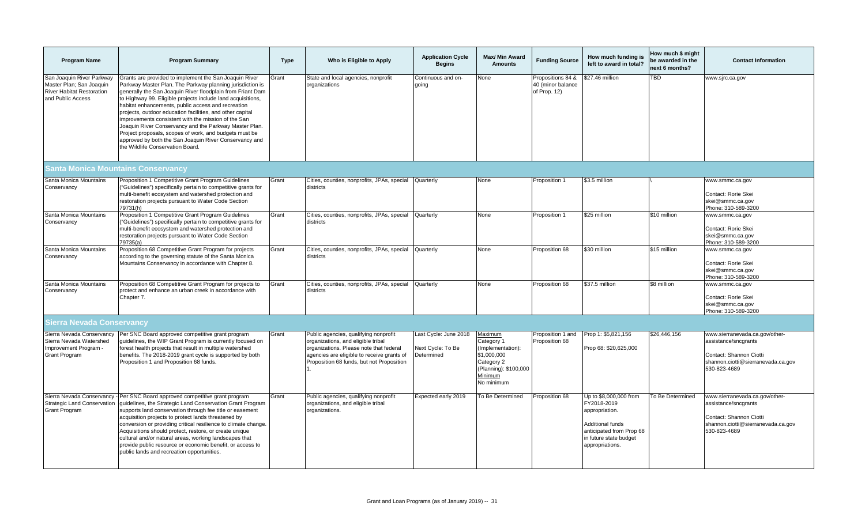| <b>Program Name</b>                                                                                            | <b>Program Summary</b>                                                                                                                                                                                                                                                                                                                                                                                                                                                                                                                                                                                                                       | <b>Type</b> | Who is Eligible to Apply                                                                                                                                                                                          | <b>Application Cycle</b><br><b>Begins</b>                | Max/ Min Award<br><b>Amounts</b>                                                                                          | <b>Funding Source</b>                                  | How much funding is<br>left to award in total?                                                                                                       | How much \$ might<br>be awarded in the<br>next 6 months? | <b>Contact Information</b>                                                                                                              |  |
|----------------------------------------------------------------------------------------------------------------|----------------------------------------------------------------------------------------------------------------------------------------------------------------------------------------------------------------------------------------------------------------------------------------------------------------------------------------------------------------------------------------------------------------------------------------------------------------------------------------------------------------------------------------------------------------------------------------------------------------------------------------------|-------------|-------------------------------------------------------------------------------------------------------------------------------------------------------------------------------------------------------------------|----------------------------------------------------------|---------------------------------------------------------------------------------------------------------------------------|--------------------------------------------------------|------------------------------------------------------------------------------------------------------------------------------------------------------|----------------------------------------------------------|-----------------------------------------------------------------------------------------------------------------------------------------|--|
| San Joaquin River Parkway<br>Master Plan; San Joaquin<br><b>River Habitat Restoration</b><br>and Public Access | Grants are provided to implement the San Joaquin River<br>Parkway Master Plan. The Parkway planning jurisdiction is<br>generally the San Joaquin River floodplain from Friant Dam<br>to Highway 99. Eligible projects include land acquisitions,<br>habitat enhancements, public access and recreation<br>projects, outdoor education facilities, and other capital<br>improvements consistent with the mission of the San<br>Joaquin River Conservancy and the Parkway Master Plan.<br>Project proposals, scopes of work, and budgets must be<br>approved by both the San Joaquin River Conservancy and<br>the Wildlife Conservation Board. | Grant       | State and local agencies, nonprofit<br>organizations                                                                                                                                                              | Continuous and on-<br>qoing                              | None                                                                                                                      | Propositions 84 &<br>40 (minor balance<br>of Prop. 12) | \$27.46 million                                                                                                                                      | <b>TBD</b>                                               | www.sjrc.ca.gov                                                                                                                         |  |
| Santa Monica Mountains Conservancy                                                                             |                                                                                                                                                                                                                                                                                                                                                                                                                                                                                                                                                                                                                                              |             |                                                                                                                                                                                                                   |                                                          |                                                                                                                           |                                                        |                                                                                                                                                      |                                                          |                                                                                                                                         |  |
| Santa Monica Mountains<br>Conservancy                                                                          | Proposition 1 Competitive Grant Program Guidelines<br>("Guidelines") specifically pertain to competitive grants for<br>multi-benefit ecosystem and watershed protection and<br>restoration projects pursuant to Water Code Section<br>79731(h)                                                                                                                                                                                                                                                                                                                                                                                               | Grant       | Cities, counties, nonprofits, JPAs, special<br>districts                                                                                                                                                          | Quarterly                                                | None                                                                                                                      | Proposition 1                                          | \$3.5 million                                                                                                                                        |                                                          | www.smmc.ca.gov<br>Contact: Rorie Skei<br>skei@smmc.ca.gov<br>Phone: 310-589-3200                                                       |  |
| Santa Monica Mountains<br>Conservancy                                                                          | Proposition 1 Competitive Grant Program Guidelines<br>("Guidelines") specifically pertain to competitive grants for<br>multi-benefit ecosystem and watershed protection and<br>restoration projects pursuant to Water Code Section<br>79735(a)                                                                                                                                                                                                                                                                                                                                                                                               | Grant       | Cities, counties, nonprofits, JPAs, special<br>districts                                                                                                                                                          | Quarterly                                                | None                                                                                                                      | Proposition 1                                          | \$25 million                                                                                                                                         | \$10 million                                             | www.smmc.ca.gov<br>Contact: Rorie Skei<br>skei@smmc.ca.gov<br>Phone: 310-589-3200                                                       |  |
| Santa Monica Mountains<br>Conservancy                                                                          | Proposition 68 Competitive Grant Program for projects<br>according to the governing statute of the Santa Monica<br>Mountains Conservancy in accordance with Chapter 8.                                                                                                                                                                                                                                                                                                                                                                                                                                                                       | Grant       | Cities, counties, nonprofits, JPAs, special<br>districts                                                                                                                                                          | Quarterly                                                | None                                                                                                                      | Proposition 68                                         | \$30 million                                                                                                                                         | \$15 million                                             | www.smmc.ca.gov<br>Contact: Rorie Skei<br>skei@smmc.ca.gov<br>Phone: 310-589-3200                                                       |  |
| Santa Monica Mountains<br>Conservancy                                                                          | Proposition 68 Competitive Grant Program for projects to<br>protect and enhance an urban creek in accordance with<br>Chapter 7.                                                                                                                                                                                                                                                                                                                                                                                                                                                                                                              | Grant       | Cities, counties, nonprofits, JPAs, special<br>districts                                                                                                                                                          | Quarterly                                                | None                                                                                                                      | Proposition 68                                         | \$37.5 million                                                                                                                                       | \$8 million                                              | www.smmc.ca.gov<br>Contact: Rorie Skei<br>skei@smmc.ca.gov<br>Phone: 310-589-3200                                                       |  |
| Sierra Nevada Conservancy                                                                                      |                                                                                                                                                                                                                                                                                                                                                                                                                                                                                                                                                                                                                                              |             |                                                                                                                                                                                                                   |                                                          |                                                                                                                           |                                                        |                                                                                                                                                      |                                                          |                                                                                                                                         |  |
| Sierra Nevada Conservancy<br>Sierra Nevada Watershed<br>Improvement Program -<br><b>Grant Program</b>          | Per SNC Board approved competitive grant program<br>guidelines, the WIP Grant Program is currently focused on<br>forest health projects that result in multiple watershed<br>benefits. The 2018-2019 grant cycle is supported by both<br>Proposition 1 and Proposition 68 funds.                                                                                                                                                                                                                                                                                                                                                             | Grant       | Public agencies, qualifying nonprofit<br>organizations, and eligible tribal<br>organizations. Please note that federal<br>agencies are eligible to receive grants of<br>Proposition 68 funds, but not Proposition | Last Cycle: June 2018<br>Next Cycle: To Be<br>Determined | Maximum<br>Category 1<br>(Implementation):<br>\$1,000,000<br>Category 2<br>(Planning): \$100,000<br>Minimum<br>No minimum | Proposition 1 and<br>Proposition 68                    | Prop 1: \$5,821,156<br>Prop 68: \$20,625,000                                                                                                         | \$26,446,156                                             | www.sierranevada.ca.gov/other-<br>assistance/sncgrants<br>Contact: Shannon Ciotti<br>shannon.ciotti@sierranevada.ca.gov<br>530-823-4689 |  |
| Sierra Nevada Conservancy<br><b>Strategic Land Conservation</b><br><b>Grant Program</b>                        | Per SNC Board approved competitive grant program<br>guidelines, the Strategic Land Conservation Grant Program<br>supports land conservation through fee title or easement<br>acquisition projects to protect lands threatened by<br>conversion or providing critical resilience to climate change.<br>Acquisitions should protect, restore, or create unique<br>cultural and/or natural areas, working landscapes that<br>provide public resource or economic benefit, or access to<br>public lands and recreation opportunities.                                                                                                            | Grant       | Public agencies, qualifying nonprofit<br>organizations, and eligible tribal<br>organizations.                                                                                                                     | Expected early 2019                                      | To Be Determined                                                                                                          | Proposition 68                                         | Up to \$8,000,000 from<br>FY2018-2019<br>appropriation.<br>Additional funds<br>anticipated from Prop 68<br>in future state budget<br>appropriations. | To Be Determined                                         | www.sierranevada.ca.gov/other-<br>assistance/sncgrants<br>Contact: Shannon Ciotti<br>shannon.ciotti@sierranevada.ca.gov<br>530-823-4689 |  |